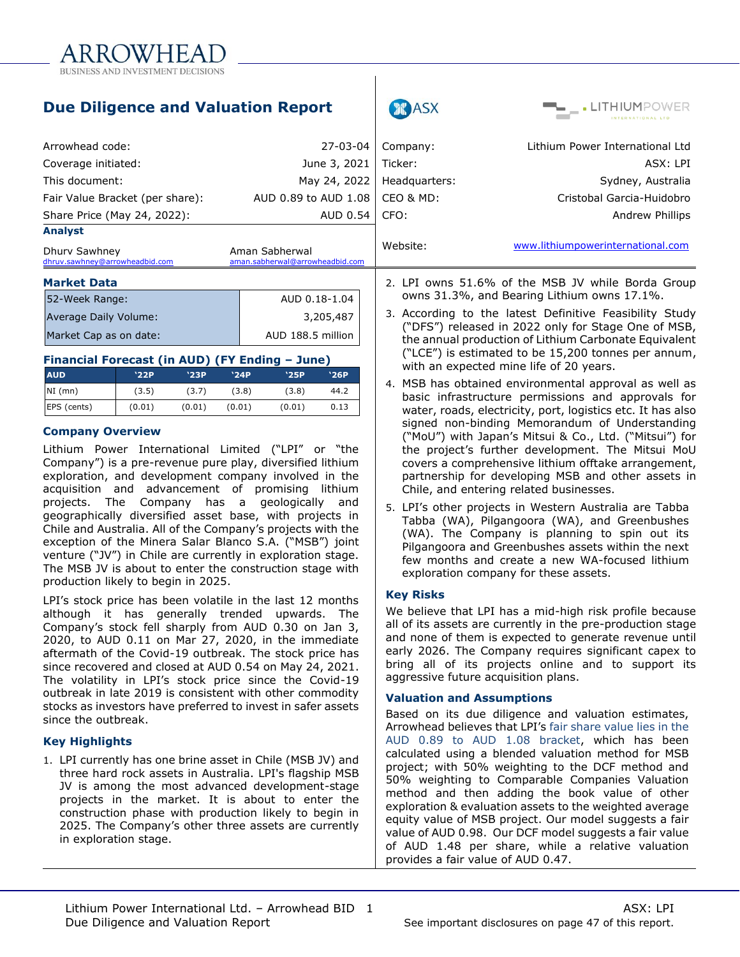

|                                                                                                                        | <b>Due Diligence and Valuation Report</b> |               |               |                                                                                                                                                                         |                                               |                                                                                                  | ASX           | <b>THIUM</b> POWER                                                                                                                                                      |  |  |
|------------------------------------------------------------------------------------------------------------------------|-------------------------------------------|---------------|---------------|-------------------------------------------------------------------------------------------------------------------------------------------------------------------------|-----------------------------------------------|--------------------------------------------------------------------------------------------------|---------------|-------------------------------------------------------------------------------------------------------------------------------------------------------------------------|--|--|
| Arrowhead code:                                                                                                        |                                           |               |               |                                                                                                                                                                         | 27-03-04                                      |                                                                                                  | Company:      | Lithium Power International Ltd                                                                                                                                         |  |  |
| Coverage initiated:                                                                                                    |                                           |               |               |                                                                                                                                                                         | June 3, 2021                                  | Ticker:                                                                                          |               | ASX: LPI                                                                                                                                                                |  |  |
| This document:                                                                                                         |                                           |               |               |                                                                                                                                                                         | May 24, 2022                                  |                                                                                                  | Headquarters: | Sydney, Australia                                                                                                                                                       |  |  |
| AUD 0.89 to AUD 1.08<br>Fair Value Bracket (per share):                                                                |                                           |               |               |                                                                                                                                                                         | CEO & MD:                                     | Cristobal Garcia-Huidobro                                                                        |               |                                                                                                                                                                         |  |  |
| Share Price (May 24, 2022):                                                                                            |                                           |               | AUD 0.54      | CFO:                                                                                                                                                                    |                                               | <b>Andrew Phillips</b>                                                                           |               |                                                                                                                                                                         |  |  |
| <b>Analyst</b><br>Dhury Sawhney<br>Aman Sabherwal<br>dhruv.sawhney@arrowheadbid.com<br>aman.sabherwal@arrowheadbid.com |                                           |               |               |                                                                                                                                                                         | Website:<br>www.lithiumpowerinternational.com |                                                                                                  |               |                                                                                                                                                                         |  |  |
| <b>Market Data</b>                                                                                                     |                                           |               |               |                                                                                                                                                                         |                                               | 2. LPI owns 51.6% of the MSB JV while Borda Group<br>owns 31.3%, and Bearing Lithium owns 17.1%. |               |                                                                                                                                                                         |  |  |
| AUD 0.18-1.04<br>52-Week Range:<br>3,205,487<br>Average Daily Volume:<br>AUD 188.5 million<br>Market Cap as on date:   |                                           |               |               | 3. According to the latest Definitive Feasibility Study<br>("DFS") released in 2022 only for Stage One of MSB,<br>the annual production of Lithium Carbonate Equivalent |                                               |                                                                                                  |               |                                                                                                                                                                         |  |  |
| Financial Forecast (in AUD) (FY Ending - June)                                                                         |                                           |               |               |                                                                                                                                                                         |                                               |                                                                                                  |               | ("LCE") is estimated to be 15,200 tonnes per annum,<br>with an expected mine life of 20 years.                                                                          |  |  |
| <b>AUD</b><br>$NI$ (mn)                                                                                                | '22P<br>(3.5)                             | '23P<br>(3.7) | '24P<br>(3.8) | '25P<br>(3.8)                                                                                                                                                           | '26P<br>44.2                                  |                                                                                                  |               | 4. MSB has obtained environmental approval as well as<br>basic infrastructure permissions and approvals for                                                             |  |  |
| EPS (cents)<br><b>Company Overview</b>                                                                                 | (0.01)                                    | (0.01)        | (0.01)        | (0.01)                                                                                                                                                                  | 0.13                                          |                                                                                                  |               | water, roads, electricity, port, logistics etc. It has also<br>signed non-binding Memorandum of Understanding<br>("MoU") with Japan's Mitsui & Co., Ltd. ("Mitsui") for |  |  |

 $\mathbf{I}$ 

Lithium Power International Limited ("LPI" or "the Company") is a pre-revenue pure play, diversified lithium exploration, and development company involved in the acquisition and advancement of promising lithium projects. The Company has a geologically and geographically diversified asset base, with projects in Chile and Australia. All of the Company's projects with the exception of the Minera Salar Blanco S.A. ("MSB") joint venture ("JV") in Chile are currently in exploration stage. The MSB JV is about to enter the construction stage with production likely to begin in 2025.

LPI's stock price has been volatile in the last 12 months although it has generally trended upwards. The Company's stock fell sharply from AUD 0.30 on Jan 3, 2020, to AUD 0.11 on Mar 27, 2020, in the immediate aftermath of the Covid-19 outbreak. The stock price has since recovered and closed at AUD 0.54 on May 24, 2021. The volatility in LPI's stock price since the Covid-19 outbreak in late 2019 is consistent with other commodity stocks as investors have preferred to invest in safer assets since the outbreak.

#### **Key Highlights**

1. LPI currently has one brine asset in Chile (MSB JV) and three hard rock assets in Australia. LPI's flagship MSB JV is among the most advanced development-stage projects in the market. It is about to enter the construction phase with production likely to begin in 2025. The Company's other three assets are currently in exploration stage.

Pilgangoora and Greenbushes assets within the next few months and create a new WA-focused lithium exploration company for these assets. **Key Risks** We believe that LPI has a mid-high risk profile because all of its assets are currently in the pre-production stage and none of them is expected to generate revenue until early 2026. The Company requires significant capex to

bring all of its projects online and to support its

5. LPI's other projects in Western Australia are Tabba Tabba (WA), Pilgangoora (WA), and Greenbushes (WA). The Company is planning to spin out its

the project's further development. The Mitsui MoU covers a comprehensive lithium offtake arrangement, partnership for developing MSB and other assets in

Chile, and entering related businesses.

#### **Valuation and Assumptions**

aggressive future acquisition plans.

Based on its due diligence and valuation estimates, Arrowhead believes that LPI's fair share value lies in the AUD 0.89 to AUD 1.08 bracket, which has been calculated using a blended valuation method for MSB project; with 50% weighting to the DCF method and 50% weighting to Comparable Companies Valuation method and then adding the book value of other exploration & evaluation assets to the weighted average equity value of MSB project. Our model suggests a fair value of AUD 0.98. Our DCF model suggests a fair value of AUD 1.48 per share, while a relative valuation provides a fair value of AUD 0.47.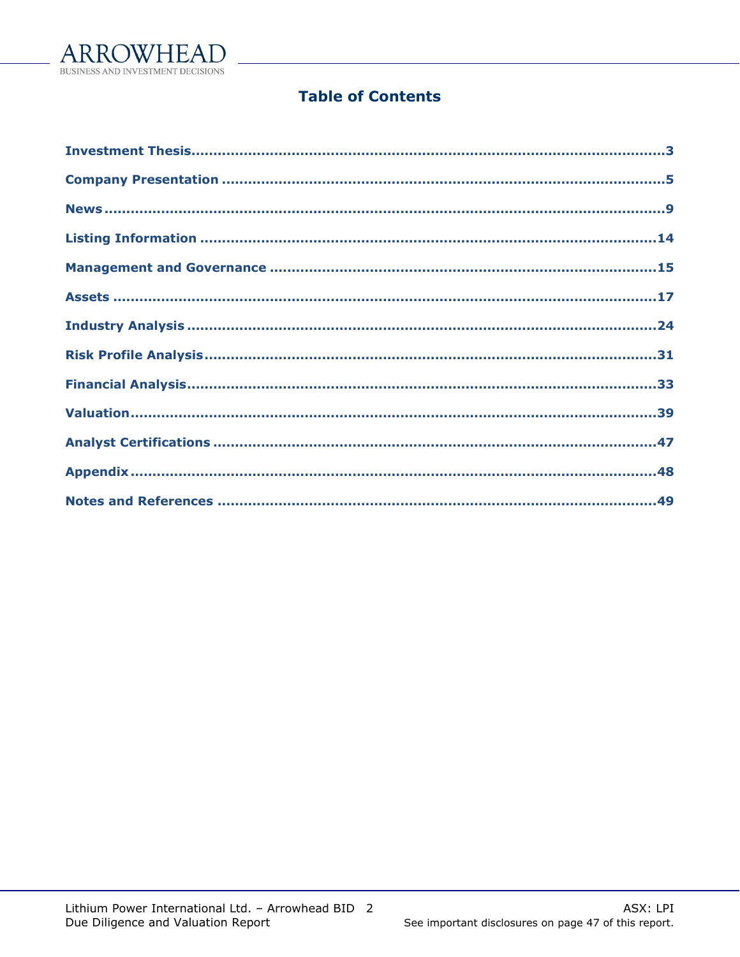

# **Table of Contents**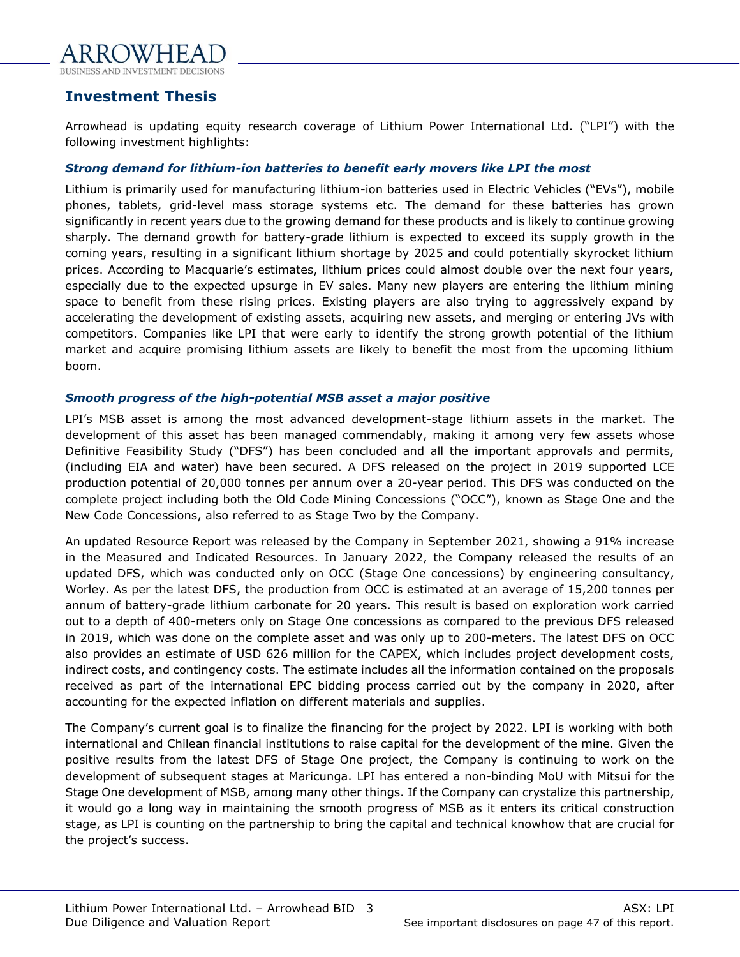

# <span id="page-2-0"></span>**Investment Thesis**

Arrowhead is updating equity research coverage of Lithium Power International Ltd. ("LPI") with the following investment highlights:

#### *Strong demand for lithium-ion batteries to benefit early movers like LPI the most*

Lithium is primarily used for manufacturing lithium-ion batteries used in Electric Vehicles ("EVs"), mobile phones, tablets, grid-level mass storage systems etc. The demand for these batteries has grown significantly in recent years due to the growing demand for these products and is likely to continue growing sharply. The demand growth for battery-grade lithium is expected to exceed its supply growth in the coming years, resulting in a significant lithium shortage by 2025 and could potentially skyrocket lithium prices. According to Macquarie's estimates, lithium prices could almost double over the next four years, especially due to the expected upsurge in EV sales. Many new players are entering the lithium mining space to benefit from these rising prices. Existing players are also trying to aggressively expand by accelerating the development of existing assets, acquiring new assets, and merging or entering JVs with competitors. Companies like LPI that were early to identify the strong growth potential of the lithium market and acquire promising lithium assets are likely to benefit the most from the upcoming lithium boom.

#### *Smooth progress of the high-potential MSB asset a major positive*

LPI's MSB asset is among the most advanced development-stage lithium assets in the market. The development of this asset has been managed commendably, making it among very few assets whose Definitive Feasibility Study ("DFS") has been concluded and all the important approvals and permits, (including EIA and water) have been secured. A DFS released on the project in 2019 supported LCE production potential of 20,000 tonnes per annum over a 20-year period. This DFS was conducted on the complete project including both the Old Code Mining Concessions ("OCC"), known as Stage One and the New Code Concessions, also referred to as Stage Two by the Company.

An updated Resource Report was released by the Company in September 2021, showing a 91% increase in the Measured and Indicated Resources. In January 2022, the Company released the results of an updated DFS, which was conducted only on OCC (Stage One concessions) by engineering consultancy, Worley. As per the latest DFS, the production from OCC is estimated at an average of 15,200 tonnes per annum of battery-grade lithium carbonate for 20 years. This result is based on exploration work carried out to a depth of 400-meters only on Stage One concessions as compared to the previous DFS released in 2019, which was done on the complete asset and was only up to 200-meters. The latest DFS on OCC also provides an estimate of USD 626 million for the CAPEX, which includes project development costs, indirect costs, and contingency costs. The estimate includes all the information contained on the proposals received as part of the international EPC bidding process carried out by the company in 2020, after accounting for the expected inflation on different materials and supplies.

The Company's current goal is to finalize the financing for the project by 2022. LPI is working with both international and Chilean financial institutions to raise capital for the development of the mine. Given the positive results from the latest DFS of Stage One project, the Company is continuing to work on the development of subsequent stages at Maricunga. LPI has entered a non-binding MoU with Mitsui for the Stage One development of MSB, among many other things. If the Company can crystalize this partnership, it would go a long way in maintaining the smooth progress of MSB as it enters its critical construction stage, as LPI is counting on the partnership to bring the capital and technical knowhow that are crucial for the project's success.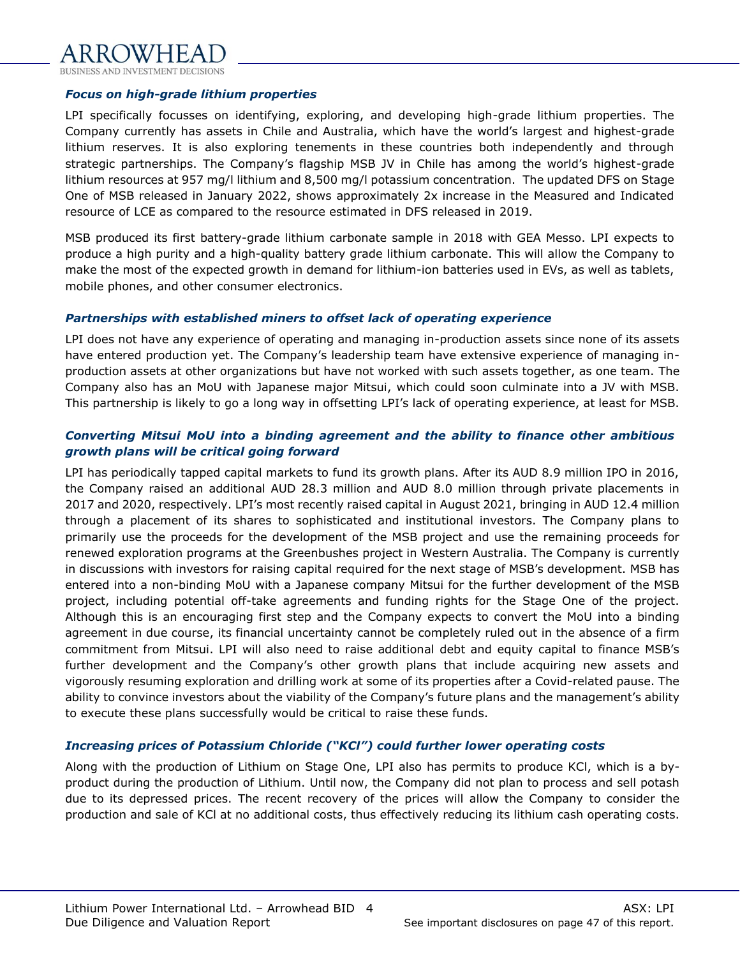

#### *Focus on high-grade lithium properties*

LPI specifically focusses on identifying, exploring, and developing high-grade lithium properties. The Company currently has assets in Chile and Australia, which have the world's largest and highest-grade lithium reserves. It is also exploring tenements in these countries both independently and through strategic partnerships. The Company's flagship MSB JV in Chile has among the world's highest-grade lithium resources at 957 mg/l lithium and 8,500 mg/l potassium concentration. The updated DFS on Stage One of MSB released in January 2022, shows approximately 2x increase in the Measured and Indicated resource of LCE as compared to the resource estimated in DFS released in 2019.

MSB produced its first battery-grade lithium carbonate sample in 2018 with GEA Messo. LPI expects to produce a high purity and a high-quality battery grade lithium carbonate. This will allow the Company to make the most of the expected growth in demand for lithium-ion batteries used in EVs, as well as tablets, mobile phones, and other consumer electronics.

#### *Partnerships with established miners to offset lack of operating experience*

LPI does not have any experience of operating and managing in-production assets since none of its assets have entered production yet. The Company's leadership team have extensive experience of managing inproduction assets at other organizations but have not worked with such assets together, as one team. The Company also has an MoU with Japanese major Mitsui, which could soon culminate into a JV with MSB. This partnership is likely to go a long way in offsetting LPI's lack of operating experience, at least for MSB.

### *Converting Mitsui MoU into a binding agreement and the ability to finance other ambitious growth plans will be critical going forward*

LPI has periodically tapped capital markets to fund its growth plans. After its AUD 8.9 million IPO in 2016, the Company raised an additional AUD 28.3 million and AUD 8.0 million through private placements in 2017 and 2020, respectively. LPI's most recently raised capital in August 2021, bringing in AUD 12.4 million through a placement of its shares to sophisticated and institutional investors. The Company plans to primarily use the proceeds for the development of the MSB project and use the remaining proceeds for renewed exploration programs at the Greenbushes project in Western Australia. The Company is currently in discussions with investors for raising capital required for the next stage of MSB's development. MSB has entered into a non-binding MoU with a Japanese company Mitsui for the further development of the MSB project, including potential off-take agreements and funding rights for the Stage One of the project. Although this is an encouraging first step and the Company expects to convert the MoU into a binding agreement in due course, its financial uncertainty cannot be completely ruled out in the absence of a firm commitment from Mitsui. LPI will also need to raise additional debt and equity capital to finance MSB's further development and the Company's other growth plans that include acquiring new assets and vigorously resuming exploration and drilling work at some of its properties after a Covid-related pause. The ability to convince investors about the viability of the Company's future plans and the management's ability to execute these plans successfully would be critical to raise these funds.

#### *Increasing prices of Potassium Chloride ("KCl") could further lower operating costs*

Along with the production of Lithium on Stage One, LPI also has permits to produce KCl, which is a byproduct during the production of Lithium. Until now, the Company did not plan to process and sell potash due to its depressed prices. The recent recovery of the prices will allow the Company to consider the production and sale of KCl at no additional costs, thus effectively reducing its lithium cash operating costs.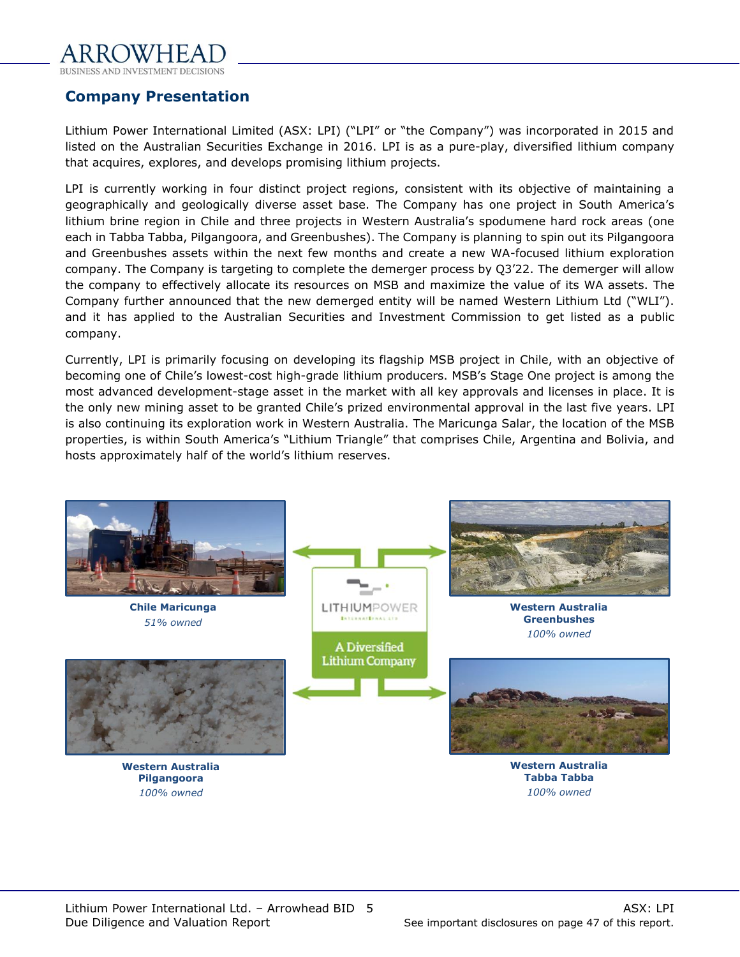

<span id="page-4-0"></span>**Company Presentation**

Lithium Power International Limited (ASX: LPI) ("LPI" or "the Company") was incorporated in 2015 and listed on the Australian Securities Exchange in 2016. LPI is as a pure-play, diversified lithium company that acquires, explores, and develops promising lithium projects.

LPI is currently working in four distinct project regions, consistent with its objective of maintaining a geographically and geologically diverse asset base. The Company has one project in South America's lithium brine region in Chile and three projects in Western Australia's spodumene hard rock areas (one each in Tabba Tabba, Pilgangoora, and Greenbushes). The Company is planning to spin out its Pilgangoora and Greenbushes assets within the next few months and create a new WA-focused lithium exploration company. The Company is targeting to complete the demerger process by Q3'22. The demerger will allow the company to effectively allocate its resources on MSB and maximize the value of its WA assets. The Company further announced that the new demerged entity will be named Western Lithium Ltd ("WLI"). and it has applied to the Australian Securities and Investment Commission to get listed as a public company.

Currently, LPI is primarily focusing on developing its flagship MSB project in Chile, with an objective of becoming one of Chile's lowest-cost high-grade lithium producers. MSB's Stage One project is among the most advanced development-stage asset in the market with all key approvals and licenses in place. It is the only new mining asset to be granted Chile's prized environmental approval in the last five years. LPI is also continuing its exploration work in Western Australia. The Maricunga Salar, the location of the MSB properties, is within South America's "Lithium Triangle" that comprises Chile, Argentina and Bolivia, and hosts approximately half of the world's lithium reserves.

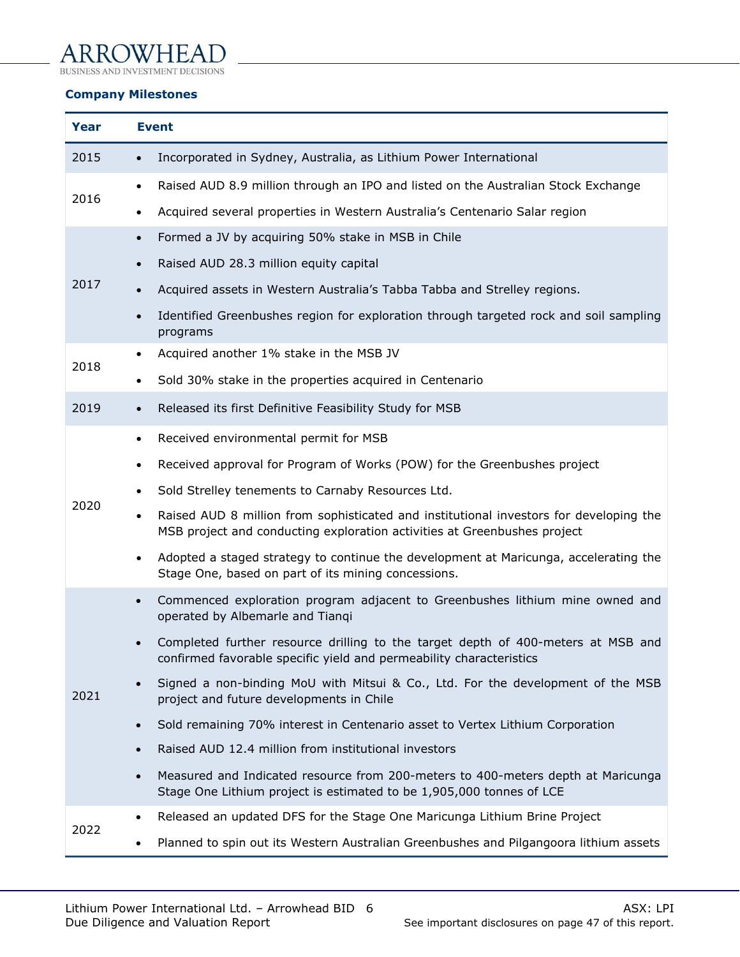## ARROWHEAI ١

BUSINESS AND INVESTMENT DECISIONS

## **Company Milestones**

| Year | <b>Event</b>                                                                                                                                                                    |
|------|---------------------------------------------------------------------------------------------------------------------------------------------------------------------------------|
| 2015 | Incorporated in Sydney, Australia, as Lithium Power International<br>$\bullet$                                                                                                  |
| 2016 | Raised AUD 8.9 million through an IPO and listed on the Australian Stock Exchange<br>$\bullet$                                                                                  |
|      | Acquired several properties in Western Australia's Centenario Salar region<br>٠                                                                                                 |
| 2017 | Formed a JV by acquiring 50% stake in MSB in Chile<br>$\bullet$                                                                                                                 |
|      | Raised AUD 28.3 million equity capital<br>$\bullet$                                                                                                                             |
|      | Acquired assets in Western Australia's Tabba Tabba and Strelley regions.                                                                                                        |
|      | Identified Greenbushes region for exploration through targeted rock and soil sampling<br>$\bullet$<br>programs                                                                  |
| 2018 | Acquired another 1% stake in the MSB JV<br>$\bullet$                                                                                                                            |
|      | Sold 30% stake in the properties acquired in Centenario                                                                                                                         |
| 2019 | Released its first Definitive Feasibility Study for MSB<br>$\bullet$                                                                                                            |
|      | Received environmental permit for MSB<br>$\bullet$                                                                                                                              |
|      | Received approval for Program of Works (POW) for the Greenbushes project<br>٠                                                                                                   |
|      | Sold Strelley tenements to Carnaby Resources Ltd.                                                                                                                               |
| 2020 | Raised AUD 8 million from sophisticated and institutional investors for developing the<br>$\bullet$<br>MSB project and conducting exploration activities at Greenbushes project |
|      | Adopted a staged strategy to continue the development at Maricunga, accelerating the<br>$\bullet$<br>Stage One, based on part of its mining concessions.                        |
|      | Commenced exploration program adjacent to Greenbushes lithium mine owned and<br>$\bullet$<br>operated by Albemarle and Tianqi                                                   |
|      | Completed further resource drilling to the target depth of 400-meters at MSB and<br>confirmed favorable specific yield and permeability characteristics                         |
| 2021 | Signed a non-binding MoU with Mitsui & Co., Ltd. For the development of the MSB<br>project and future developments in Chile                                                     |
|      | Sold remaining 70% interest in Centenario asset to Vertex Lithium Corporation<br>$\bullet$                                                                                      |
|      | Raised AUD 12.4 million from institutional investors<br>$\bullet$                                                                                                               |
|      | Measured and Indicated resource from 200-meters to 400-meters depth at Maricunga<br>$\bullet$<br>Stage One Lithium project is estimated to be 1,905,000 tonnes of LCE           |
| 2022 | Released an updated DFS for the Stage One Maricunga Lithium Brine Project<br>$\bullet$                                                                                          |
|      | Planned to spin out its Western Australian Greenbushes and Pilgangoora lithium assets                                                                                           |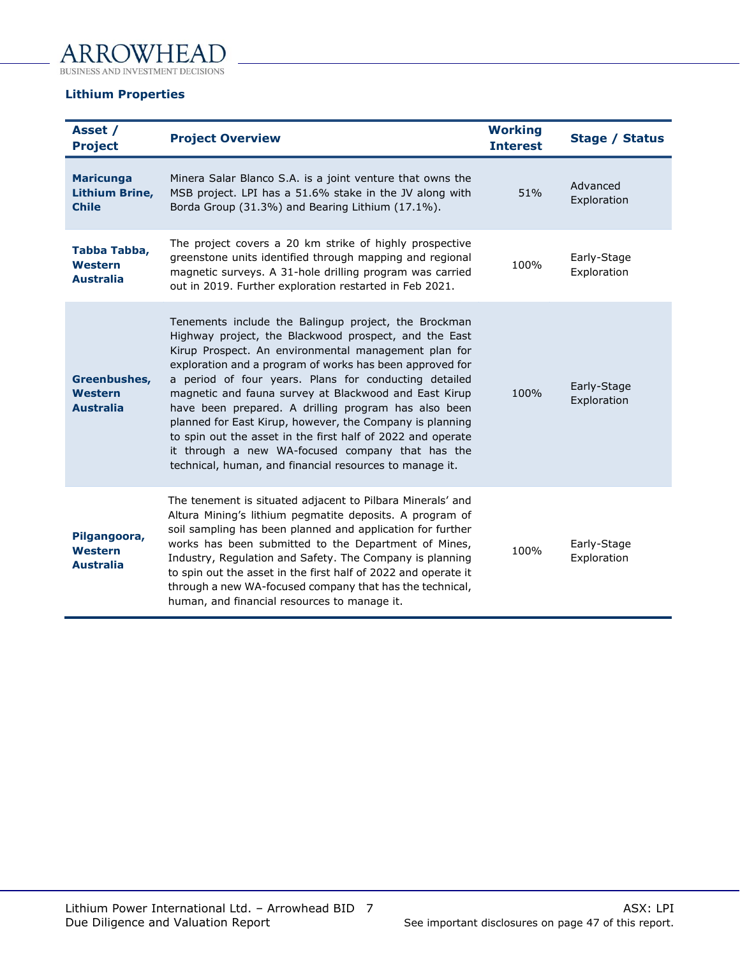

#### **Lithium Properties**

| Asset /<br><b>Project</b>                                 | <b>Project Overview</b>                                                                                                                                                                                                                                                                                                                                                                                                                                                                                                                                                                                                                               | <b>Working</b><br><b>Interest</b> | <b>Stage / Status</b>      |
|-----------------------------------------------------------|-------------------------------------------------------------------------------------------------------------------------------------------------------------------------------------------------------------------------------------------------------------------------------------------------------------------------------------------------------------------------------------------------------------------------------------------------------------------------------------------------------------------------------------------------------------------------------------------------------------------------------------------------------|-----------------------------------|----------------------------|
| <b>Maricunga</b><br><b>Lithium Brine,</b><br><b>Chile</b> | Minera Salar Blanco S.A. is a joint venture that owns the<br>MSB project. LPI has a 51.6% stake in the JV along with<br>Borda Group (31.3%) and Bearing Lithium (17.1%).                                                                                                                                                                                                                                                                                                                                                                                                                                                                              | 51%                               | Advanced<br>Exploration    |
| Tabba Tabba,<br>Western<br><b>Australia</b>               | The project covers a 20 km strike of highly prospective<br>greenstone units identified through mapping and regional<br>magnetic surveys. A 31-hole drilling program was carried<br>out in 2019. Further exploration restarted in Feb 2021.                                                                                                                                                                                                                                                                                                                                                                                                            | 100%                              | Early-Stage<br>Exploration |
| Greenbushes,<br>Western<br><b>Australia</b>               | Tenements include the Balingup project, the Brockman<br>Highway project, the Blackwood prospect, and the East<br>Kirup Prospect. An environmental management plan for<br>exploration and a program of works has been approved for<br>a period of four years. Plans for conducting detailed<br>magnetic and fauna survey at Blackwood and East Kirup<br>have been prepared. A drilling program has also been<br>planned for East Kirup, however, the Company is planning<br>to spin out the asset in the first half of 2022 and operate<br>it through a new WA-focused company that has the<br>technical, human, and financial resources to manage it. | 100%                              | Early-Stage<br>Exploration |
| Pilgangoora,<br>Western<br><b>Australia</b>               | The tenement is situated adjacent to Pilbara Minerals' and<br>Altura Mining's lithium pegmatite deposits. A program of<br>soil sampling has been planned and application for further<br>works has been submitted to the Department of Mines,<br>Industry, Regulation and Safety. The Company is planning<br>to spin out the asset in the first half of 2022 and operate it<br>through a new WA-focused company that has the technical,<br>human, and financial resources to manage it.                                                                                                                                                                | 100%                              | Early-Stage<br>Exploration |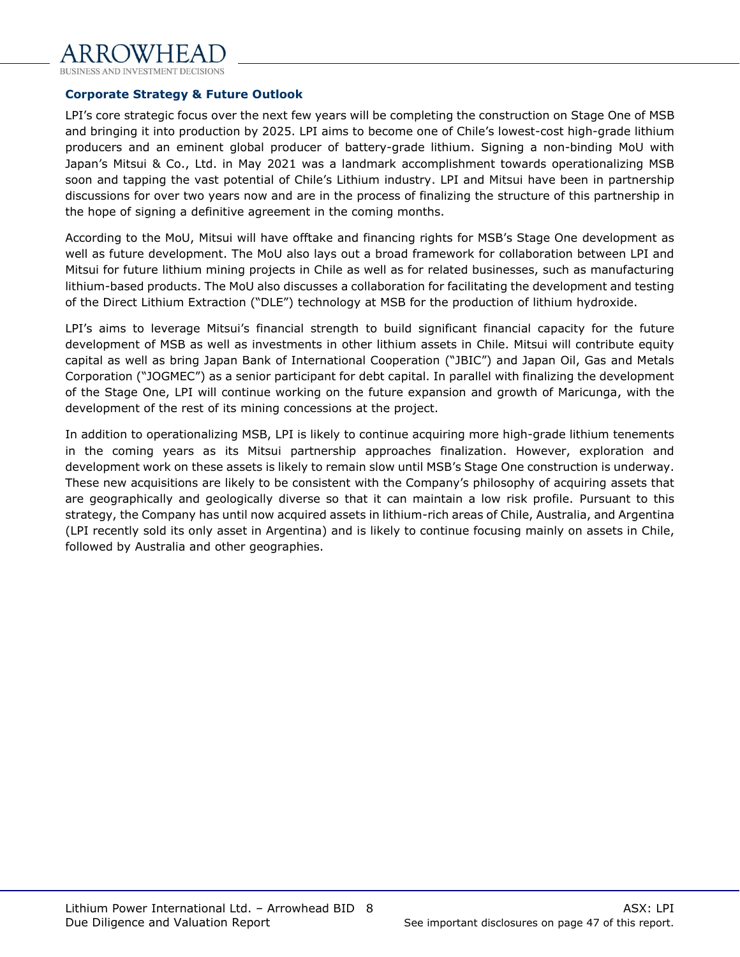

#### **Corporate Strategy & Future Outlook**

LPI's core strategic focus over the next few years will be completing the construction on Stage One of MSB and bringing it into production by 2025. LPI aims to become one of Chile's lowest-cost high-grade lithium producers and an eminent global producer of battery-grade lithium. Signing a non-binding MoU with Japan's Mitsui & Co., Ltd. in May 2021 was a landmark accomplishment towards operationalizing MSB soon and tapping the vast potential of Chile's Lithium industry. LPI and Mitsui have been in partnership discussions for over two years now and are in the process of finalizing the structure of this partnership in the hope of signing a definitive agreement in the coming months.

According to the MoU, Mitsui will have offtake and financing rights for MSB's Stage One development as well as future development. The MoU also lays out a broad framework for collaboration between LPI and Mitsui for future lithium mining projects in Chile as well as for related businesses, such as manufacturing lithium-based products. The MoU also discusses a collaboration for facilitating the development and testing of the Direct Lithium Extraction ("DLE") technology at MSB for the production of lithium hydroxide.

LPI's aims to leverage Mitsui's financial strength to build significant financial capacity for the future development of MSB as well as investments in other lithium assets in Chile. Mitsui will contribute equity capital as well as bring Japan Bank of International Cooperation ("JBIC") and Japan Oil, Gas and Metals Corporation ("JOGMEC") as a senior participant for debt capital. In parallel with finalizing the development of the Stage One, LPI will continue working on the future expansion and growth of Maricunga, with the development of the rest of its mining concessions at the project.

In addition to operationalizing MSB, LPI is likely to continue acquiring more high-grade lithium tenements in the coming years as its Mitsui partnership approaches finalization. However, exploration and development work on these assets is likely to remain slow until MSB's Stage One construction is underway. These new acquisitions are likely to be consistent with the Company's philosophy of acquiring assets that are geographically and geologically diverse so that it can maintain a low risk profile. Pursuant to this strategy, the Company has until now acquired assets in lithium-rich areas of Chile, Australia, and Argentina (LPI recently sold its only asset in Argentina) and is likely to continue focusing mainly on assets in Chile, followed by Australia and other geographies.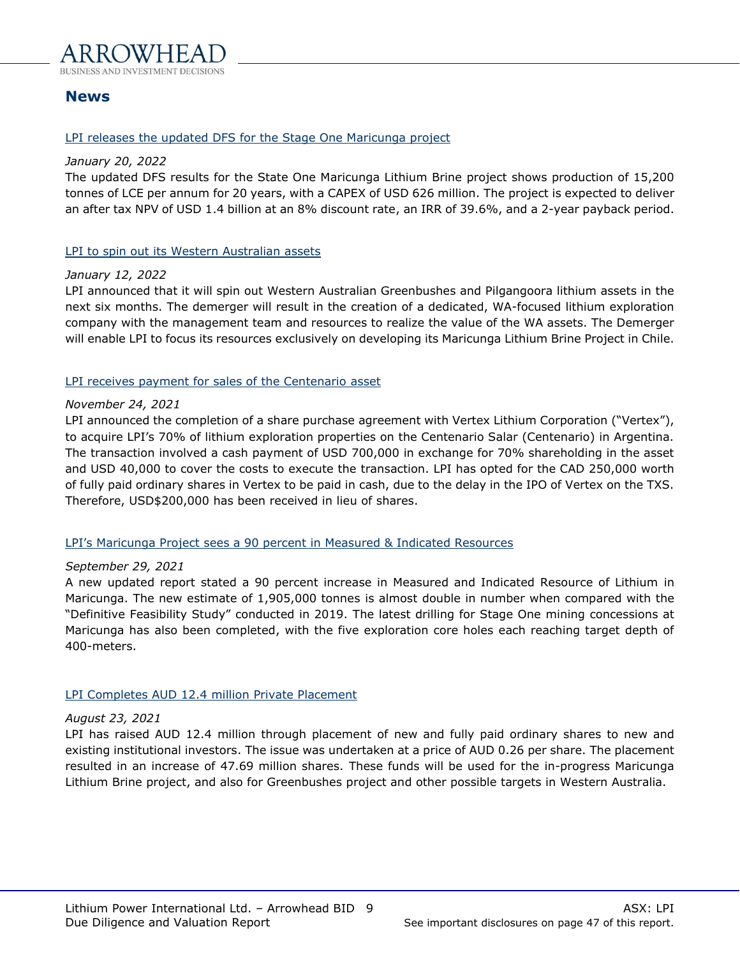

# <span id="page-8-0"></span>**News**

#### LPI releases the updated DFS for the Stage One Maricunga project

#### *January 20, 2022*

The updated DFS results for the State One Maricunga Lithium Brine project shows production of 15,200 tonnes of LCE per annum for 20 years, with a CAPEX of USD 626 million. The project is expected to deliver an after tax NPV of USD 1.4 billion at an 8% discount rate, an IRR of 39.6%, and a 2-year payback period.

#### LPI to spin out its Western Australian assets

#### *January 12, 2022*

LPI announced that it will spin out Western Australian Greenbushes and Pilgangoora lithium assets in the next six months. The demerger will result in the creation of a dedicated, WA-focused lithium exploration company with the management team and resources to realize the value of the WA assets. The Demerger will enable LPI to focus its resources exclusively on developing its Maricunga Lithium Brine Project in Chile.

#### LPI receives payment for sales of the Centenario asset

#### *November 24, 2021*

LPI announced the completion of a share purchase agreement with Vertex Lithium Corporation ("Vertex"), to acquire LPI's 70% of lithium exploration properties on the Centenario Salar (Centenario) in Argentina. The transaction involved a cash payment of USD 700,000 in exchange for 70% shareholding in the asset and USD 40,000 to cover the costs to execute the transaction. LPI has opted for the CAD 250,000 worth of fully paid ordinary shares in Vertex to be paid in cash, due to the delay in the IPO of Vertex on the TXS. Therefore, USD\$200,000 has been received in lieu of shares.

#### LPI's Maricunga Project sees a 90 percent in Measured & Indicated Resources

#### *September 29, 2021*

A new updated report stated a 90 percent increase in Measured and Indicated Resource of Lithium in Maricunga. The new estimate of 1,905,000 tonnes is almost double in number when compared with the "Definitive Feasibility Study" conducted in 2019. The latest drilling for Stage One mining concessions at Maricunga has also been completed, with the five exploration core holes each reaching target depth of 400-meters.

#### LPI Completes AUD 12.4 million Private Placement

#### *August 23, 2021*

LPI has raised AUD 12.4 million through placement of new and fully paid ordinary shares to new and existing institutional investors. The issue was undertaken at a price of AUD 0.26 per share. The placement resulted in an increase of 47.69 million shares. These funds will be used for the in-progress Maricunga Lithium Brine project, and also for Greenbushes project and other possible targets in Western Australia.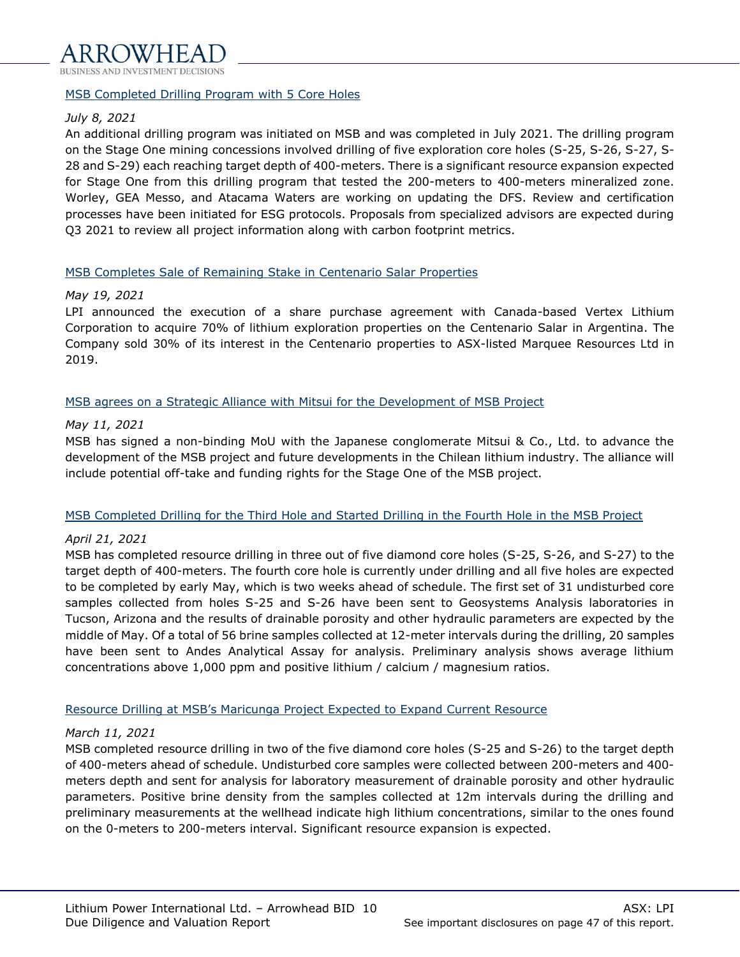

#### MSB Completed Drilling Program with 5 Core Holes

#### *July 8, 2021*

An additional drilling program was initiated on MSB and was completed in July 2021. The drilling program on the Stage One mining concessions involved drilling of five exploration core holes (S-25, S-26, S-27, S-28 and S-29) each reaching target depth of 400-meters. There is a significant resource expansion expected for Stage One from this drilling program that tested the 200-meters to 400-meters mineralized zone. Worley, GEA Messo, and Atacama Waters are working on updating the DFS. Review and certification processes have been initiated for ESG protocols. Proposals from specialized advisors are expected during Q3 2021 to review all project information along with carbon footprint metrics.

#### MSB Completes Sale of Remaining Stake in Centenario Salar Properties

#### *May 19, 2021*

LPI announced the execution of a share purchase agreement with Canada-based Vertex Lithium Corporation to acquire 70% of lithium exploration properties on the Centenario Salar in Argentina. The Company sold 30% of its interest in the Centenario properties to ASX-listed Marquee Resources Ltd in 2019.

#### MSB agrees on a Strategic Alliance with Mitsui for the Development of MSB Project

#### *May 11, 2021*

MSB has signed a non-binding MoU with the Japanese conglomerate Mitsui & Co., Ltd. to advance the development of the MSB project and future developments in the Chilean lithium industry. The alliance will include potential off-take and funding rights for the Stage One of the MSB project.

#### MSB Completed Drilling for the Third Hole and Started Drilling in the Fourth Hole in the MSB Project

#### *April 21, 2021*

MSB has completed resource drilling in three out of five diamond core holes (S-25, S-26, and S-27) to the target depth of 400-meters. The fourth core hole is currently under drilling and all five holes are expected to be completed by early May, which is two weeks ahead of schedule. The first set of 31 undisturbed core samples collected from holes S-25 and S-26 have been sent to Geosystems Analysis laboratories in Tucson, Arizona and the results of drainable porosity and other hydraulic parameters are expected by the middle of May. Of a total of 56 brine samples collected at 12-meter intervals during the drilling, 20 samples have been sent to Andes Analytical Assay for analysis. Preliminary analysis shows average lithium concentrations above 1,000 ppm and positive lithium / calcium / magnesium ratios.

#### Resource Drilling at MSB's Maricunga Project Expected to Expand Current Resource

#### *March 11, 2021*

MSB completed resource drilling in two of the five diamond core holes (S-25 and S-26) to the target depth of 400-meters ahead of schedule. Undisturbed core samples were collected between 200-meters and 400 meters depth and sent for analysis for laboratory measurement of drainable porosity and other hydraulic parameters. Positive brine density from the samples collected at 12m intervals during the drilling and preliminary measurements at the wellhead indicate high lithium concentrations, similar to the ones found on the 0-meters to 200-meters interval. Significant resource expansion is expected.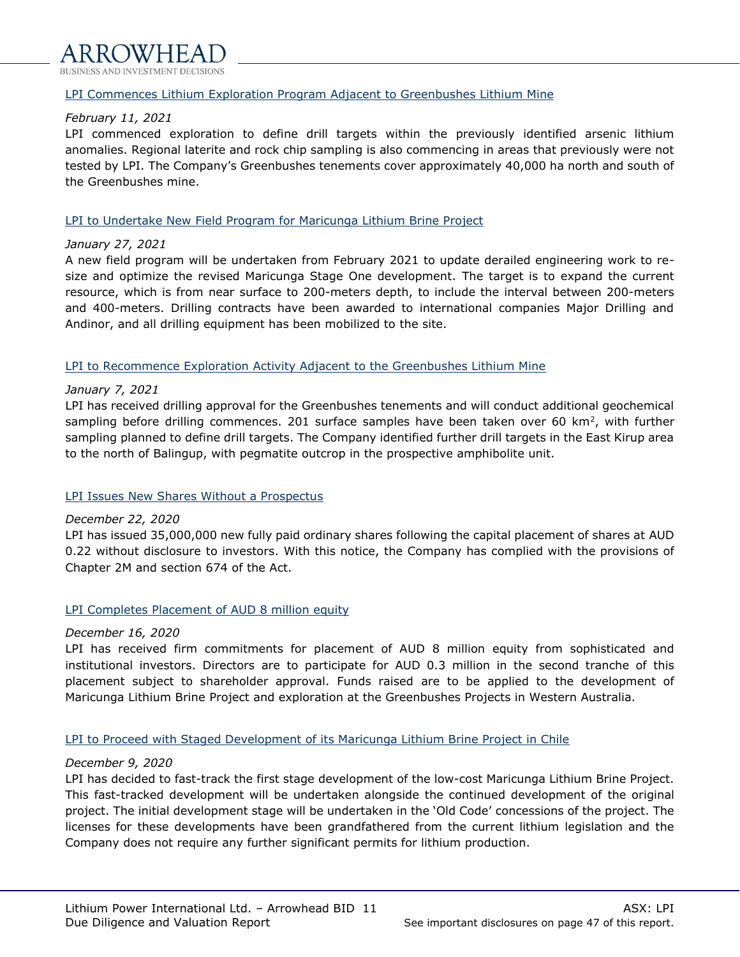#### LPI Commences Lithium Exploration Program Adjacent to Greenbushes Lithium Mine

#### *February 11, 2021*

LPI commenced exploration to define drill targets within the previously identified arsenic lithium anomalies. Regional laterite and rock chip sampling is also commencing in areas that previously were not tested by LPI. The Company's Greenbushes tenements cover approximately 40,000 ha north and south of the Greenbushes mine.

#### LPI to Undertake New Field Program for Maricunga Lithium Brine Project

#### *January 27, 2021*

A new field program will be undertaken from February 2021 to update derailed engineering work to resize and optimize the revised Maricunga Stage One development. The target is to expand the current resource, which is from near surface to 200-meters depth, to include the interval between 200-meters and 400-meters. Drilling contracts have been awarded to international companies Major Drilling and Andinor, and all drilling equipment has been mobilized to the site.

#### LPI to Recommence Exploration Activity Adjacent to the Greenbushes Lithium Mine

#### *January 7, 2021*

LPI has received drilling approval for the Greenbushes tenements and will conduct additional geochemical sampling before drilling commences. 201 surface samples have been taken over 60 km<sup>2</sup>, with further sampling planned to define drill targets. The Company identified further drill targets in the East Kirup area to the north of Balingup, with pegmatite outcrop in the prospective amphibolite unit.

#### LPI Issues New Shares Without a Prospectus

#### *December 22, 2020*

LPI has issued 35,000,000 new fully paid ordinary shares following the capital placement of shares at AUD 0.22 without disclosure to investors. With this notice, the Company has complied with the provisions of Chapter 2M and section 674 of the Act.

#### LPI Completes Placement of AUD 8 million equity

#### *December 16, 2020*

LPI has received firm commitments for placement of AUD 8 million equity from sophisticated and institutional investors. Directors are to participate for AUD 0.3 million in the second tranche of this placement subject to shareholder approval. Funds raised are to be applied to the development of Maricunga Lithium Brine Project and exploration at the Greenbushes Projects in Western Australia.

#### LPI to Proceed with Staged Development of its Maricunga Lithium Brine Project in Chile

#### *December 9, 2020*

LPI has decided to fast-track the first stage development of the low-cost Maricunga Lithium Brine Project. This fast-tracked development will be undertaken alongside the continued development of the original project. The initial development stage will be undertaken in the 'Old Code' concessions of the project. The licenses for these developments have been grandfathered from the current lithium legislation and the Company does not require any further significant permits for lithium production.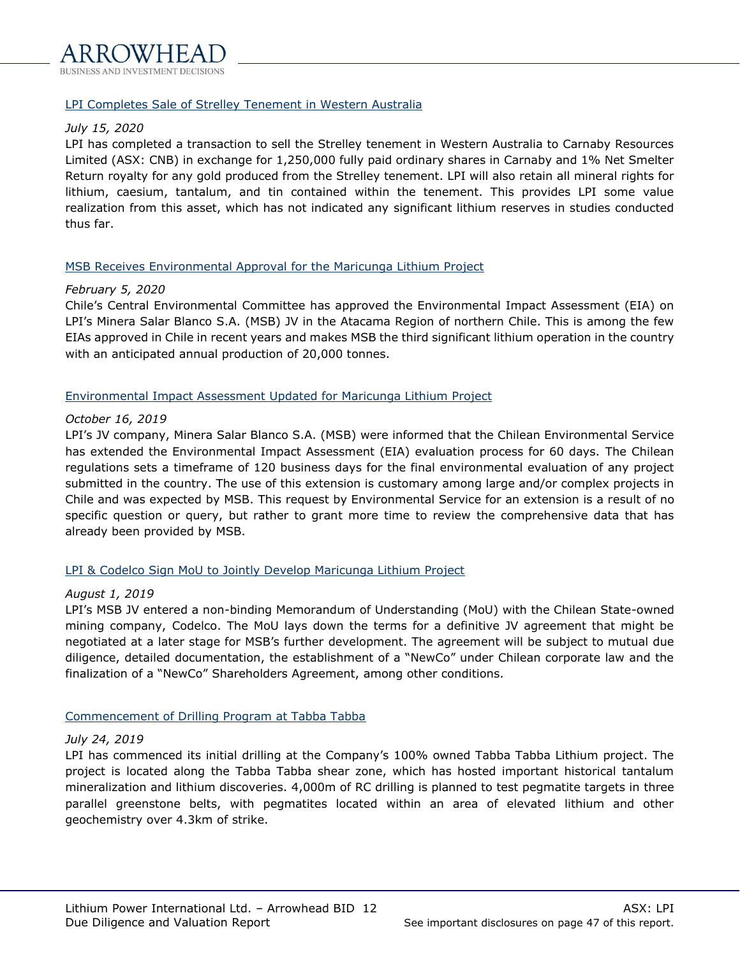#### LPI Completes Sale of Strelley Tenement in Western Australia

#### *July 15, 2020*

LPI has completed a transaction to sell the Strelley tenement in Western Australia to Carnaby Resources Limited (ASX: CNB) in exchange for 1,250,000 fully paid ordinary shares in Carnaby and 1% Net Smelter Return royalty for any gold produced from the Strelley tenement. LPI will also retain all mineral rights for lithium, caesium, tantalum, and tin contained within the tenement. This provides LPI some value realization from this asset, which has not indicated any significant lithium reserves in studies conducted thus far.

#### MSB Receives Environmental Approval for the Maricunga Lithium Project

#### *February 5, 2020*

Chile's Central Environmental Committee has approved the Environmental Impact Assessment (EIA) on LPI's Minera Salar Blanco S.A. (MSB) JV in the Atacama Region of northern Chile. This is among the few EIAs approved in Chile in recent years and makes MSB the third significant lithium operation in the country with an anticipated annual production of 20,000 tonnes.

#### Environmental Impact Assessment Updated for Maricunga Lithium Project

#### *October 16, 2019*

LPI's JV company, Minera Salar Blanco S.A. (MSB) were informed that the Chilean Environmental Service has extended the Environmental Impact Assessment (EIA) evaluation process for 60 days. The Chilean regulations sets a timeframe of 120 business days for the final environmental evaluation of any project submitted in the country. The use of this extension is customary among large and/or complex projects in Chile and was expected by MSB. This request by Environmental Service for an extension is a result of no specific question or query, but rather to grant more time to review the comprehensive data that has already been provided by MSB.

#### LPI & Codelco Sign MoU to Jointly Develop Maricunga Lithium Project

#### *August 1, 2019*

LPI's MSB JV entered a non-binding Memorandum of Understanding (MoU) with the Chilean State-owned mining company, Codelco. The MoU lays down the terms for a definitive JV agreement that might be negotiated at a later stage for MSB's further development. The agreement will be subject to mutual due diligence, detailed documentation, the establishment of a "NewCo" under Chilean corporate law and the finalization of a "NewCo" Shareholders Agreement, among other conditions.

#### Commencement of Drilling Program at Tabba Tabba

#### *July 24, 2019*

LPI has commenced its initial drilling at the Company's 100% owned Tabba Tabba Lithium project. The project is located along the Tabba Tabba shear zone, which has hosted important historical tantalum mineralization and lithium discoveries. 4,000m of RC drilling is planned to test pegmatite targets in three parallel greenstone belts, with pegmatites located within an area of elevated lithium and other geochemistry over 4.3km of strike.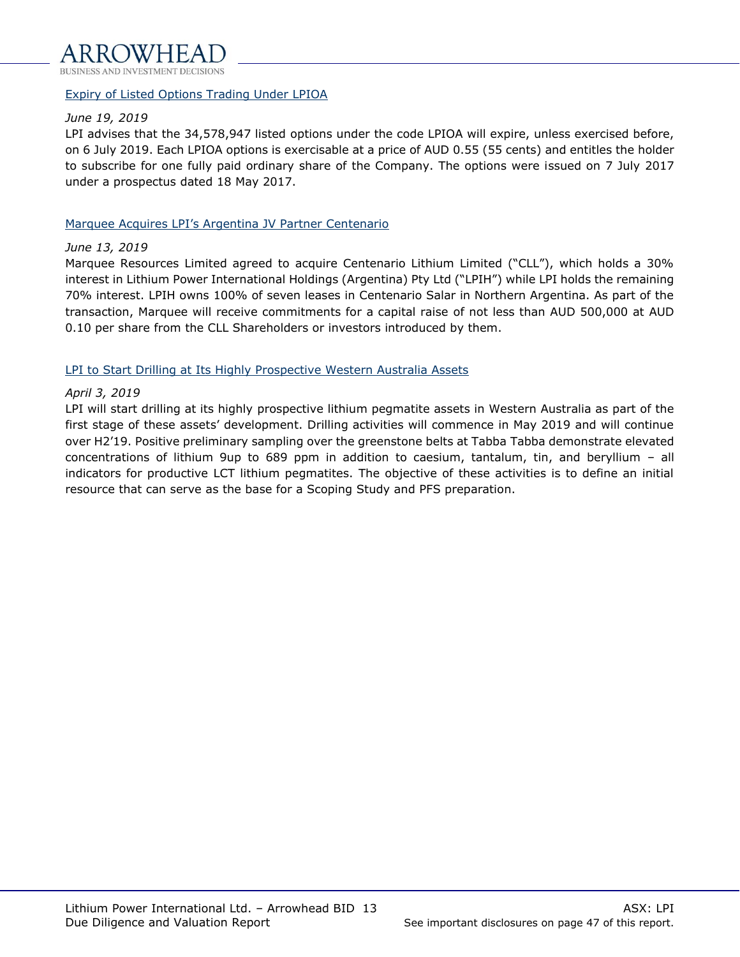

#### Expiry of Listed Options Trading Under LPIOA

#### *June 19, 2019*

LPI advises that the 34,578,947 listed options under the code LPIOA will expire, unless exercised before, on 6 July 2019. Each LPIOA options is exercisable at a price of AUD 0.55 (55 cents) and entitles the holder to subscribe for one fully paid ordinary share of the Company. The options were issued on 7 July 2017 under a prospectus dated 18 May 2017.

#### Marquee Acquires LPI's Argentina JV Partner Centenario

#### *June 13, 2019*

Marquee Resources Limited agreed to acquire Centenario Lithium Limited ("CLL"), which holds a 30% interest in Lithium Power International Holdings (Argentina) Pty Ltd ("LPIH") while LPI holds the remaining 70% interest. LPIH owns 100% of seven leases in Centenario Salar in Northern Argentina. As part of the transaction, Marquee will receive commitments for a capital raise of not less than AUD 500,000 at AUD 0.10 per share from the CLL Shareholders or investors introduced by them.

#### LPI to Start Drilling at Its Highly Prospective Western Australia Assets

#### *April 3, 2019*

LPI will start drilling at its highly prospective lithium pegmatite assets in Western Australia as part of the first stage of these assets' development. Drilling activities will commence in May 2019 and will continue over H2'19. Positive preliminary sampling over the greenstone belts at Tabba Tabba demonstrate elevated concentrations of lithium 9up to 689 ppm in addition to caesium, tantalum, tin, and beryllium – all indicators for productive LCT lithium pegmatites. The objective of these activities is to define an initial resource that can serve as the base for a Scoping Study and PFS preparation.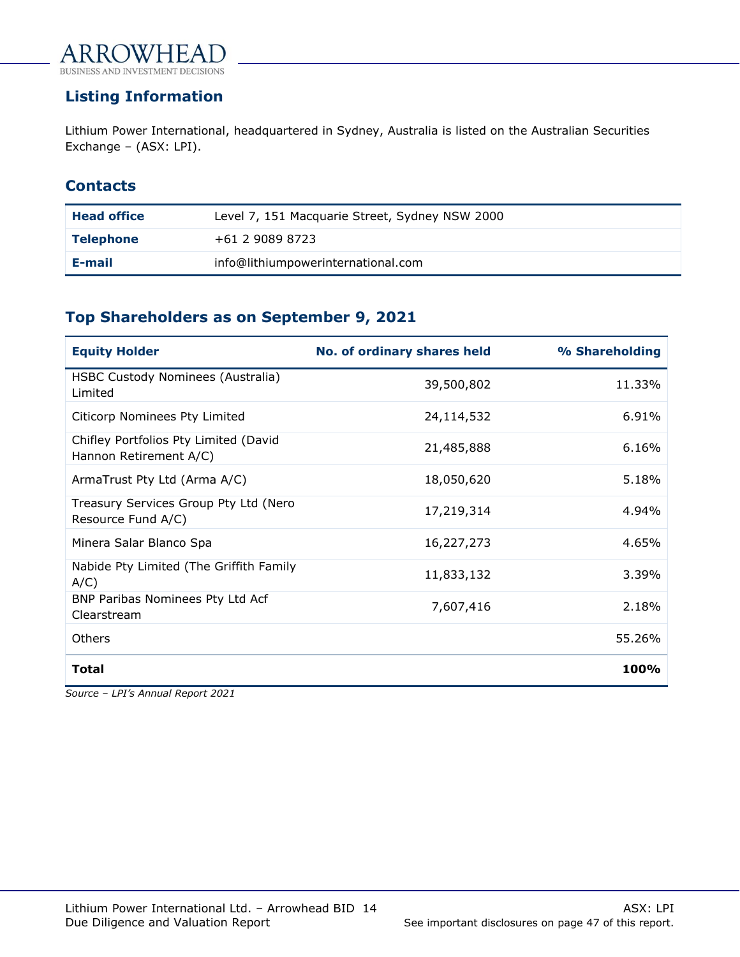

# <span id="page-13-0"></span>**Listing Information**

Lithium Power International, headquartered in Sydney, Australia is listed on the Australian Securities Exchange – (ASX: LPI).

# **Contacts**

| <b>Head office</b> | Level 7, 151 Macquarie Street, Sydney NSW 2000 |
|--------------------|------------------------------------------------|
| <b>Telephone</b>   | +61 2 9089 8723                                |
| E-mail             | info@lithiumpowerinternational.com             |

# **Top Shareholders as on September 9, 2021**

| <b>Equity Holder</b>                                            | No. of ordinary shares held | % Shareholding |
|-----------------------------------------------------------------|-----------------------------|----------------|
| HSBC Custody Nominees (Australia)<br>I imited                   | 39,500,802                  | 11.33%         |
| Citicorp Nominees Pty Limited                                   | 24,114,532                  | 6.91%          |
| Chifley Portfolios Pty Limited (David<br>Hannon Retirement A/C) | 21,485,888                  | 6.16%          |
| ArmaTrust Pty Ltd (Arma A/C)                                    | 18,050,620                  | 5.18%          |
| Treasury Services Group Pty Ltd (Nero<br>Resource Fund A/C)     | 17,219,314                  | 4.94%          |
| Minera Salar Blanco Spa                                         | 16,227,273                  | 4.65%          |
| Nabide Pty Limited (The Griffith Family<br>$A/C$ )              | 11,833,132                  | 3.39%          |
| BNP Paribas Nominees Pty Ltd Acf<br>Clearstream                 | 7,607,416                   | 2.18%          |
| Others                                                          |                             | 55.26%         |
| <b>Total</b>                                                    |                             | 100%           |

*Source – LPI's Annual Report 2021*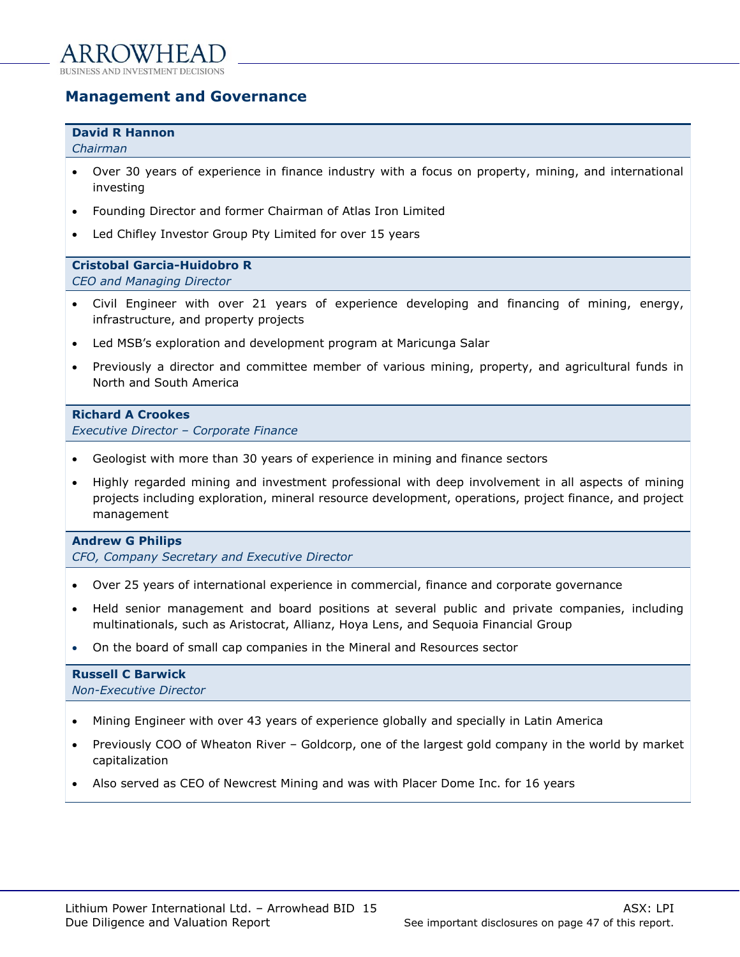# <span id="page-14-0"></span>**Management and Governance**

#### **David R Hannon**

*Chairman*

- Over 30 years of experience in finance industry with a focus on property, mining, and international investing
- Founding Director and former Chairman of Atlas Iron Limited
- Led Chifley Investor Group Pty Limited for over 15 years

#### **Cristobal Garcia-Huidobro R**

*CEO and Managing Director*

- Civil Engineer with over 21 years of experience developing and financing of mining, energy, infrastructure, and property projects
- Led MSB's exploration and development program at Maricunga Salar
- Previously a director and committee member of various mining, property, and agricultural funds in North and South America

#### **Richard A Crookes**

*Executive Director – Corporate Finance*

- Geologist with more than 30 years of experience in mining and finance sectors
- Highly regarded mining and investment professional with deep involvement in all aspects of mining projects including exploration, mineral resource development, operations, project finance, and project management

#### **Andrew G Philips**

*CFO, Company Secretary and Executive Director*

- Over 25 years of international experience in commercial, finance and corporate governance
- Held senior management and board positions at several public and private companies, including multinationals, such as Aristocrat, Allianz, Hoya Lens, and Sequoia Financial Group
- On the board of small cap companies in the Mineral and Resources sector

#### **Russell C Barwick** *Non-Executive Director*

- Mining Engineer with over 43 years of experience globally and specially in Latin America
- Previously COO of Wheaton River Goldcorp, one of the largest gold company in the world by market capitalization
- Also served as CEO of Newcrest Mining and was with Placer Dome Inc. for 16 years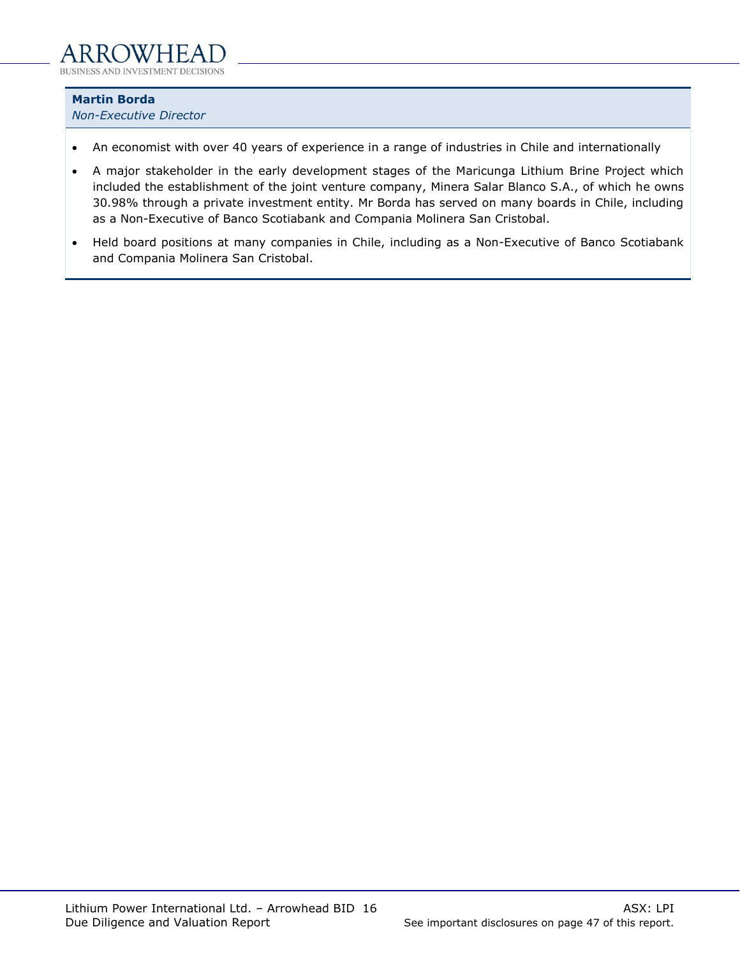**Martin Borda**

*Non-Executive Director*

- An economist with over 40 years of experience in a range of industries in Chile and internationally
- A major stakeholder in the early development stages of the Maricunga Lithium Brine Project which included the establishment of the joint venture company, Minera Salar Blanco S.A., of which he owns 30.98% through a private investment entity. Mr Borda has served on many boards in Chile, including as a Non-Executive of Banco Scotiabank and Compania Molinera San Cristobal.
- Held board positions at many companies in Chile, including as a Non-Executive of Banco Scotiabank and Compania Molinera San Cristobal.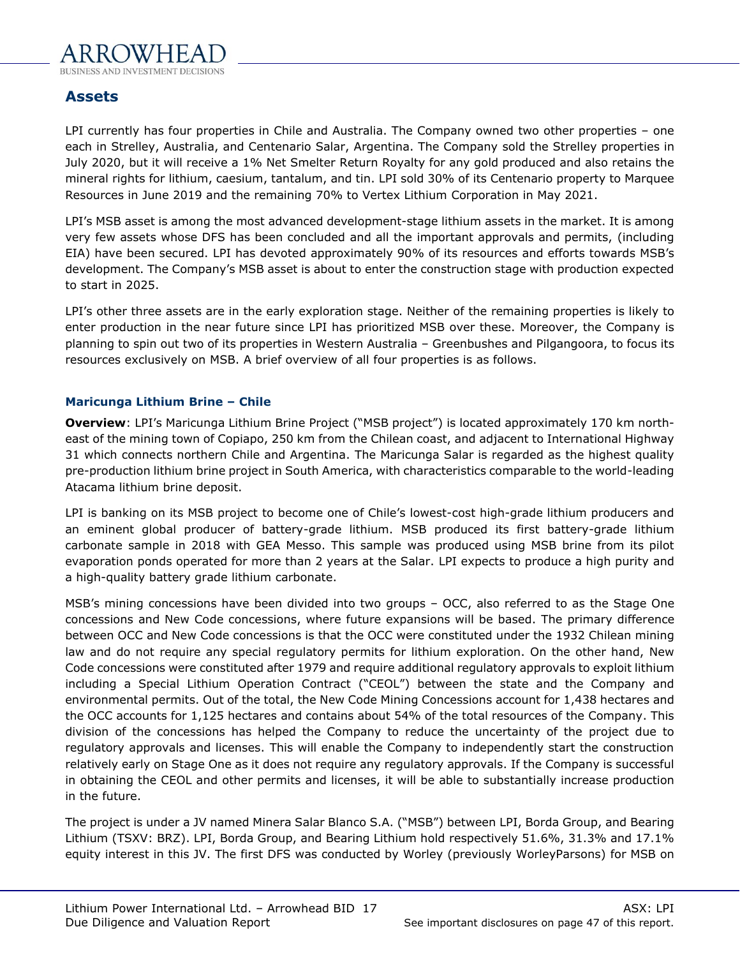

# <span id="page-16-0"></span>**Assets**

LPI currently has four properties in Chile and Australia. The Company owned two other properties – one each in Strelley, Australia, and Centenario Salar, Argentina. The Company sold the Strelley properties in July 2020, but it will receive a 1% Net Smelter Return Royalty for any gold produced and also retains the mineral rights for lithium, caesium, tantalum, and tin. LPI sold 30% of its Centenario property to Marquee Resources in June 2019 and the remaining 70% to Vertex Lithium Corporation in May 2021.

LPI's MSB asset is among the most advanced development-stage lithium assets in the market. It is among very few assets whose DFS has been concluded and all the important approvals and permits, (including EIA) have been secured. LPI has devoted approximately 90% of its resources and efforts towards MSB's development. The Company's MSB asset is about to enter the construction stage with production expected to start in 2025.

LPI's other three assets are in the early exploration stage. Neither of the remaining properties is likely to enter production in the near future since LPI has prioritized MSB over these. Moreover, the Company is planning to spin out two of its properties in Western Australia – Greenbushes and Pilgangoora, to focus its resources exclusively on MSB. A brief overview of all four properties is as follows.

## **Maricunga Lithium Brine – Chile**

**Overview**: LPI's Maricunga Lithium Brine Project ("MSB project") is located approximately 170 km northeast of the mining town of Copiapo, 250 km from the Chilean coast, and adjacent to International Highway 31 which connects northern Chile and Argentina. The Maricunga Salar is regarded as the highest quality pre-production lithium brine project in South America, with characteristics comparable to the world-leading Atacama lithium brine deposit.

LPI is banking on its MSB project to become one of Chile's lowest-cost high-grade lithium producers and an eminent global producer of battery-grade lithium. MSB produced its first battery-grade lithium carbonate sample in 2018 with GEA Messo. This sample was produced using MSB brine from its pilot evaporation ponds operated for more than 2 years at the Salar. LPI expects to produce a high purity and a high-quality battery grade lithium carbonate.

MSB's mining concessions have been divided into two groups – OCC, also referred to as the Stage One concessions and New Code concessions, where future expansions will be based. The primary difference between OCC and New Code concessions is that the OCC were constituted under the 1932 Chilean mining law and do not require any special regulatory permits for lithium exploration. On the other hand, New Code concessions were constituted after 1979 and require additional regulatory approvals to exploit lithium including a Special Lithium Operation Contract ("CEOL") between the state and the Company and environmental permits. Out of the total, the New Code Mining Concessions account for 1,438 hectares and the OCC accounts for 1,125 hectares and contains about 54% of the total resources of the Company. This division of the concessions has helped the Company to reduce the uncertainty of the project due to regulatory approvals and licenses. This will enable the Company to independently start the construction relatively early on Stage One as it does not require any regulatory approvals. If the Company is successful in obtaining the CEOL and other permits and licenses, it will be able to substantially increase production in the future.

The project is under a JV named Minera Salar Blanco S.A. ("MSB") between LPI, Borda Group, and Bearing Lithium (TSXV: BRZ). LPI, Borda Group, and Bearing Lithium hold respectively 51.6%, 31.3% and 17.1% equity interest in this JV. The first DFS was conducted by Worley (previously WorleyParsons) for MSB on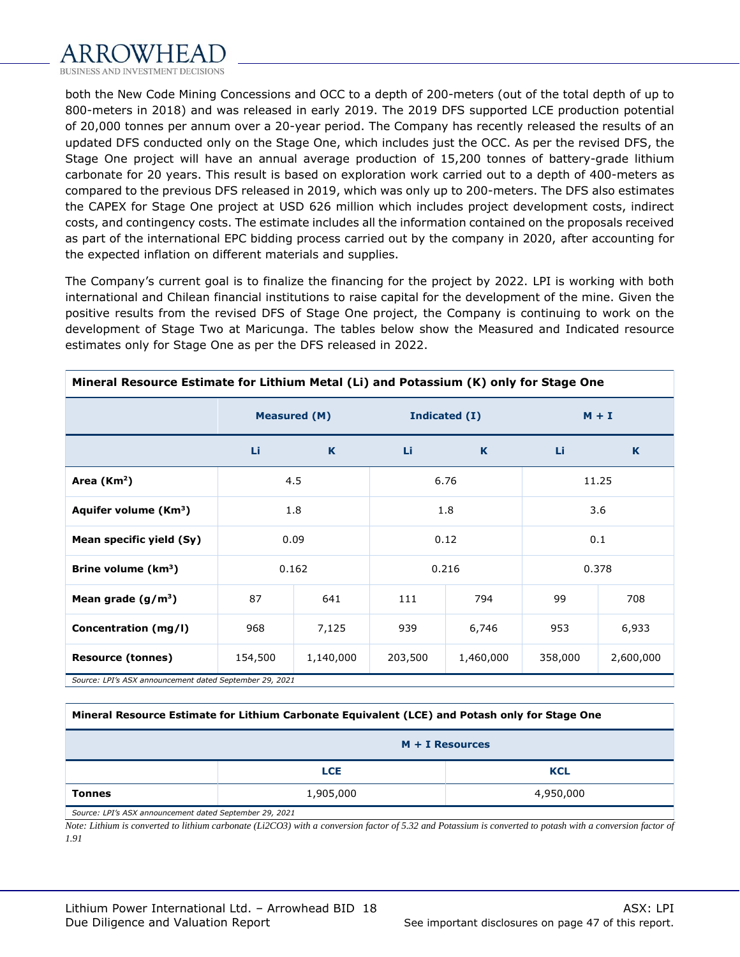

both the New Code Mining Concessions and OCC to a depth of 200-meters (out of the total depth of up to 800-meters in 2018) and was released in early 2019. The 2019 DFS supported LCE production potential of 20,000 tonnes per annum over a 20-year period. The Company has recently released the results of an updated DFS conducted only on the Stage One, which includes just the OCC. As per the revised DFS, the Stage One project will have an annual average production of 15,200 tonnes of battery-grade lithium carbonate for 20 years. This result is based on exploration work carried out to a depth of 400-meters as compared to the previous DFS released in 2019, which was only up to 200-meters. The DFS also estimates the CAPEX for Stage One project at USD 626 million which includes project development costs, indirect costs, and contingency costs. The estimate includes all the information contained on the proposals received as part of the international EPC bidding process carried out by the company in 2020, after accounting for the expected inflation on different materials and supplies.

The Company's current goal is to finalize the financing for the project by 2022. LPI is working with both international and Chilean financial institutions to raise capital for the development of the mine. Given the positive results from the revised DFS of Stage One project, the Company is continuing to work on the development of Stage Two at Maricunga. The tables below show the Measured and Indicated resource estimates only for Stage One as per the DFS released in 2022.

| Mineral Resource Estimate for Lithium Metal (LI) and Potassium (K) only for Stage One |                                                         |                     |             |               |              |       |  |  |
|---------------------------------------------------------------------------------------|---------------------------------------------------------|---------------------|-------------|---------------|--------------|-------|--|--|
|                                                                                       |                                                         | <b>Measured (M)</b> |             | Indicated (I) | $M + I$      |       |  |  |
|                                                                                       | Li                                                      | K                   | Li          | K             | Li           | K     |  |  |
| Area $(Km2)$                                                                          |                                                         | 4.5                 |             | 6.76          | 11.25        |       |  |  |
| Aquifer volume (Km <sup>3</sup> )                                                     |                                                         | 1.8                 |             | 1.8           |              | 3.6   |  |  |
| Mean specific yield (Sy)                                                              |                                                         | 0.09                | 0.12<br>0.1 |               |              |       |  |  |
| Brine volume $(km3)$                                                                  |                                                         | 0.162               | 0.216       |               |              | 0.378 |  |  |
| Mean grade $(g/m^3)$                                                                  | 87                                                      | 641                 | 111         | 794           | 99           | 708   |  |  |
| Concentration (mg/l)                                                                  | 968                                                     | 7,125               | 939         | 6,746         | 953<br>6,933 |       |  |  |
| <b>Resource (tonnes)</b>                                                              | 203,500<br>358,000<br>154,500<br>1,140,000<br>1,460,000 |                     | 2,600,000   |               |              |       |  |  |
| Source: LPI's ASX announcement dated September 29, 2021                               |                                                         |                     |             |               |              |       |  |  |

**Mineral Resource Estimate for Lithium Metal (Li) and Potassium (K) only for Stage One**

*Source: LPI's ASX announcement dated September 29, 2021*

#### **Mineral Resource Estimate for Lithium Carbonate Equivalent (LCE) and Potash only for Stage One**

|                                                         | $M + I$ Resources<br><b>KCL</b><br><b>LCE</b><br>1,905,000<br>4,950,000 |  |  |  |  |  |
|---------------------------------------------------------|-------------------------------------------------------------------------|--|--|--|--|--|
|                                                         |                                                                         |  |  |  |  |  |
| <b>Tonnes</b>                                           |                                                                         |  |  |  |  |  |
| Source: LPI's ASY announcement dated Sentember 29, 2021 |                                                                         |  |  |  |  |  |

*Source: LPI's ASX announcement dated September 29, 2021*

*Note: Lithium is converted to lithium carbonate (Li2CO3) with a conversion factor of 5.32 and Potassium is converted to potash with a conversion factor of 1.91*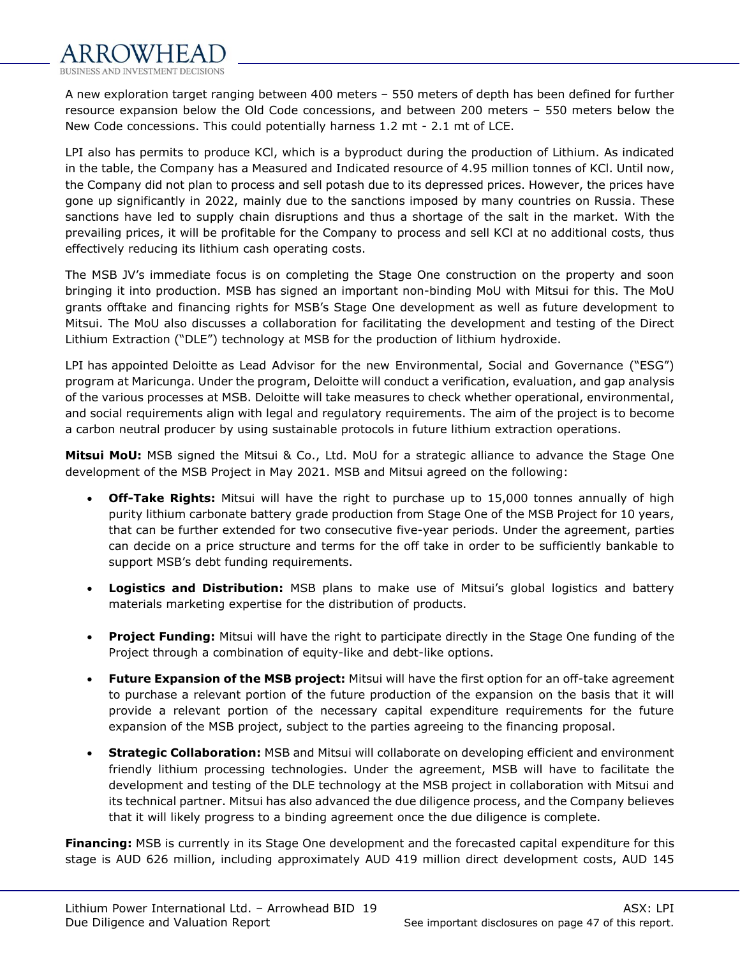

A new exploration target ranging between 400 meters – 550 meters of depth has been defined for further resource expansion below the Old Code concessions, and between 200 meters – 550 meters below the New Code concessions. This could potentially harness 1.2 mt - 2.1 mt of LCE.

LPI also has permits to produce KCl, which is a byproduct during the production of Lithium. As indicated in the table, the Company has a Measured and Indicated resource of 4.95 million tonnes of KCl. Until now, the Company did not plan to process and sell potash due to its depressed prices. However, the prices have gone up significantly in 2022, mainly due to the sanctions imposed by many countries on Russia. These sanctions have led to supply chain disruptions and thus a shortage of the salt in the market. With the prevailing prices, it will be profitable for the Company to process and sell KCl at no additional costs, thus effectively reducing its lithium cash operating costs.

The MSB JV's immediate focus is on completing the Stage One construction on the property and soon bringing it into production. MSB has signed an important non-binding MoU with Mitsui for this. The MoU grants offtake and financing rights for MSB's Stage One development as well as future development to Mitsui. The MoU also discusses a collaboration for facilitating the development and testing of the Direct Lithium Extraction ("DLE") technology at MSB for the production of lithium hydroxide.

LPI has appointed Deloitte as Lead Advisor for the new Environmental, Social and Governance ("ESG") program at Maricunga. Under the program, Deloitte will conduct a verification, evaluation, and gap analysis of the various processes at MSB. Deloitte will take measures to check whether operational, environmental, and social requirements align with legal and regulatory requirements. The aim of the project is to become a carbon neutral producer by using sustainable protocols in future lithium extraction operations.

**Mitsui MoU:** MSB signed the Mitsui & Co., Ltd. MoU for a strategic alliance to advance the Stage One development of the MSB Project in May 2021. MSB and Mitsui agreed on the following:

- **Off-Take Rights:** Mitsui will have the right to purchase up to 15,000 tonnes annually of high purity lithium carbonate battery grade production from Stage One of the MSB Project for 10 years, that can be further extended for two consecutive five-year periods. Under the agreement, parties can decide on a price structure and terms for the off take in order to be sufficiently bankable to support MSB's debt funding requirements.
- **Logistics and Distribution:** MSB plans to make use of Mitsui's global logistics and battery materials marketing expertise for the distribution of products.
- **Project Funding:** Mitsui will have the right to participate directly in the Stage One funding of the Project through a combination of equity-like and debt-like options.
- **Future Expansion of the MSB project:** Mitsui will have the first option for an off-take agreement to purchase a relevant portion of the future production of the expansion on the basis that it will provide a relevant portion of the necessary capital expenditure requirements for the future expansion of the MSB project, subject to the parties agreeing to the financing proposal.
- **Strategic Collaboration:** MSB and Mitsui will collaborate on developing efficient and environment friendly lithium processing technologies. Under the agreement, MSB will have to facilitate the development and testing of the DLE technology at the MSB project in collaboration with Mitsui and its technical partner. Mitsui has also advanced the due diligence process, and the Company believes that it will likely progress to a binding agreement once the due diligence is complete.

**Financing:** MSB is currently in its Stage One development and the forecasted capital expenditure for this stage is AUD 626 million, including approximately AUD 419 million direct development costs, AUD 145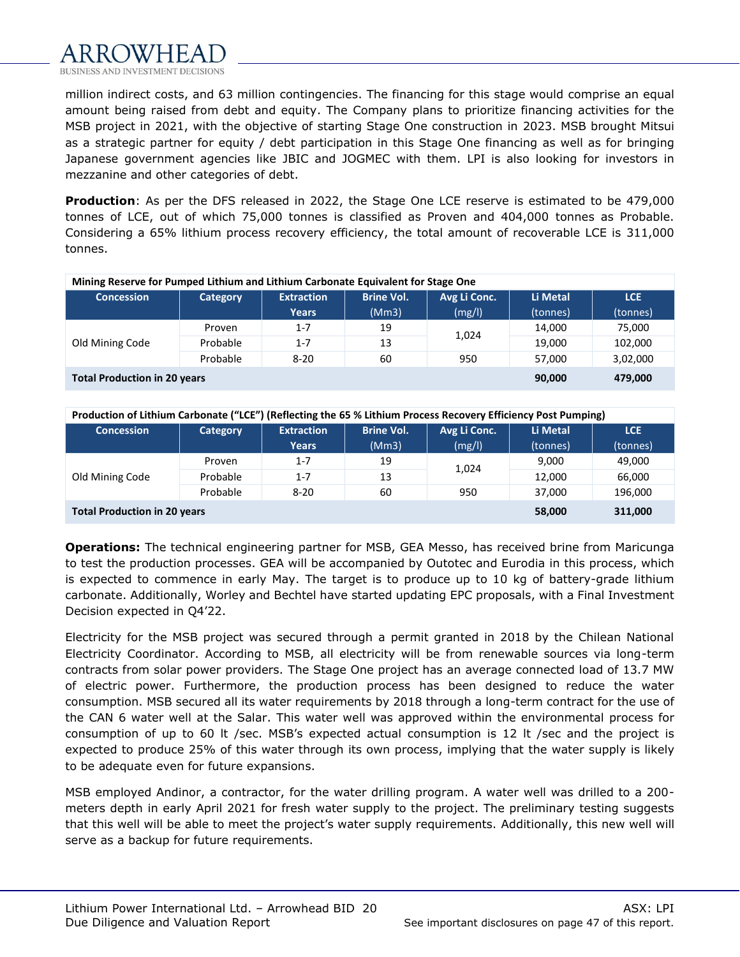

million indirect costs, and 63 million contingencies. The financing for this stage would comprise an equal amount being raised from debt and equity. The Company plans to prioritize financing activities for the MSB project in 2021, with the objective of starting Stage One construction in 2023. MSB brought Mitsui as a strategic partner for equity / debt participation in this Stage One financing as well as for bringing Japanese government agencies like JBIC and JOGMEC with them. LPI is also looking for investors in mezzanine and other categories of debt.

**Production**: As per the DFS released in 2022, the Stage One LCE reserve is estimated to be 479,000 tonnes of LCE, out of which 75,000 tonnes is classified as Proven and 404,000 tonnes as Probable. Considering a 65% lithium process recovery efficiency, the total amount of recoverable LCE is 311,000 tonnes.

| Mining Reserve for Pumped Lithium and Lithium Carbonate Equivalent for Stage One |          |                   |                   |              |          |            |  |  |  |
|----------------------------------------------------------------------------------|----------|-------------------|-------------------|--------------|----------|------------|--|--|--|
| <b>Concession</b>                                                                | Category | <b>Extraction</b> | <b>Brine Vol.</b> | Avg Li Conc. | Li Metal | <b>LCE</b> |  |  |  |
|                                                                                  |          | <b>Years</b>      | (Mm3)             | (mg/l)       | (tonnes) | (tonnes)   |  |  |  |
|                                                                                  | Proven   | $1 - 7$           | 19                | 1,024        | 14,000   | 75,000     |  |  |  |
| Old Mining Code                                                                  | Probable | $1 - 7$           | 13                |              | 19,000   | 102,000    |  |  |  |
|                                                                                  | Probable | $8 - 20$          | 60                | 950          | 57.000   | 3,02,000   |  |  |  |
| <b>Total Production in 20 years</b>                                              | 90,000   | 479,000           |                   |              |          |            |  |  |  |

**Production of Lithium Carbonate ("LCE") (Reflecting the 65 % Lithium Process Recovery Efficiency Post Pumping)**

| <b>Concession</b>                                        | Category | <b>Extraction</b> | <b>Brine Vol.</b> | Avg Li Conc. | Li Metal | <b>LCE</b> |  |
|----------------------------------------------------------|----------|-------------------|-------------------|--------------|----------|------------|--|
|                                                          |          | Years             | (Mm3)             | (mg/l)       | (tonnes) | (tonnes)   |  |
| Old Mining Code                                          | Proven   | $1 - 7$           | 19                | 1,024        | 9,000    | 49,000     |  |
|                                                          | Probable | $1 - 7$           | 13                |              | 12,000   | 66,000     |  |
|                                                          | Probable | $8 - 20$          | 60                | 950          | 37,000   | 196,000    |  |
| <b>Total Production in 20 years</b><br>311,000<br>58,000 |          |                   |                   |              |          |            |  |

**Operations:** The technical engineering partner for MSB, GEA Messo, has received brine from Maricunga to test the production processes. GEA will be accompanied by Outotec and Eurodia in this process, which is expected to commence in early May. The target is to produce up to 10 kg of battery-grade lithium carbonate. Additionally, Worley and Bechtel have started updating EPC proposals, with a Final Investment Decision expected in Q4'22.

Electricity for the MSB project was secured through a permit granted in 2018 by the Chilean National Electricity Coordinator. According to MSB, all electricity will be from renewable sources via long-term contracts from solar power providers. The Stage One project has an average connected load of 13.7 MW of electric power. Furthermore, the production process has been designed to reduce the water consumption. MSB secured all its water requirements by 2018 through a long-term contract for the use of the CAN 6 water well at the Salar. This water well was approved within the environmental process for consumption of up to 60 lt /sec. MSB's expected actual consumption is 12 lt /sec and the project is expected to produce 25% of this water through its own process, implying that the water supply is likely to be adequate even for future expansions.

MSB employed Andinor, a contractor, for the water drilling program. A water well was drilled to a 200 meters depth in early April 2021 for fresh water supply to the project. The preliminary testing suggests that this well will be able to meet the project's water supply requirements. Additionally, this new well will serve as a backup for future requirements.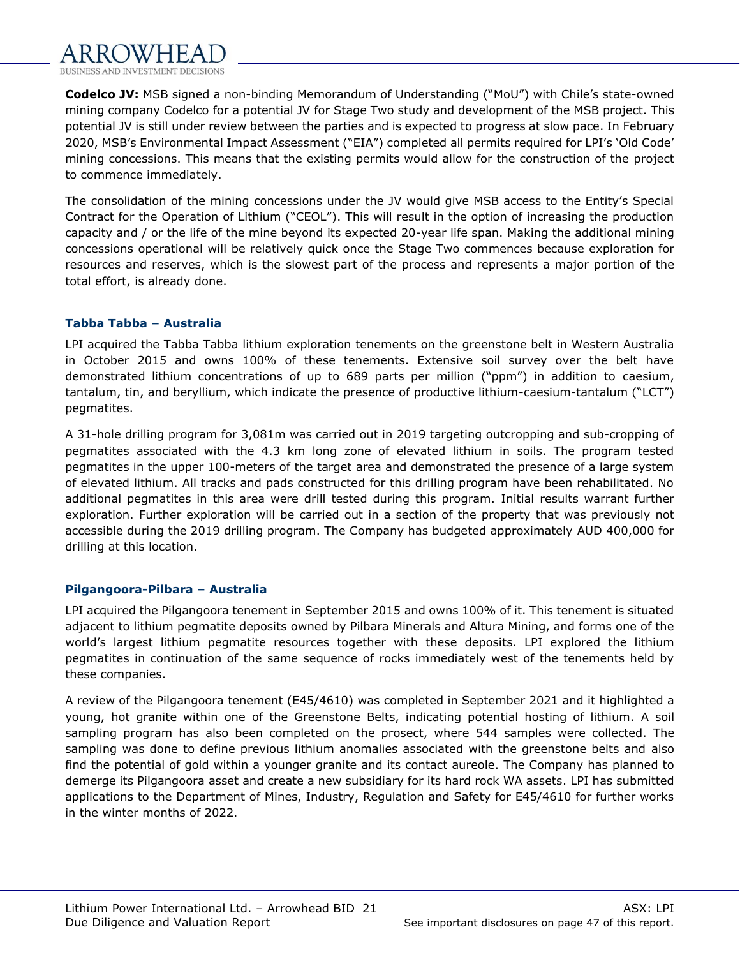

**Codelco JV:** MSB signed a non-binding Memorandum of Understanding ("MoU") with Chile's state-owned mining company Codelco for a potential JV for Stage Two study and development of the MSB project. This potential JV is still under review between the parties and is expected to progress at slow pace. In February 2020, MSB's Environmental Impact Assessment ("EIA") completed all permits required for LPI's 'Old Code' mining concessions. This means that the existing permits would allow for the construction of the project to commence immediately.

The consolidation of the mining concessions under the JV would give MSB access to the Entity's Special Contract for the Operation of Lithium ("CEOL"). This will result in the option of increasing the production capacity and / or the life of the mine beyond its expected 20-year life span. Making the additional mining concessions operational will be relatively quick once the Stage Two commences because exploration for resources and reserves, which is the slowest part of the process and represents a major portion of the total effort, is already done.

## **Tabba Tabba – Australia**

LPI acquired the Tabba Tabba lithium exploration tenements on the greenstone belt in Western Australia in October 2015 and owns 100% of these tenements. Extensive soil survey over the belt have demonstrated lithium concentrations of up to 689 parts per million ("ppm") in addition to caesium, tantalum, tin, and beryllium, which indicate the presence of productive lithium-caesium-tantalum ("LCT") pegmatites.

A 31-hole drilling program for 3,081m was carried out in 2019 targeting outcropping and sub-cropping of pegmatites associated with the 4.3 km long zone of elevated lithium in soils. The program tested pegmatites in the upper 100-meters of the target area and demonstrated the presence of a large system of elevated lithium. All tracks and pads constructed for this drilling program have been rehabilitated. No additional pegmatites in this area were drill tested during this program. Initial results warrant further exploration. Further exploration will be carried out in a section of the property that was previously not accessible during the 2019 drilling program. The Company has budgeted approximately AUD 400,000 for drilling at this location.

#### **Pilgangoora-Pilbara – Australia**

LPI acquired the Pilgangoora tenement in September 2015 and owns 100% of it. This tenement is situated adjacent to lithium pegmatite deposits owned by Pilbara Minerals and Altura Mining, and forms one of the world's largest lithium pegmatite resources together with these deposits. LPI explored the lithium pegmatites in continuation of the same sequence of rocks immediately west of the tenements held by these companies.

A review of the Pilgangoora tenement (E45/4610) was completed in September 2021 and it highlighted a young, hot granite within one of the Greenstone Belts, indicating potential hosting of lithium. A soil sampling program has also been completed on the prosect, where 544 samples were collected. The sampling was done to define previous lithium anomalies associated with the greenstone belts and also find the potential of gold within a younger granite and its contact aureole. The Company has planned to demerge its Pilgangoora asset and create a new subsidiary for its hard rock WA assets. LPI has submitted applications to the Department of Mines, Industry, Regulation and Safety for E45/4610 for further works in the winter months of 2022.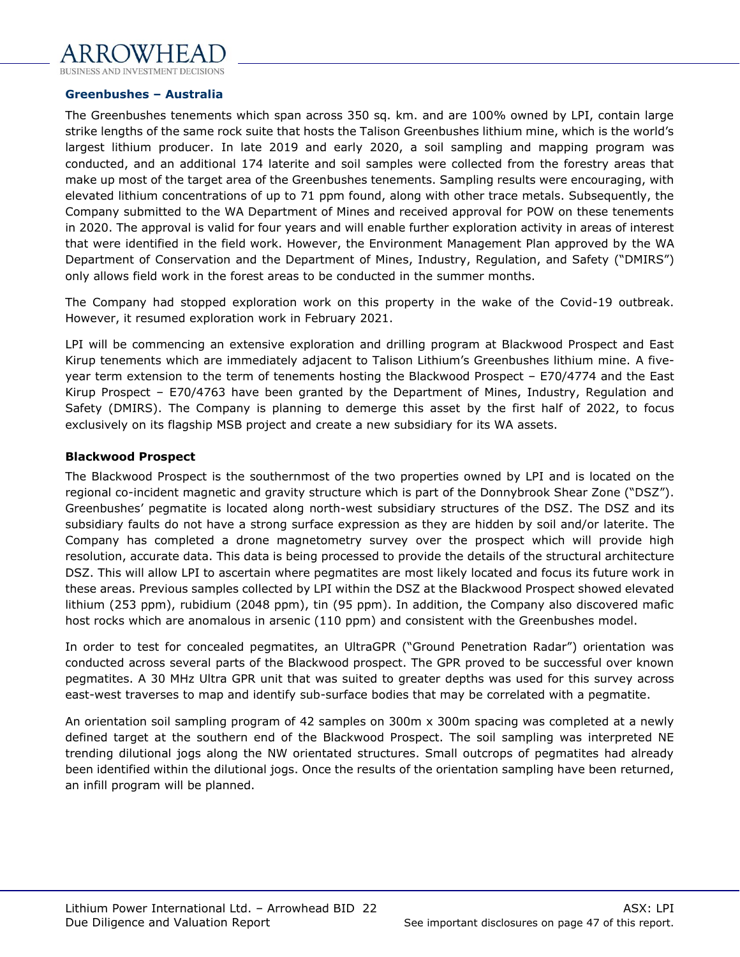#### **Greenbushes – Australia**

The Greenbushes tenements which span across 350 sq. km. and are 100% owned by LPI, contain large strike lengths of the same rock suite that hosts the Talison Greenbushes lithium mine, which is the world's largest lithium producer. In late 2019 and early 2020, a soil sampling and mapping program was conducted, and an additional 174 laterite and soil samples were collected from the forestry areas that make up most of the target area of the Greenbushes tenements. Sampling results were encouraging, with elevated lithium concentrations of up to 71 ppm found, along with other trace metals. Subsequently, the Company submitted to the WA Department of Mines and received approval for POW on these tenements in 2020. The approval is valid for four years and will enable further exploration activity in areas of interest that were identified in the field work. However, the Environment Management Plan approved by the WA Department of Conservation and the Department of Mines, Industry, Regulation, and Safety ("DMIRS") only allows field work in the forest areas to be conducted in the summer months.

The Company had stopped exploration work on this property in the wake of the Covid-19 outbreak. However, it resumed exploration work in February 2021.

LPI will be commencing an extensive exploration and drilling program at Blackwood Prospect and East Kirup tenements which are immediately adjacent to Talison Lithium's Greenbushes lithium mine. A fiveyear term extension to the term of tenements hosting the Blackwood Prospect – E70/4774 and the East Kirup Prospect – E70/4763 have been granted by the Department of Mines, Industry, Regulation and Safety (DMIRS). The Company is planning to demerge this asset by the first half of 2022, to focus exclusively on its flagship MSB project and create a new subsidiary for its WA assets.

#### **Blackwood Prospect**

The Blackwood Prospect is the southernmost of the two properties owned by LPI and is located on the regional co-incident magnetic and gravity structure which is part of the Donnybrook Shear Zone ("DSZ"). Greenbushes' pegmatite is located along north-west subsidiary structures of the DSZ. The DSZ and its subsidiary faults do not have a strong surface expression as they are hidden by soil and/or laterite. The Company has completed a drone magnetometry survey over the prospect which will provide high resolution, accurate data. This data is being processed to provide the details of the structural architecture DSZ. This will allow LPI to ascertain where pegmatites are most likely located and focus its future work in these areas. Previous samples collected by LPI within the DSZ at the Blackwood Prospect showed elevated lithium (253 ppm), rubidium (2048 ppm), tin (95 ppm). In addition, the Company also discovered mafic host rocks which are anomalous in arsenic (110 ppm) and consistent with the Greenbushes model.

In order to test for concealed pegmatites, an UltraGPR ("Ground Penetration Radar") orientation was conducted across several parts of the Blackwood prospect. The GPR proved to be successful over known pegmatites. A 30 MHz Ultra GPR unit that was suited to greater depths was used for this survey across east-west traverses to map and identify sub-surface bodies that may be correlated with a pegmatite.

An orientation soil sampling program of 42 samples on 300m x 300m spacing was completed at a newly defined target at the southern end of the Blackwood Prospect. The soil sampling was interpreted NE trending dilutional jogs along the NW orientated structures. Small outcrops of pegmatites had already been identified within the dilutional jogs. Once the results of the orientation sampling have been returned, an infill program will be planned.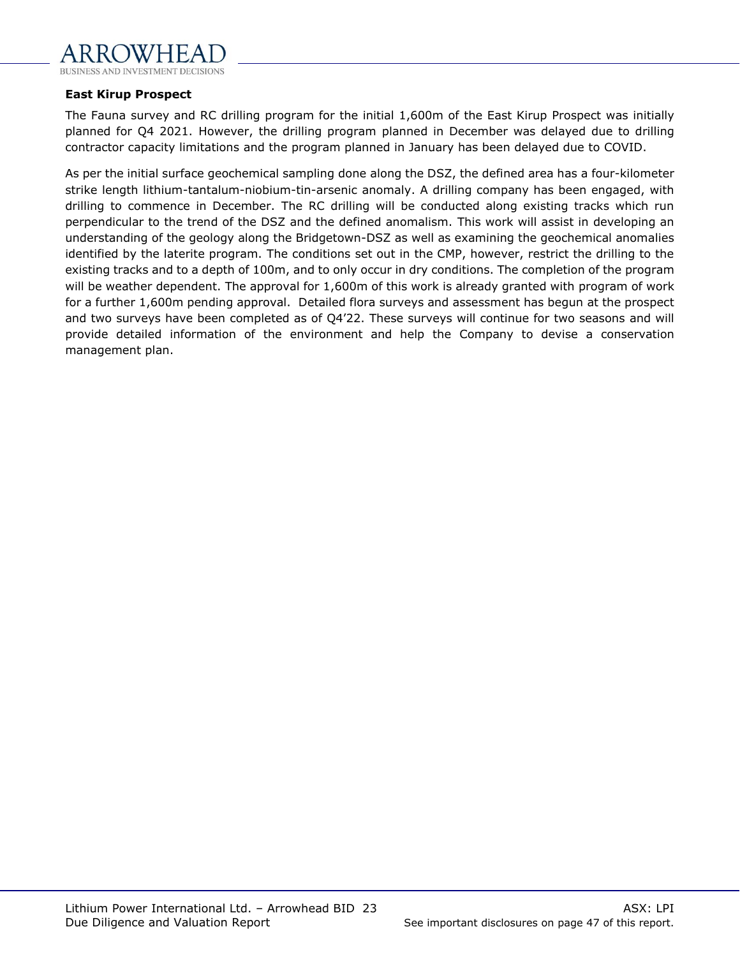

#### **East Kirup Prospect**

The Fauna survey and RC drilling program for the initial 1,600m of the East Kirup Prospect was initially planned for Q4 2021. However, the drilling program planned in December was delayed due to drilling contractor capacity limitations and the program planned in January has been delayed due to COVID.

As per the initial surface geochemical sampling done along the DSZ, the defined area has a four-kilometer strike length lithium-tantalum-niobium-tin-arsenic anomaly. A drilling company has been engaged, with drilling to commence in December. The RC drilling will be conducted along existing tracks which run perpendicular to the trend of the DSZ and the defined anomalism. This work will assist in developing an understanding of the geology along the Bridgetown-DSZ as well as examining the geochemical anomalies identified by the laterite program. The conditions set out in the CMP, however, restrict the drilling to the existing tracks and to a depth of 100m, and to only occur in dry conditions. The completion of the program will be weather dependent. The approval for 1,600m of this work is already granted with program of work for a further 1,600m pending approval. Detailed flora surveys and assessment has begun at the prospect and two surveys have been completed as of Q4'22. These surveys will continue for two seasons and will provide detailed information of the environment and help the Company to devise a conservation management plan.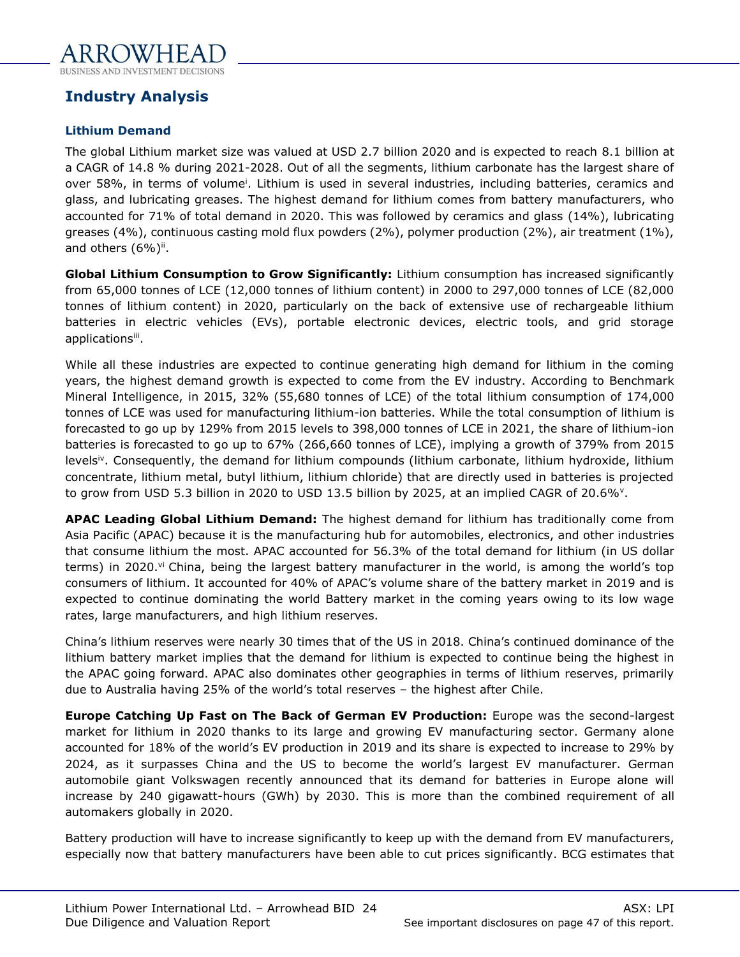

# <span id="page-23-0"></span>**Industry Analysis**

# **Lithium Demand**

The global Lithium market size was valued at USD 2.7 billion 2020 and is expected to reach 8.1 billion at a CAGR of 14.8 % during 2021-2028. Out of all the segments, lithium carbonate has the largest share of over 58%, in terms of volume<sup>i</sup>. Lithium is used in several industries, including batteries, ceramics and glass, and lubricating greases. The highest demand for lithium comes from battery manufacturers, who accounted for 71% of total demand in 2020. This was followed by ceramics and glass (14%), lubricating greases (4%), continuous casting mold flux powders (2%), polymer production (2%), air treatment (1%), and others  $(6\%)$ <sup>ii</sup>.

**Global Lithium Consumption to Grow Significantly:** Lithium consumption has increased significantly from 65,000 tonnes of LCE (12,000 tonnes of lithium content) in 2000 to 297,000 tonnes of LCE (82,000 tonnes of lithium content) in 2020, particularly on the back of extensive use of rechargeable lithium batteries in electric vehicles (EVs), portable electronic devices, electric tools, and grid storage applications<sup>iii</sup>.

While all these industries are expected to continue generating high demand for lithium in the coming years, the highest demand growth is expected to come from the EV industry. According to Benchmark Mineral Intelligence, in 2015, 32% (55,680 tonnes of LCE) of the total lithium consumption of 174,000 tonnes of LCE was used for manufacturing lithium-ion batteries. While the total consumption of lithium is forecasted to go up by 129% from 2015 levels to 398,000 tonnes of LCE in 2021, the share of lithium-ion batteries is forecasted to go up to 67% (266,660 tonnes of LCE), implying a growth of 379% from 2015 levels<sup>iv</sup>. Consequently, the demand for lithium compounds (lithium carbonate, lithium hydroxide, lithium concentrate, lithium metal, butyl lithium, lithium chloride) that are directly used in batteries is projected to grow from USD 5.3 billion in 2020 to USD 13.5 billion by 2025, at an implied CAGR of 20.6% $^{\circ}$ .

**APAC Leading Global Lithium Demand:** The highest demand for lithium has traditionally come from Asia Pacific (APAC) because it is the manufacturing hub for automobiles, electronics, and other industries that consume lithium the most. APAC accounted for 56.3% of the total demand for lithium (in US dollar terms) in 2020.<sup>vi</sup> China, being the largest battery manufacturer in the world, is among the world's top consumers of lithium. It accounted for 40% of APAC's volume share of the battery market in 2019 and is expected to continue dominating the world Battery market in the coming years owing to its low wage rates, large manufacturers, and high lithium reserves.

China's lithium reserves were nearly 30 times that of the US in 2018. China's continued dominance of the lithium battery market implies that the demand for lithium is expected to continue being the highest in the APAC going forward. APAC also dominates other geographies in terms of lithium reserves, primarily due to Australia having 25% of the world's total reserves – the highest after Chile.

**Europe Catching Up Fast on The Back of German EV Production:** Europe was the second-largest market for lithium in 2020 thanks to its large and growing EV manufacturing sector. Germany alone accounted for 18% of the world's EV production in 2019 and its share is expected to increase to 29% by 2024, as it surpasses China and the US to become the world's largest EV manufacturer. German automobile giant Volkswagen recently announced that its demand for batteries in Europe alone will increase by 240 gigawatt-hours (GWh) by 2030. This is more than the combined requirement of all automakers globally in 2020.

Battery production will have to increase significantly to keep up with the demand from EV manufacturers, especially now that battery manufacturers have been able to cut prices significantly. BCG estimates that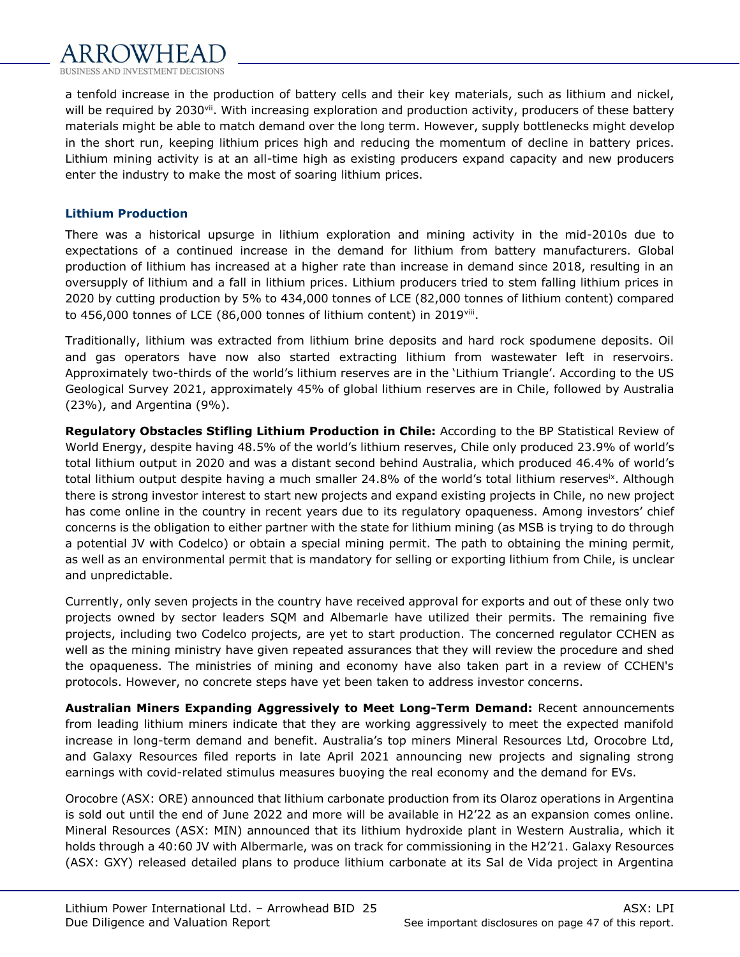

a tenfold increase in the production of battery cells and their key materials, such as lithium and nickel, will be required by 2030<sup>vii</sup>. With increasing exploration and production activity, producers of these battery materials might be able to match demand over the long term. However, supply bottlenecks might develop in the short run, keeping lithium prices high and reducing the momentum of decline in battery prices. Lithium mining activity is at an all-time high as existing producers expand capacity and new producers enter the industry to make the most of soaring lithium prices.

#### **Lithium Production**

There was a historical upsurge in lithium exploration and mining activity in the mid-2010s due to expectations of a continued increase in the demand for lithium from battery manufacturers. Global production of lithium has increased at a higher rate than increase in demand since 2018, resulting in an oversupply of lithium and a fall in lithium prices. Lithium producers tried to stem falling lithium prices in 2020 by cutting production by 5% to 434,000 tonnes of LCE (82,000 tonnes of lithium content) compared to 456,000 tonnes of LCE (86,000 tonnes of lithium content) in 2019viii .

Traditionally, lithium was extracted from lithium brine deposits and hard rock spodumene deposits. Oil and gas operators have now also started extracting lithium from wastewater left in reservoirs. Approximately two-thirds of the world's lithium reserves are in the 'Lithium Triangle'. According to the US Geological Survey 2021, approximately 45% of global lithium reserves are in Chile, followed by Australia (23%), and Argentina (9%).

**Regulatory Obstacles Stifling Lithium Production in Chile:** According to the BP Statistical Review of World Energy, despite having 48.5% of the world's lithium reserves, Chile only produced 23.9% of world's total lithium output in 2020 and was a distant second behind Australia, which produced 46.4% of world's total lithium output despite having a much smaller 24.8% of the world's total lithium reserves<sup>ix</sup>. Although there is strong investor interest to start new projects and expand existing projects in Chile, no new project has come online in the country in recent years due to its regulatory opaqueness. Among investors' chief concerns is the obligation to either partner with the state for lithium mining (as MSB is trying to do through a potential JV with Codelco) or obtain a special mining permit. The path to obtaining the mining permit, as well as an environmental permit that is mandatory for selling or exporting lithium from Chile, is unclear and unpredictable.

Currently, only seven projects in the country have received approval for exports and out of these only two projects owned by sector leaders SQM and Albemarle have utilized their permits. The remaining five projects, including two Codelco projects, are yet to start production. The concerned regulator CCHEN as well as the mining ministry have given repeated assurances that they will review the procedure and shed the opaqueness. The ministries of mining and economy have also taken part in a review of CCHEN's protocols. However, no concrete steps have yet been taken to address investor concerns.

**Australian Miners Expanding Aggressively to Meet Long-Term Demand:** Recent announcements from leading lithium miners indicate that they are working aggressively to meet the expected manifold increase in long-term demand and benefit. Australia's top miners Mineral Resources Ltd, Orocobre Ltd, and Galaxy Resources filed reports in late April 2021 announcing new projects and signaling strong earnings with covid-related stimulus measures buoying the real economy and the demand for EVs.

Orocobre (ASX: ORE) announced that lithium carbonate production from its Olaroz operations in Argentina is sold out until the end of June 2022 and more will be available in H2'22 as an expansion comes online. Mineral Resources (ASX: MIN) announced that its lithium hydroxide plant in Western Australia, which it holds through a 40:60 JV with Albermarle, was on track for commissioning in the H2'21. Galaxy Resources (ASX: GXY) released detailed plans to produce lithium carbonate at its Sal de Vida project in Argentina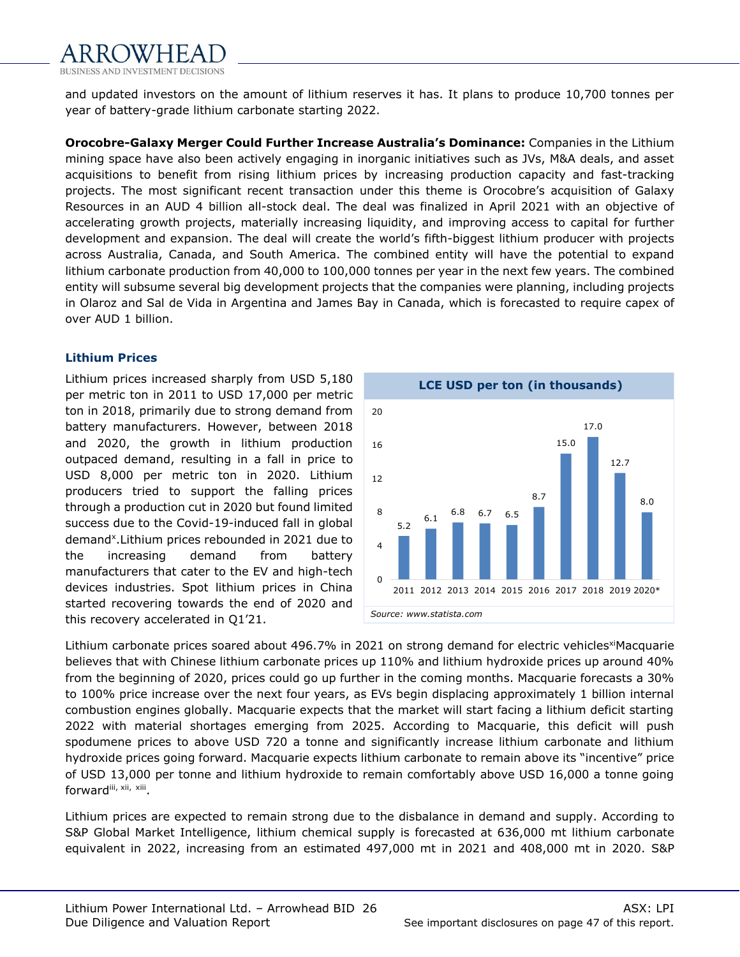

and updated investors on the amount of lithium reserves it has. It plans to produce 10,700 tonnes per year of battery-grade lithium carbonate starting 2022.

**Orocobre-Galaxy Merger Could Further Increase Australia's Dominance:** Companies in the Lithium mining space have also been actively engaging in inorganic initiatives such as JVs, M&A deals, and asset acquisitions to benefit from rising lithium prices by increasing production capacity and fast-tracking projects. The most significant recent transaction under this theme is Orocobre's acquisition of Galaxy Resources in an AUD 4 billion all-stock deal. The deal was finalized in April 2021 with an objective of accelerating growth projects, materially increasing liquidity, and improving access to capital for further development and expansion. The deal will create the world's fifth-biggest lithium producer with projects across Australia, Canada, and South America. The combined entity will have the potential to expand lithium carbonate production from 40,000 to 100,000 tonnes per year in the next few years. The combined entity will subsume several big development projects that the companies were planning, including projects in Olaroz and Sal de Vida in Argentina and James Bay in Canada, which is forecasted to require capex of over AUD 1 billion.

## **Lithium Prices**

Lithium prices increased sharply from USD 5,180 per metric ton in 2011 to USD 17,000 per metric ton in 2018, primarily due to strong demand from battery manufacturers. However, between 2018 and 2020, the growth in lithium production outpaced demand, resulting in a fall in price to USD 8,000 per metric ton in 2020. Lithium producers tried to support the falling prices through a production cut in 2020 but found limited success due to the Covid-19-induced fall in global demand<sup>x</sup>. Lithium prices rebounded in 2021 due to the increasing demand from battery manufacturers that cater to the EV and high-tech devices industries. Spot lithium prices in China started recovering towards the end of 2020 and this recovery accelerated in Q1'21.



Lithium carbonate prices soared about 496.7% in 2021 on strong demand for electric vehicles<sup>xi</sup>Macquarie believes that with Chinese lithium carbonate prices up 110% and lithium hydroxide prices up around 40% from the beginning of 2020, prices could go up further in the coming months. Macquarie forecasts a 30% to 100% price increase over the next four years, as EVs begin displacing approximately 1 billion internal combustion engines globally. Macquarie expects that the market will start facing a lithium deficit starting 2022 with material shortages emerging from 2025. According to Macquarie, this deficit will push spodumene prices to above USD 720 a tonne and significantly increase lithium carbonate and lithium hydroxide prices going forward. Macquarie expects lithium carbonate to remain above its "incentive" price of USD 13,000 per tonne and lithium hydroxide to remain comfortably above USD 16,000 a tonne going forwardiii, xii, xiii.

Lithium prices are expected to remain strong due to the disbalance in demand and supply. According to S&P Global Market Intelligence, lithium chemical supply is forecasted at 636,000 mt lithium carbonate equivalent in 2022, increasing from an estimated 497,000 mt in 2021 and 408,000 mt in 2020. S&P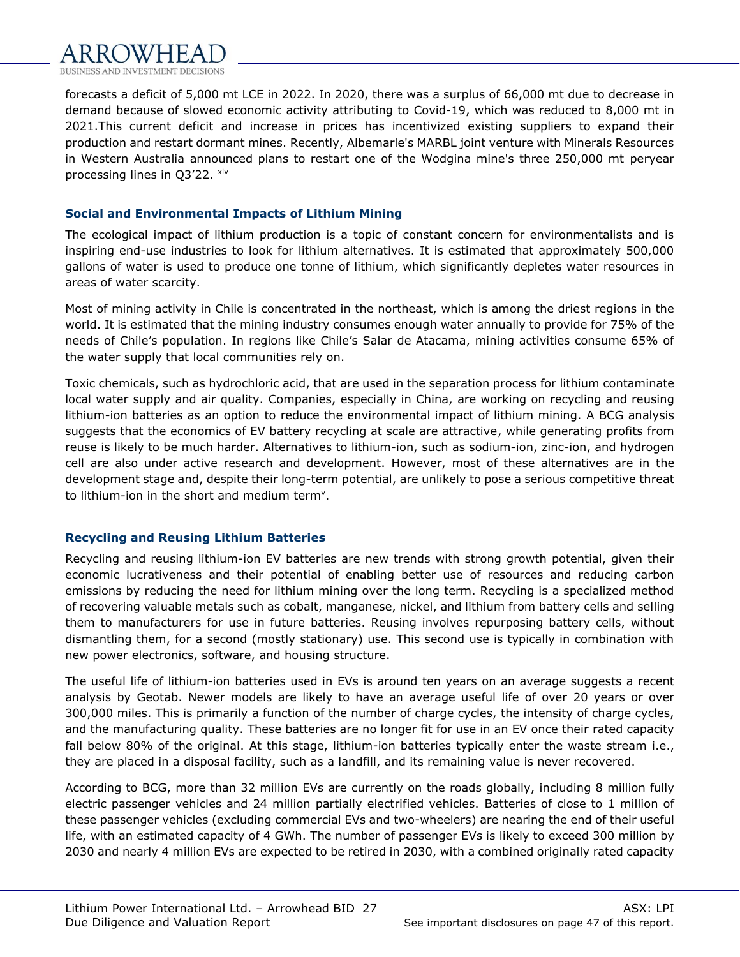forecasts a deficit of 5,000 mt LCE in 2022. In 2020, there was a surplus of 66,000 mt due to decrease in demand because of slowed economic activity attributing to Covid-19, which was reduced to 8,000 mt in 2021.This current deficit and increase in prices has incentivized existing suppliers to expand their production and restart dormant mines. Recently, Albemarle's MARBL joint venture with Minerals Resources in Western Australia announced plans to restart one of the Wodgina mine's three 250,000 mt peryear processing lines in Q3'22. xiv

## **Social and Environmental Impacts of Lithium Mining**

The ecological impact of lithium production is a topic of constant concern for environmentalists and is inspiring end-use industries to look for lithium alternatives. It is estimated that approximately 500,000 gallons of water is used to produce one tonne of lithium, which significantly depletes water resources in areas of water scarcity.

Most of mining activity in Chile is concentrated in the northeast, which is among the driest regions in the world. It is estimated that the mining industry consumes enough water annually to provide for 75% of the needs of Chile's population. In regions like Chile's Salar de Atacama, mining activities consume 65% of the water supply that local communities rely on.

Toxic chemicals, such as hydrochloric acid, that are used in the separation process for lithium contaminate local water supply and air quality. Companies, especially in China, are working on recycling and reusing lithium-ion batteries as an option to reduce the environmental impact of lithium mining. A BCG analysis suggests that the economics of EV battery recycling at scale are attractive, while generating profits from reuse is likely to be much harder. Alternatives to lithium-ion, such as sodium-ion, zinc-ion, and hydrogen cell are also under active research and development. However, most of these alternatives are in the development stage and, despite their long-term potential, are unlikely to pose a serious competitive threat to lithium-ion in the short and medium term<sup>v</sup>.

# **Recycling and Reusing Lithium Batteries**

Recycling and reusing lithium-ion EV batteries are new trends with strong growth potential, given their economic lucrativeness and their potential of enabling better use of resources and reducing carbon emissions by reducing the need for lithium mining over the long term. Recycling is a specialized method of recovering valuable metals such as cobalt, manganese, nickel, and lithium from battery cells and selling them to manufacturers for use in future batteries. Reusing involves repurposing battery cells, without dismantling them, for a second (mostly stationary) use. This second use is typically in combination with new power electronics, software, and housing structure.

The useful life of lithium-ion batteries used in EVs is around ten years on an average suggests a recent analysis by Geotab. Newer models are likely to have an average useful life of over 20 years or over 300,000 miles. This is primarily a function of the number of charge cycles, the intensity of charge cycles, and the manufacturing quality. These batteries are no longer fit for use in an EV once their rated capacity fall below 80% of the original. At this stage, lithium-ion batteries typically enter the waste stream i.e., they are placed in a disposal facility, such as a landfill, and its remaining value is never recovered.

According to BCG, more than 32 million EVs are currently on the roads globally, including 8 million fully electric passenger vehicles and 24 million partially electrified vehicles. Batteries of close to 1 million of these passenger vehicles (excluding commercial EVs and two-wheelers) are nearing the end of their useful life, with an estimated capacity of 4 GWh. The number of passenger EVs is likely to exceed 300 million by 2030 and nearly 4 million EVs are expected to be retired in 2030, with a combined originally rated capacity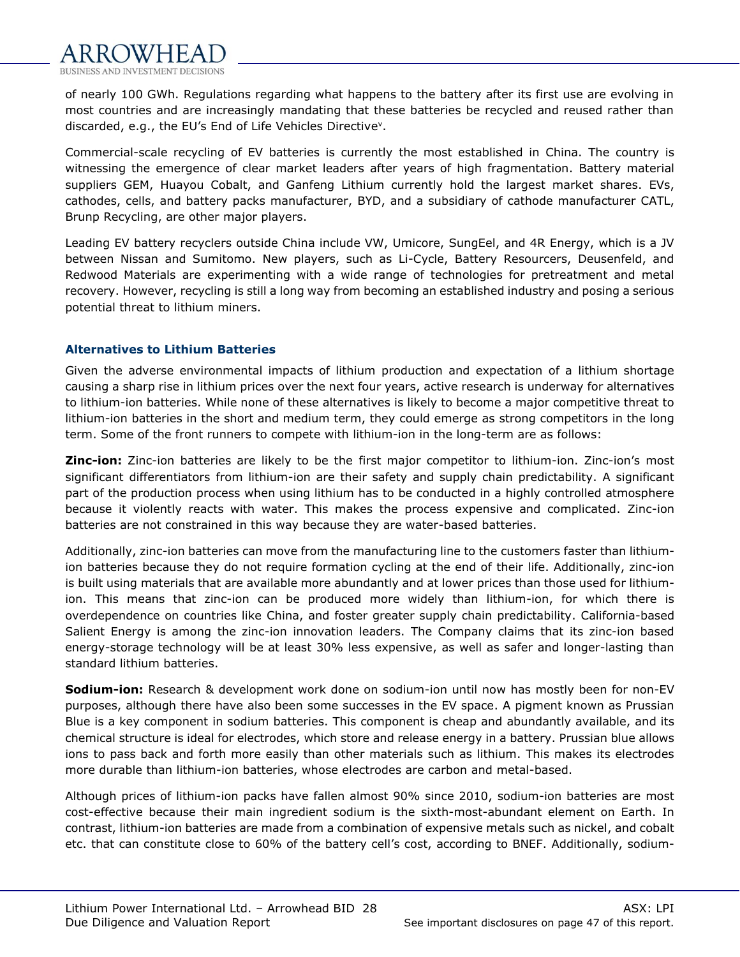

of nearly 100 GWh. Regulations regarding what happens to the battery after its first use are evolving in most countries and are increasingly mandating that these batteries be recycled and reused rather than discarded, e.g., the EU's End of Life Vehicles Directive<sup>v</sup>.

Commercial-scale recycling of EV batteries is currently the most established in China. The country is witnessing the emergence of clear market leaders after years of high fragmentation. Battery material suppliers GEM, Huayou Cobalt, and Ganfeng Lithium currently hold the largest market shares. EVs, cathodes, cells, and battery packs manufacturer, BYD, and a subsidiary of cathode manufacturer CATL, Brunp Recycling, are other major players.

Leading EV battery recyclers outside China include VW, Umicore, SungEel, and 4R Energy, which is a JV between Nissan and Sumitomo. New players, such as Li-Cycle, Battery Resourcers, Deusenfeld, and Redwood Materials are experimenting with a wide range of technologies for pretreatment and metal recovery. However, recycling is still a long way from becoming an established industry and posing a serious potential threat to lithium miners.

#### **Alternatives to Lithium Batteries**

Given the adverse environmental impacts of lithium production and expectation of a lithium shortage causing a sharp rise in lithium prices over the next four years, active research is underway for alternatives to lithium-ion batteries. While none of these alternatives is likely to become a major competitive threat to lithium-ion batteries in the short and medium term, they could emerge as strong competitors in the long term. Some of the front runners to compete with lithium-ion in the long-term are as follows:

**Zinc-ion:** Zinc-ion batteries are likely to be the first major competitor to lithium-ion. Zinc-ion's most significant differentiators from lithium-ion are their safety and supply chain predictability. A significant part of the production process when using lithium has to be conducted in a highly controlled atmosphere because it violently reacts with water. This makes the process expensive and complicated. Zinc-ion batteries are not constrained in this way because they are water-based batteries.

Additionally, zinc-ion batteries can move from the manufacturing line to the customers faster than lithiumion batteries because they do not require formation cycling at the end of their life. Additionally, zinc-ion is built using materials that are available more abundantly and at lower prices than those used for lithiumion. This means that zinc-ion can be produced more widely than lithium-ion, for which there is overdependence on countries like China, and foster greater supply chain predictability. California-based Salient Energy is among the zinc-ion innovation leaders. The Company claims that its zinc-ion based energy-storage technology will be at least 30% less expensive, as well as safer and longer-lasting than standard lithium batteries.

**Sodium-ion:** Research & development work done on sodium-ion until now has mostly been for non-EV purposes, although there have also been some successes in the EV space. A pigment known as Prussian Blue is a key component in sodium batteries. This component is cheap and abundantly available, and its chemical structure is ideal for electrodes, which store and release energy in a battery. Prussian blue allows ions to pass back and forth more easily than other materials such as lithium. This makes its electrodes more durable than lithium-ion batteries, whose electrodes are carbon and metal-based.

Although prices of lithium-ion packs have fallen almost 90% since 2010, sodium-ion batteries are most cost-effective because their main ingredient sodium is the sixth-most-abundant element on Earth. In contrast, lithium-ion batteries are made from a combination of expensive metals such as nickel, and cobalt etc. that can constitute close to 60% of the battery cell's cost, according to BNEF. Additionally, sodium-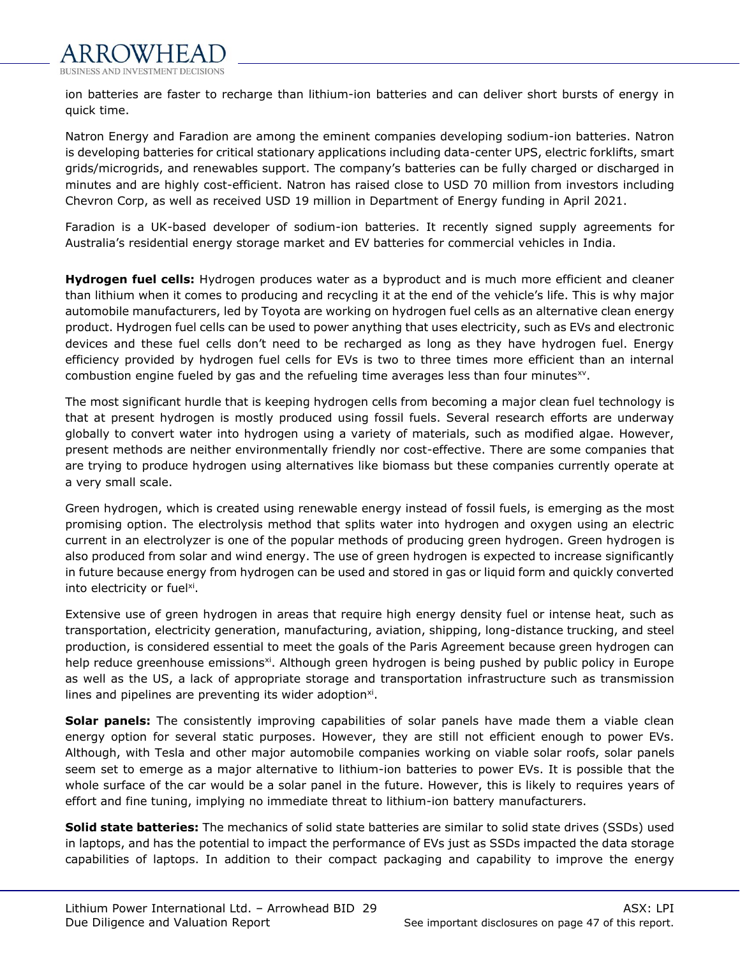

ion batteries are faster to recharge than lithium-ion batteries and can deliver short bursts of energy in quick time.

Natron Energy and Faradion are among the eminent companies developing sodium-ion batteries. Natron is developing batteries for critical stationary applications including data-center UPS, electric forklifts, smart grids/microgrids, and renewables support. The company's batteries can be fully charged or discharged in minutes and are highly cost-efficient. Natron has raised close to USD 70 million from investors including Chevron Corp, as well as received USD 19 million in Department of Energy funding in April 2021.

Faradion is a UK-based developer of sodium-ion batteries. It recently signed supply agreements for Australia's residential energy storage market and EV batteries for commercial vehicles in India.

**Hydrogen fuel cells:** Hydrogen produces water as a byproduct and is much more efficient and cleaner than lithium when it comes to producing and recycling it at the end of the vehicle's life. This is why major automobile manufacturers, led by Toyota are working on hydrogen fuel cells as an alternative clean energy product. Hydrogen fuel cells can be used to power anything that uses electricity, such as EVs and electronic devices and these fuel cells don't need to be recharged as long as they have hydrogen fuel. Energy efficiency provided by hydrogen fuel cells for EVs is two to three times more efficient than an internal combustion engine fueled by gas and the refueling time averages less than four minutes $^{xy}$ .

The most significant hurdle that is keeping hydrogen cells from becoming a major clean fuel technology is that at present hydrogen is mostly produced using fossil fuels. Several research efforts are underway globally to convert water into hydrogen using a variety of materials, such as modified algae. However, present methods are neither environmentally friendly nor cost-effective. There are some companies that are trying to produce hydrogen using alternatives like biomass but these companies currently operate at a very small scale.

Green hydrogen, which is created using renewable energy instead of fossil fuels, is emerging as the most promising option. The electrolysis method that splits water into hydrogen and oxygen using an electric current in an electrolyzer is one of the popular methods of producing green hydrogen. Green hydrogen is also produced from solar and wind energy. The use of green hydrogen is expected to increase significantly in future because energy from hydrogen can be used and stored in gas or liquid form and quickly converted into electricity or fuel<sup>xi</sup>.

Extensive use of green hydrogen in areas that require high energy density fuel or intense heat, such as transportation, electricity generation, manufacturing, aviation, shipping, long-distance trucking, and steel production, is considered essential to meet the goals of the Paris Agreement because green hydrogen can help reduce greenhouse emissions<sup>xi</sup>. Although green hydrogen is being pushed by public policy in Europe as well as the US, a lack of appropriate storage and transportation infrastructure such as transmission lines and pipelines are preventing its wider adoption $x_i$ .

**Solar panels:** The consistently improving capabilities of solar panels have made them a viable clean energy option for several static purposes. However, they are still not efficient enough to power EVs. Although, with Tesla and other major automobile companies working on viable solar roofs, solar panels seem set to emerge as a major alternative to lithium-ion batteries to power EVs. It is possible that the whole surface of the car would be a solar panel in the future. However, this is likely to requires years of effort and fine tuning, implying no immediate threat to lithium-ion battery manufacturers.

**Solid state batteries:** The mechanics of solid state batteries are similar to solid state drives (SSDs) used in laptops, and has the potential to impact the performance of EVs just as SSDs impacted the data storage capabilities of laptops. In addition to their compact packaging and capability to improve the energy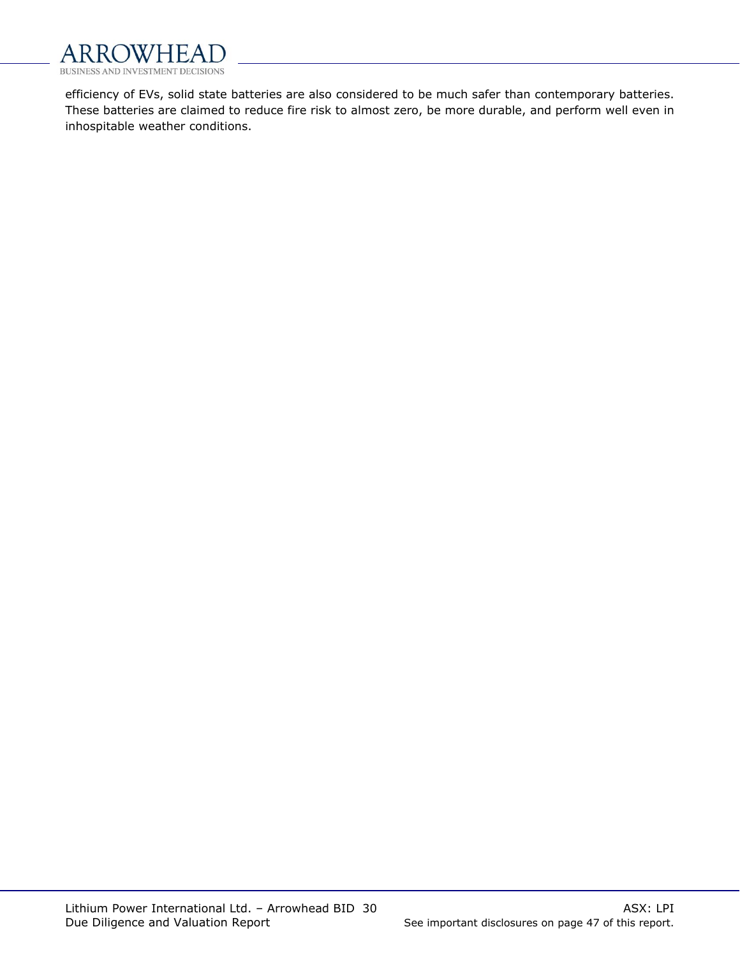

efficiency of EVs, solid state batteries are also considered to be much safer than contemporary batteries. These batteries are claimed to reduce fire risk to almost zero, be more durable, and perform well even in inhospitable weather conditions.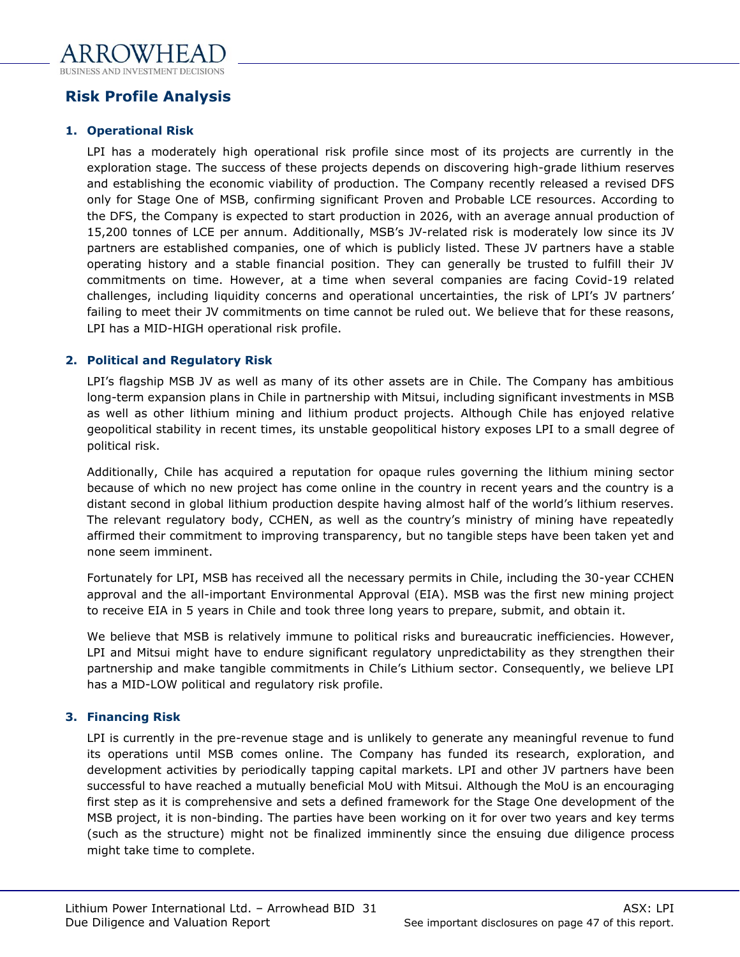# <span id="page-30-0"></span>**Risk Profile Analysis**

# **1. Operational Risk**

LPI has a moderately high operational risk profile since most of its projects are currently in the exploration stage. The success of these projects depends on discovering high-grade lithium reserves and establishing the economic viability of production. The Company recently released a revised DFS only for Stage One of MSB, confirming significant Proven and Probable LCE resources. According to the DFS, the Company is expected to start production in 2026, with an average annual production of 15,200 tonnes of LCE per annum. Additionally, MSB's JV-related risk is moderately low since its JV partners are established companies, one of which is publicly listed. These JV partners have a stable operating history and a stable financial position. They can generally be trusted to fulfill their JV commitments on time. However, at a time when several companies are facing Covid-19 related challenges, including liquidity concerns and operational uncertainties, the risk of LPI's JV partners' failing to meet their JV commitments on time cannot be ruled out. We believe that for these reasons, LPI has a MID-HIGH operational risk profile.

# **2. Political and Regulatory Risk**

LPI's flagship MSB JV as well as many of its other assets are in Chile. The Company has ambitious long-term expansion plans in Chile in partnership with Mitsui, including significant investments in MSB as well as other lithium mining and lithium product projects. Although Chile has enjoyed relative geopolitical stability in recent times, its unstable geopolitical history exposes LPI to a small degree of political risk.

Additionally, Chile has acquired a reputation for opaque rules governing the lithium mining sector because of which no new project has come online in the country in recent years and the country is a distant second in global lithium production despite having almost half of the world's lithium reserves. The relevant regulatory body, CCHEN, as well as the country's ministry of mining have repeatedly affirmed their commitment to improving transparency, but no tangible steps have been taken yet and none seem imminent.

Fortunately for LPI, MSB has received all the necessary permits in Chile, including the 30-year CCHEN approval and the all-important Environmental Approval (EIA). MSB was the first new mining project to receive EIA in 5 years in Chile and took three long years to prepare, submit, and obtain it.

We believe that MSB is relatively immune to political risks and bureaucratic inefficiencies. However, LPI and Mitsui might have to endure significant regulatory unpredictability as they strengthen their partnership and make tangible commitments in Chile's Lithium sector. Consequently, we believe LPI has a MID-LOW political and regulatory risk profile.

# **3. Financing Risk**

LPI is currently in the pre-revenue stage and is unlikely to generate any meaningful revenue to fund its operations until MSB comes online. The Company has funded its research, exploration, and development activities by periodically tapping capital markets. LPI and other JV partners have been successful to have reached a mutually beneficial MoU with Mitsui. Although the MoU is an encouraging first step as it is comprehensive and sets a defined framework for the Stage One development of the MSB project, it is non-binding. The parties have been working on it for over two years and key terms (such as the structure) might not be finalized imminently since the ensuing due diligence process might take time to complete.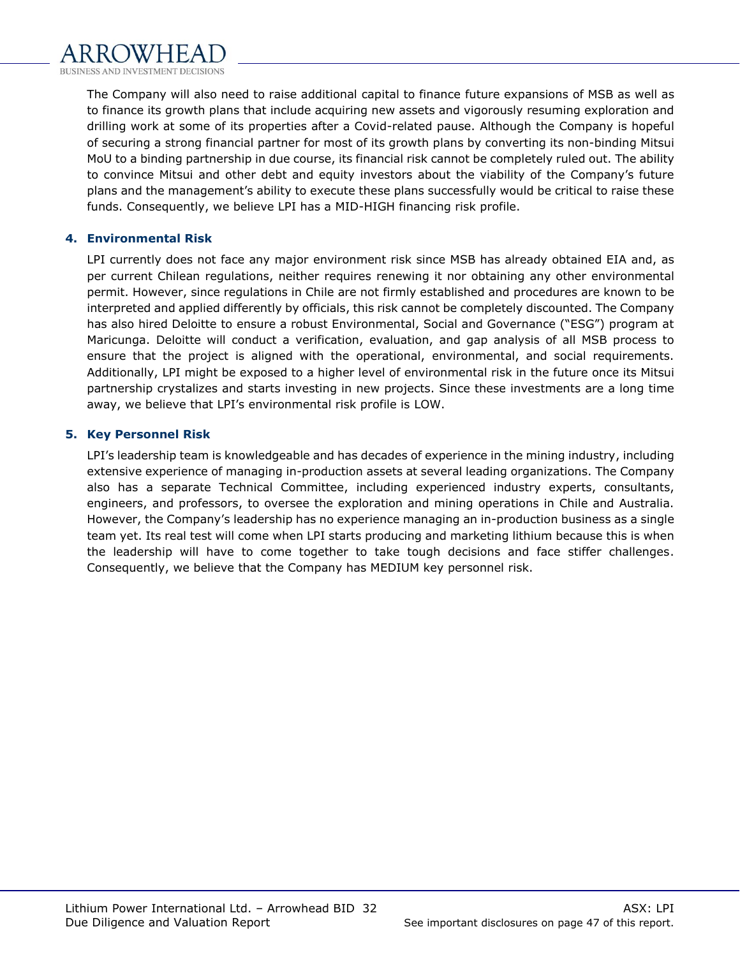The Company will also need to raise additional capital to finance future expansions of MSB as well as to finance its growth plans that include acquiring new assets and vigorously resuming exploration and drilling work at some of its properties after a Covid-related pause. Although the Company is hopeful of securing a strong financial partner for most of its growth plans by converting its non-binding Mitsui MoU to a binding partnership in due course, its financial risk cannot be completely ruled out. The ability to convince Mitsui and other debt and equity investors about the viability of the Company's future plans and the management's ability to execute these plans successfully would be critical to raise these funds. Consequently, we believe LPI has a MID-HIGH financing risk profile.

# **4. Environmental Risk**

LPI currently does not face any major environment risk since MSB has already obtained EIA and, as per current Chilean regulations, neither requires renewing it nor obtaining any other environmental permit. However, since regulations in Chile are not firmly established and procedures are known to be interpreted and applied differently by officials, this risk cannot be completely discounted. The Company has also hired Deloitte to ensure a robust Environmental, Social and Governance ("ESG") program at Maricunga. Deloitte will conduct a verification, evaluation, and gap analysis of all MSB process to ensure that the project is aligned with the operational, environmental, and social requirements. Additionally, LPI might be exposed to a higher level of environmental risk in the future once its Mitsui partnership crystalizes and starts investing in new projects. Since these investments are a long time away, we believe that LPI's environmental risk profile is LOW.

# **5. Key Personnel Risk**

LPI's leadership team is knowledgeable and has decades of experience in the mining industry, including extensive experience of managing in-production assets at several leading organizations. The Company also has a separate Technical Committee, including experienced industry experts, consultants, engineers, and professors, to oversee the exploration and mining operations in Chile and Australia. However, the Company's leadership has no experience managing an in-production business as a single team yet. Its real test will come when LPI starts producing and marketing lithium because this is when the leadership will have to come together to take tough decisions and face stiffer challenges. Consequently, we believe that the Company has MEDIUM key personnel risk.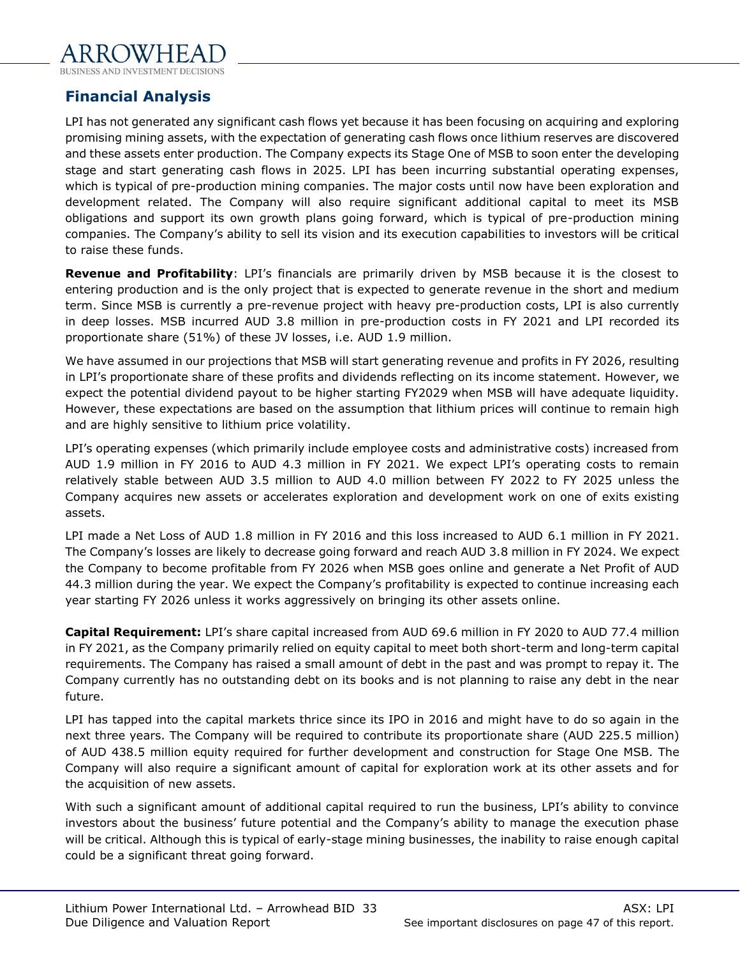# <span id="page-32-0"></span>**Financial Analysis**

LPI has not generated any significant cash flows yet because it has been focusing on acquiring and exploring promising mining assets, with the expectation of generating cash flows once lithium reserves are discovered and these assets enter production. The Company expects its Stage One of MSB to soon enter the developing stage and start generating cash flows in 2025. LPI has been incurring substantial operating expenses, which is typical of pre-production mining companies. The major costs until now have been exploration and development related. The Company will also require significant additional capital to meet its MSB obligations and support its own growth plans going forward, which is typical of pre-production mining companies. The Company's ability to sell its vision and its execution capabilities to investors will be critical to raise these funds.

**Revenue and Profitability**: LPI's financials are primarily driven by MSB because it is the closest to entering production and is the only project that is expected to generate revenue in the short and medium term. Since MSB is currently a pre-revenue project with heavy pre-production costs, LPI is also currently in deep losses. MSB incurred AUD 3.8 million in pre-production costs in FY 2021 and LPI recorded its proportionate share (51%) of these JV losses, i.e. AUD 1.9 million.

We have assumed in our projections that MSB will start generating revenue and profits in FY 2026, resulting in LPI's proportionate share of these profits and dividends reflecting on its income statement. However, we expect the potential dividend payout to be higher starting FY2029 when MSB will have adequate liquidity. However, these expectations are based on the assumption that lithium prices will continue to remain high and are highly sensitive to lithium price volatility.

LPI's operating expenses (which primarily include employee costs and administrative costs) increased from AUD 1.9 million in FY 2016 to AUD 4.3 million in FY 2021. We expect LPI's operating costs to remain relatively stable between AUD 3.5 million to AUD 4.0 million between FY 2022 to FY 2025 unless the Company acquires new assets or accelerates exploration and development work on one of exits existing assets.

LPI made a Net Loss of AUD 1.8 million in FY 2016 and this loss increased to AUD 6.1 million in FY 2021. The Company's losses are likely to decrease going forward and reach AUD 3.8 million in FY 2024. We expect the Company to become profitable from FY 2026 when MSB goes online and generate a Net Profit of AUD 44.3 million during the year. We expect the Company's profitability is expected to continue increasing each year starting FY 2026 unless it works aggressively on bringing its other assets online.

**Capital Requirement:** LPI's share capital increased from AUD 69.6 million in FY 2020 to AUD 77.4 million in FY 2021, as the Company primarily relied on equity capital to meet both short-term and long-term capital requirements. The Company has raised a small amount of debt in the past and was prompt to repay it. The Company currently has no outstanding debt on its books and is not planning to raise any debt in the near future.

LPI has tapped into the capital markets thrice since its IPO in 2016 and might have to do so again in the next three years. The Company will be required to contribute its proportionate share (AUD 225.5 million) of AUD 438.5 million equity required for further development and construction for Stage One MSB. The Company will also require a significant amount of capital for exploration work at its other assets and for the acquisition of new assets.

With such a significant amount of additional capital required to run the business, LPI's ability to convince investors about the business' future potential and the Company's ability to manage the execution phase will be critical. Although this is typical of early-stage mining businesses, the inability to raise enough capital could be a significant threat going forward.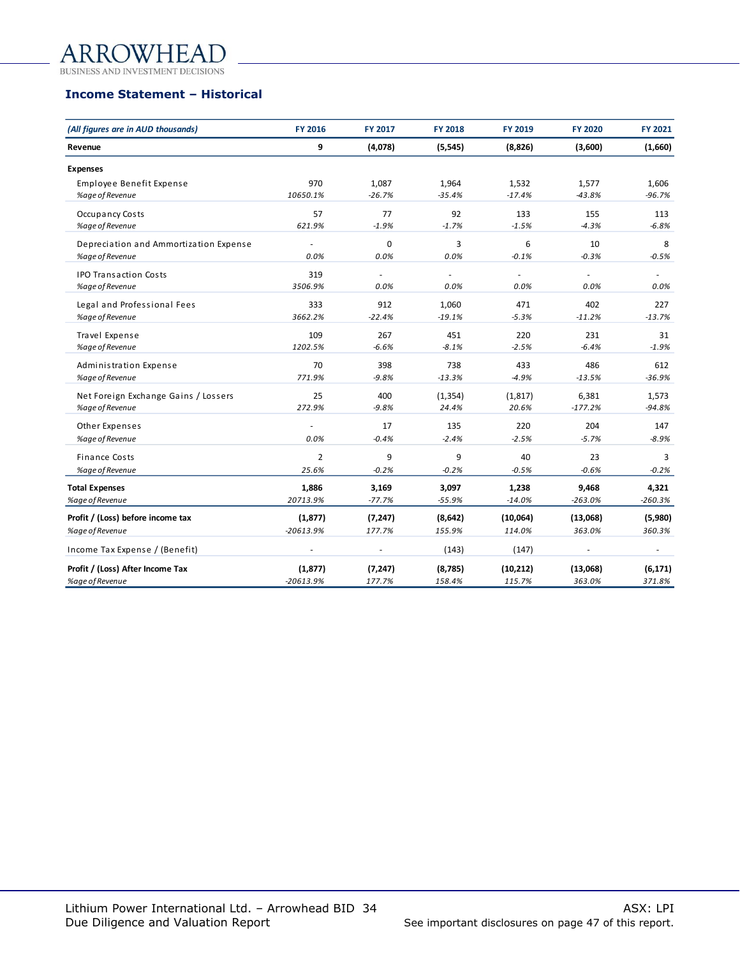### **WHEAI** AR

BUSINESS AND INVESTMENT DECISIONS

# **Income Statement – Historical**

| (All figures are in AUD thousands)     | FY 2016                 | <b>FY 2017</b>           | <b>FY 2018</b>    | <b>FY 2019</b>      | <b>FY 2020</b>     | FY 2021            |
|----------------------------------------|-------------------------|--------------------------|-------------------|---------------------|--------------------|--------------------|
| Revenue                                | 9                       | (4,078)                  | (5, 545)          | (8,826)             | (3,600)            | (1,660)            |
| <b>Expenses</b>                        |                         |                          |                   |                     |                    |                    |
| Employee Benefit Expense               | 970                     | 1,087                    | 1,964             | 1,532               | 1,577              | 1,606              |
| %age of Revenue                        | 10650.1%                | $-26.7%$                 | $-35.4%$          | $-17.4%$            | $-43.8%$           | $-96.7%$           |
| Occupancy Costs                        | 57                      | 77                       | 92                | 133                 | 155                | 113                |
| %age of Revenue                        | 621.9%                  | $-1.9%$                  | $-1.7%$           | $-1.5%$             | $-4.3%$            | $-6.8%$            |
| Depreciation and Ammortization Expense |                         | 0                        | 3                 | 6                   | 10                 | 8                  |
| %age of Revenue                        | 0.0%                    | 0.0%                     | 0.0%              | $-0.1%$             | $-0.3%$            | $-0.5%$            |
| <b>IPO Transaction Costs</b>           | 319                     | $\overline{\phantom{a}}$ | $\omega$          |                     |                    |                    |
| %age of Revenue                        | 3506.9%                 | 0.0%                     | 0.0%              | 0.0%                | 0.0%               | 0.0%               |
| Legal and Professional Fees            | 333                     | 912                      | 1,060             | 471                 | 402                | 227                |
| %age of Revenue                        | 3662.2%                 | $-22.4%$                 | $-19.1%$          | $-5.3%$             | $-11.2%$           | $-13.7%$           |
| Travel Expense                         | 109                     | 267                      | 451               | 220                 | 231                | 31                 |
| %age of Revenue                        | 1202.5%                 | $-6.6%$                  | $-8.1%$           | $-2.5%$             | $-6.4%$            | $-1.9%$            |
| Administration Expense                 | 70                      | 398                      | 738               | 433                 | 486                | 612                |
| %age of Revenue                        | 771.9%                  | $-9.8%$                  | $-13.3%$          | $-4.9%$             | $-13.5%$           | $-36.9%$           |
| Net Foreign Exchange Gains / Lossers   | 25                      | 400                      | (1, 354)          | (1, 817)            | 6,381              | 1,573              |
| %age of Revenue                        | 272.9%                  | $-9.8%$                  | 24.4%             | 20.6%               | $-177.2%$          | $-94.8%$           |
| Other Expenses                         |                         | 17                       | 135               | 220                 | 204                | 147                |
| %age of Revenue                        | 0.0%                    | $-0.4%$                  | $-2.4%$           | $-2.5%$             | $-5.7%$            | $-8.9%$            |
| <b>Finance Costs</b>                   | $\overline{2}$          | 9                        | 9                 | 40                  | 23                 | 3                  |
| %age of Revenue                        | 25.6%                   | $-0.2%$                  | $-0.2%$           | $-0.5%$             | $-0.6%$            | $-0.2%$            |
| <b>Total Expenses</b>                  | 1,886                   | 3,169                    | 3,097             | 1,238               | 9,468              | 4,321              |
| %age of Revenue                        | 20713.9%                | $-77.7%$                 | $-55.9%$          | $-14.0%$            | $-263.0%$          | $-260.3%$          |
| Profit / (Loss) before income tax      | (1, 877)                | (7, 247)                 | (8,642)           | (10,064)            | (13,068)           | (5,980)            |
| %age of Revenue                        | $-20613.9%$             | 177.7%                   | 155.9%            | 114.0%              | 363.0%             | 360.3%             |
| Income Tax Expense / (Benefit)         |                         | ÷,                       | (143)             | (147)               |                    | $\blacksquare$     |
|                                        |                         |                          |                   |                     |                    |                    |
| Profit / (Loss) After Income Tax       | (1, 877)<br>$-20613.9%$ | (7, 247)<br>177.7%       | (8,785)<br>158.4% | (10, 212)<br>115.7% | (13,068)<br>363.0% | (6, 171)<br>371.8% |
| %age of Revenue                        |                         |                          |                   |                     |                    |                    |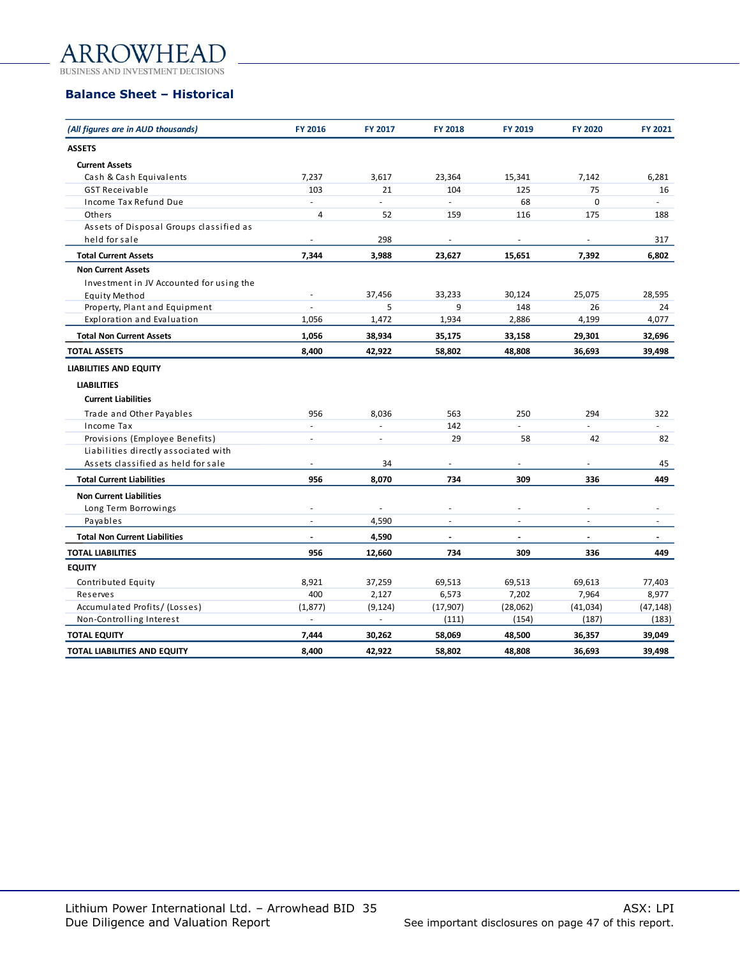### **NVHEAI** ARR

BUSINESS AND INVESTMENT DECISIONS

### **Balance Sheet – Historical**

| (All figures are in AUD thousands)       | FY 2016        | FY 2017                  | <b>FY 2018</b>           | <b>FY 2019</b> | <b>FY 2020</b> | FY 2021                  |
|------------------------------------------|----------------|--------------------------|--------------------------|----------------|----------------|--------------------------|
| <b>ASSETS</b>                            |                |                          |                          |                |                |                          |
| <b>Current Assets</b>                    |                |                          |                          |                |                |                          |
| Cash & Cash Equivalents                  | 7,237          | 3,617                    | 23,364                   | 15,341         | 7,142          | 6,281                    |
| <b>GST Receivable</b>                    | 103            | 21                       | 104                      | 125            | 75             | 16                       |
| Income Tax Refund Due                    |                | $\overline{a}$           |                          | 68             | 0              |                          |
| Others                                   | 4              | 52                       | 159                      | 116            | 175            | 188                      |
| Assets of Disposal Groups classified as  |                |                          |                          |                |                |                          |
| held for sale                            |                | 298                      |                          |                |                | 317                      |
| <b>Total Current Assets</b>              | 7,344          | 3,988                    | 23,627                   | 15,651         | 7,392          | 6,802                    |
| <b>Non Current Assets</b>                |                |                          |                          |                |                |                          |
| Investment in JV Accounted for using the |                |                          |                          |                |                |                          |
| Equity Method                            | $\frac{1}{2}$  | 37,456                   | 33,233                   | 30,124         | 25,075         | 28,595                   |
| Property, Plant and Equipment            |                | 5                        | 9                        | 148            | 26             | 24                       |
| Exploration and Evaluation               | 1,056          | 1,472                    | 1,934                    | 2,886          | 4,199          | 4,077                    |
| <b>Total Non Current Assets</b>          | 1,056          | 38,934                   | 35,175                   | 33,158         | 29,301         | 32,696                   |
| <b>TOTAL ASSETS</b>                      | 8,400          | 42,922                   | 58,802                   | 48,808         | 36,693         | 39,498                   |
| <b>LIABILITIES AND EQUITY</b>            |                |                          |                          |                |                |                          |
| <b>LIABILITIES</b>                       |                |                          |                          |                |                |                          |
| <b>Current Liabilities</b>               |                |                          |                          |                |                |                          |
| Trade and Other Payables                 | 956            | 8,036                    | 563                      | 250            | 294            | 322                      |
| Income Tax                               | $\overline{a}$ | $\overline{a}$           | 142                      |                | $\overline{a}$ |                          |
| Provisions (Employee Benefits)           | ä,             | $\overline{\phantom{a}}$ | 29                       | 58             | 42             | 82                       |
| Liabilities directly associated with     |                |                          |                          |                |                |                          |
| Assets classified as held for sale       |                | 34                       |                          |                |                | 45                       |
| <b>Total Current Liabilities</b>         | 956            | 8,070                    | 734                      | 309            | 336            | 449                      |
| <b>Non Current Liabilities</b>           |                |                          |                          |                |                |                          |
| Long Term Borrowings                     | ä,             | ÷                        | $\sim$                   | ÷.             | ÷.             |                          |
| Payables                                 | ÷.             | 4,590                    | $\sim$                   | ÷,             | $\bar{a}$      |                          |
| <b>Total Non Current Liabilities</b>     |                | 4,590                    | $\overline{\phantom{a}}$ | ä,             | $\blacksquare$ | $\overline{\phantom{a}}$ |
| <b>TOTAL LIABILITIES</b>                 | 956            | 12,660                   | 734                      | 309            | 336            | 449                      |
| <b>EQUITY</b>                            |                |                          |                          |                |                |                          |
| Contributed Equity                       | 8,921          | 37,259                   | 69,513                   | 69,513         | 69,613         | 77,403                   |
| Reserves                                 | 400            | 2,127                    | 6,573                    | 7,202          | 7,964          | 8,977                    |
| Accumulated Profits/(Losses)             | (1, 877)       | (9, 124)                 | (17, 907)                | (28,062)       | (41,034)       | (47, 148)                |
| Non-Controlling Interest                 | $\blacksquare$ | $\overline{\phantom{a}}$ | (111)                    | (154)          | (187)          | (183)                    |
| <b>TOTAL EQUITY</b>                      | 7,444          | 30,262                   | 58,069                   | 48,500         | 36,357         | 39,049                   |
| TOTAL LIABILITIES AND EQUITY             | 8,400          | 42,922                   | 58,802                   | 48,808         | 36,693         | 39,498                   |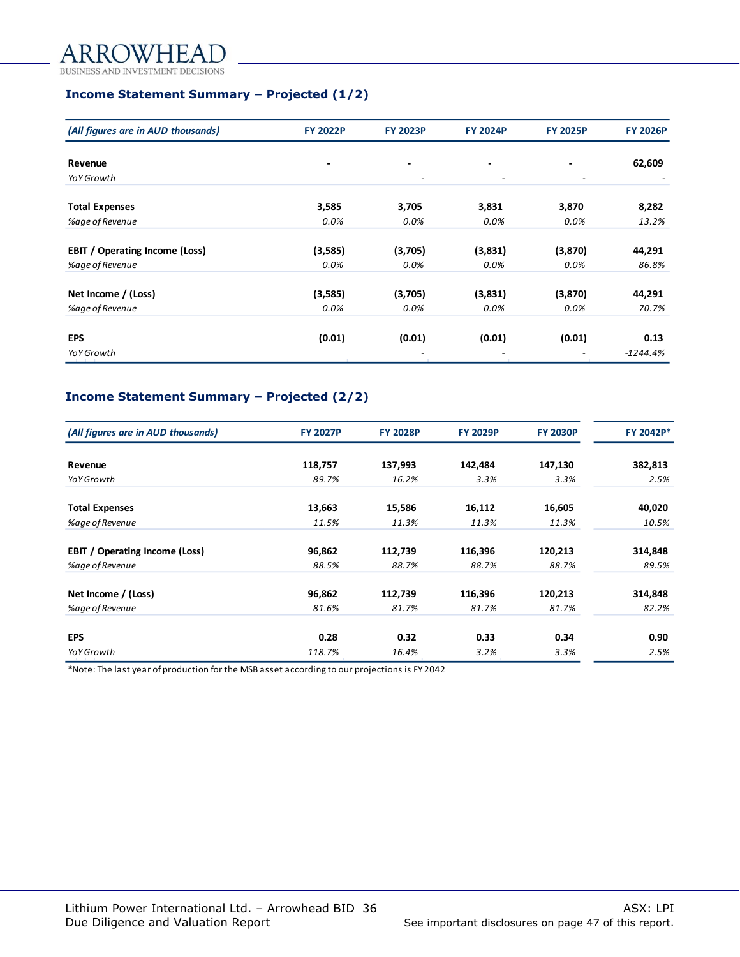#### OWHEAI A

BUSINESS AND INVESTMENT DECISIONS

# **Income Statement Summary – Projected (1/2)**

| (All figures are in AUD thousands)    | <b>FY 2022P</b> | <b>FY 2023P</b>          | <b>FY 2024P</b>          | <b>FY 2025P</b>          | <b>FY 2026P</b> |
|---------------------------------------|-----------------|--------------------------|--------------------------|--------------------------|-----------------|
| Revenue                               | -               | ٠                        | $\overline{\phantom{0}}$ |                          | 62,609          |
| <b>YoY Growth</b>                     |                 | $\overline{\phantom{a}}$ | $\overline{\phantom{a}}$ | $\overline{\phantom{a}}$ |                 |
| <b>Total Expenses</b>                 | 3,585           | 3,705                    | 3,831                    | 3,870                    | 8,282           |
| %age of Revenue                       | 0.0%            | 0.0%                     | 0.0%                     | 0.0%                     | 13.2%           |
| <b>EBIT</b> / Operating Income (Loss) | (3,585)         | (3,705)                  | (3,831)                  | (3,870)                  | 44,291          |
| %age of Revenue                       | 0.0%            | 0.0%                     | 0.0%                     | 0.0%                     | 86.8%           |
| Net Income / (Loss)                   | (3,585)         | (3,705)                  | (3,831)                  | (3,870)                  | 44,291          |
| %age of Revenue                       | 0.0%            | 0.0%                     | 0.0%                     | 0.0%                     | 70.7%           |
| <b>EPS</b>                            | (0.01)          | (0.01)                   | (0.01)                   | (0.01)                   | 0.13            |
| YoY Growth                            |                 |                          |                          |                          | $-1244.4%$      |

# **Income Statement Summary – Projected (2/2)**

| (All figures are in AUD thousands)    | <b>FY 2027P</b> | <b>FY 2028P</b> | <b>FY 2029P</b> | <b>FY 2030P</b> | FY 2042P* |
|---------------------------------------|-----------------|-----------------|-----------------|-----------------|-----------|
| Revenue                               | 118,757         | 137,993         | 142,484         | 147,130         | 382,813   |
| YoY Growth                            | 89.7%           | 16.2%           | 3.3%            | 3.3%            | 2.5%      |
| <b>Total Expenses</b>                 | 13,663          | 15,586          | 16,112          | 16,605          | 40,020    |
| %age of Revenue                       | 11.5%           | 11.3%           | 11.3%           | 11.3%           | 10.5%     |
| <b>EBIT / Operating Income (Loss)</b> | 96,862          | 112,739         | 116,396         | 120,213         | 314,848   |
| %age of Revenue                       | 88.5%           | 88.7%           | 88.7%           | 88.7%           | 89.5%     |
| Net Income / (Loss)                   | 96,862          | 112,739         | 116,396         | 120,213         | 314,848   |
| %age of Revenue                       | 81.6%           | 81.7%           | 81.7%           | 81.7%           | 82.2%     |
| <b>EPS</b>                            | 0.28            | 0.32            | 0.33            | 0.34            | 0.90      |
| YoY Growth                            | 118.7%          | 16.4%           | 3.2%            | 3.3%            | 2.5%      |

\*Note: The last year of production for the MSB asset according to our projections is FY 2042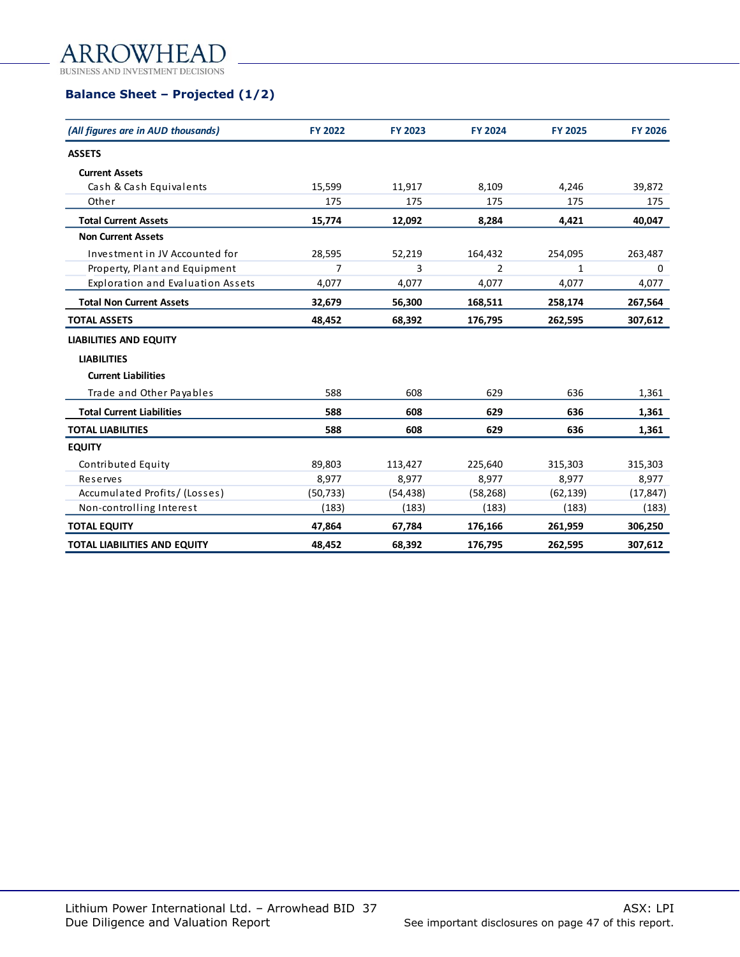## **NVHEAI** ARR

**BUSINESS AND INVEST IMENT DECISIONS** 

# **Balance Sheet – Projected (1/2)**

| (All figures are in AUD thousands)       | FY 2022   | <b>FY 2023</b> | <b>FY 2024</b> | <b>FY 2025</b> | <b>FY 2026</b> |
|------------------------------------------|-----------|----------------|----------------|----------------|----------------|
| <b>ASSETS</b>                            |           |                |                |                |                |
| <b>Current Assets</b>                    |           |                |                |                |                |
| Cash & Cash Equivalents                  | 15,599    | 11,917         | 8,109          | 4,246          | 39,872         |
| Other                                    | 175       | 175            | 175            | 175            | 175            |
| <b>Total Current Assets</b>              | 15,774    | 12,092         | 8,284          | 4,421          | 40,047         |
| <b>Non Current Assets</b>                |           |                |                |                |                |
| Investment in JV Accounted for           | 28,595    | 52,219         | 164,432        | 254,095        | 263,487        |
| Property, Plant and Equipment            | 7         | 3              | $\overline{2}$ | 1              | 0              |
| <b>Exploration and Evaluation Assets</b> | 4,077     | 4,077          | 4,077          | 4,077          | 4,077          |
| <b>Total Non Current Assets</b>          | 32,679    | 56,300         | 168,511        | 258,174        | 267,564        |
| <b>TOTAL ASSETS</b>                      | 48,452    | 68,392         | 176,795        | 262,595        | 307,612        |
| <b>LIABILITIES AND EQUITY</b>            |           |                |                |                |                |
| <b>LIABILITIES</b>                       |           |                |                |                |                |
| <b>Current Liabilities</b>               |           |                |                |                |                |
| Trade and Other Payables                 | 588       | 608            | 629            | 636            | 1,361          |
| <b>Total Current Liabilities</b>         | 588       | 608            | 629            | 636            | 1,361          |
| <b>TOTAL LIABILITIES</b>                 | 588       | 608            | 629            | 636            | 1,361          |
| <b>EQUITY</b>                            |           |                |                |                |                |
| Contributed Equity                       | 89,803    | 113,427        | 225,640        | 315,303        | 315,303        |
| Reserves                                 | 8,977     | 8,977          | 8,977          | 8,977          | 8,977          |
| Accumulated Profits/(Losses)             | (50, 733) | (54, 438)      | (58, 268)      | (62, 139)      | (17, 847)      |
| Non-controlling Interest                 | (183)     | (183)          | (183)          | (183)          | (183)          |
| <b>TOTAL EQUITY</b>                      | 47,864    | 67,784         | 176,166        | 261,959        | 306,250        |
| <b>TOTAL LIABILITIES AND EQUITY</b>      | 48,452    | 68,392         | 176,795        | 262,595        | 307,612        |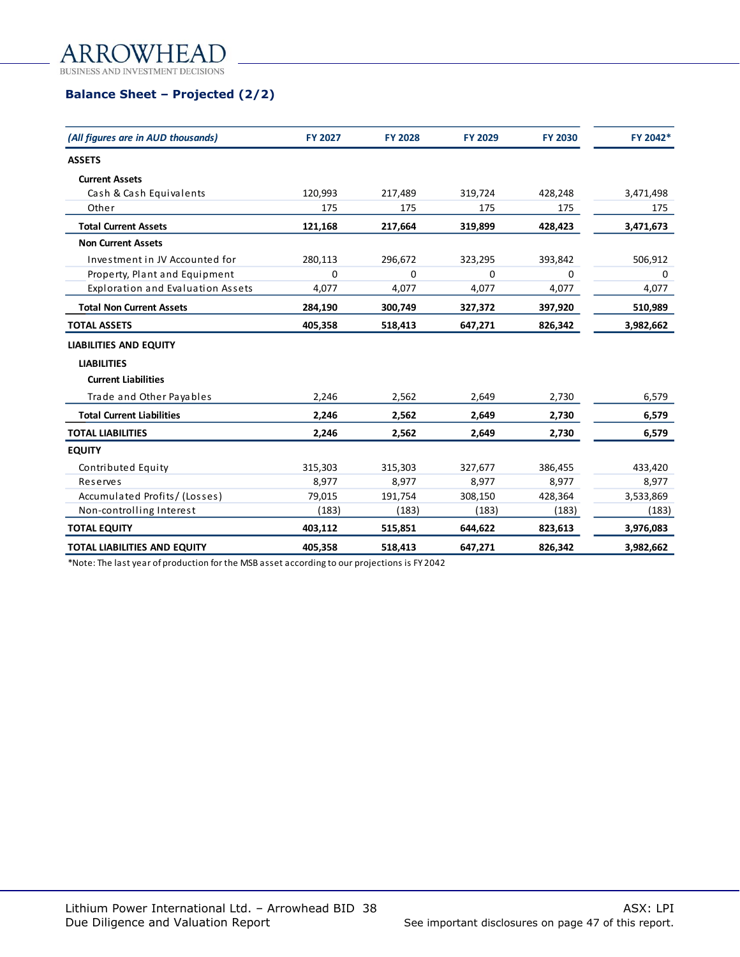OWHEAI ARRO BUSINESS AND INVESTMENT DECISIONS

# **Balance Sheet – Projected (2/2)**

| (All figures are in AUD thousands)  | <b>FY 2027</b> | <b>FY 2028</b> | <b>FY 2029</b> | <b>FY 2030</b> | FY 2042*  |
|-------------------------------------|----------------|----------------|----------------|----------------|-----------|
| <b>ASSETS</b>                       |                |                |                |                |           |
| <b>Current Assets</b>               |                |                |                |                |           |
| Cash & Cash Equivalents             | 120,993        | 217,489        | 319,724        | 428,248        | 3,471,498 |
| Other                               | 175            | 175            | 175            | 175            | 175       |
| <b>Total Current Assets</b>         | 121,168        | 217,664        | 319,899        | 428,423        | 3,471,673 |
| <b>Non Current Assets</b>           |                |                |                |                |           |
| Investment in JV Accounted for      | 280,113        | 296,672        | 323,295        | 393,842        | 506,912   |
| Property, Plant and Equipment       | 0              | 0              | 0              | 0              | 0         |
| Exploration and Evaluation Assets   | 4,077          | 4,077          | 4,077          | 4,077          | 4,077     |
| <b>Total Non Current Assets</b>     | 284,190        | 300,749        | 327,372        | 397,920        | 510,989   |
| <b>TOTAL ASSETS</b>                 | 405,358        | 518,413        | 647,271        | 826,342        | 3,982,662 |
| <b>LIABILITIES AND EQUITY</b>       |                |                |                |                |           |
| <b>LIABILITIES</b>                  |                |                |                |                |           |
| <b>Current Liabilities</b>          |                |                |                |                |           |
| Trade and Other Payables            | 2,246          | 2,562          | 2,649          | 2,730          | 6,579     |
| <b>Total Current Liabilities</b>    | 2,246          | 2,562          | 2,649          | 2,730          | 6,579     |
| <b>TOTAL LIABILITIES</b>            | 2,246          | 2,562          | 2,649          | 2,730          | 6,579     |
| <b>EQUITY</b>                       |                |                |                |                |           |
| Contributed Equity                  | 315,303        | 315,303        | 327,677        | 386,455        | 433,420   |
| Reserves                            | 8,977          | 8,977          | 8,977          | 8,977          | 8,977     |
| Accumulated Profits/(Losses)        | 79,015         | 191,754        | 308,150        | 428,364        | 3,533,869 |
| Non-controlling Interest            | (183)          | (183)          | (183)          | (183)          | (183)     |
| <b>TOTAL EQUITY</b>                 | 403,112        | 515,851        | 644,622        | 823,613        | 3,976,083 |
| <b>TOTAL LIABILITIES AND EQUITY</b> | 405,358        | 518,413        | 647,271        | 826,342        | 3,982,662 |

\*Note: The last year of production for the MSB asset according to our projections is FY 2042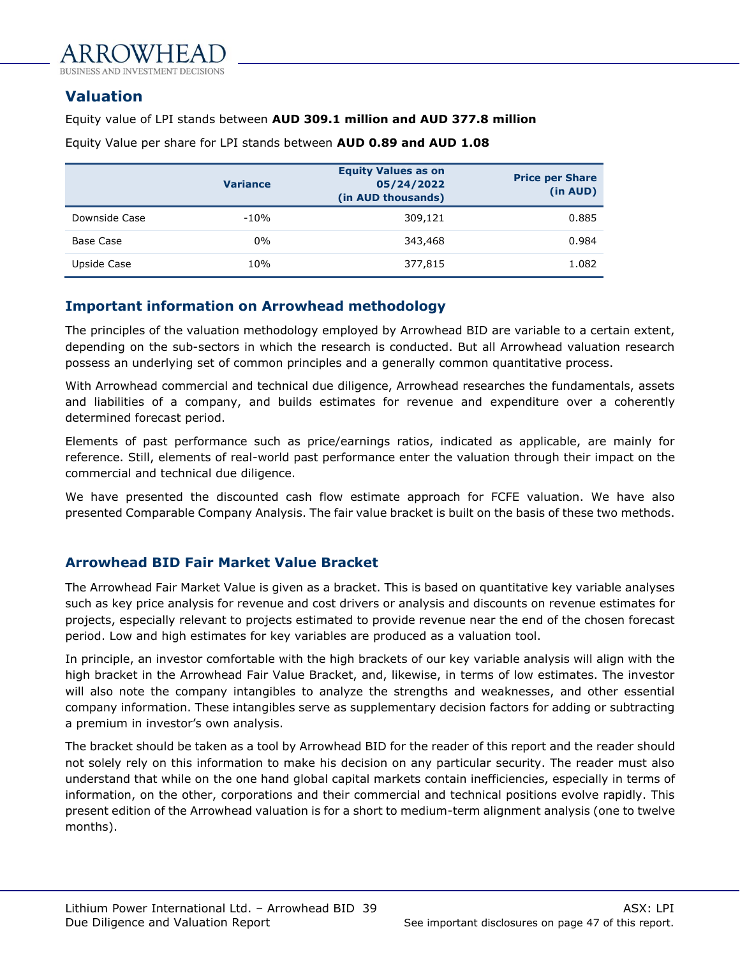

# <span id="page-38-0"></span>**Valuation**

### Equity value of LPI stands between **AUD 309.1 million and AUD 377.8 million**

|               | <b>Variance</b> | <b>Equity Values as on</b><br>05/24/2022<br>(in AUD thousands) | <b>Price per Share</b><br>(in AUD) |
|---------------|-----------------|----------------------------------------------------------------|------------------------------------|
| Downside Case | $-10%$          | 309,121                                                        | 0.885                              |
| Base Case     | $0\%$           | 343,468                                                        | 0.984                              |
| Upside Case   | 10%             | 377,815                                                        | 1.082                              |

Equity Value per share for LPI stands between **AUD 0.89 and AUD 1.08**

# **Important information on Arrowhead methodology**

The principles of the valuation methodology employed by Arrowhead BID are variable to a certain extent, depending on the sub-sectors in which the research is conducted. But all Arrowhead valuation research possess an underlying set of common principles and a generally common quantitative process.

With Arrowhead commercial and technical due diligence, Arrowhead researches the fundamentals, assets and liabilities of a company, and builds estimates for revenue and expenditure over a coherently determined forecast period.

Elements of past performance such as price/earnings ratios, indicated as applicable, are mainly for reference. Still, elements of real-world past performance enter the valuation through their impact on the commercial and technical due diligence.

We have presented the discounted cash flow estimate approach for FCFE valuation. We have also presented Comparable Company Analysis. The fair value bracket is built on the basis of these two methods.

# **Arrowhead BID Fair Market Value Bracket**

The Arrowhead Fair Market Value is given as a bracket. This is based on quantitative key variable analyses such as key price analysis for revenue and cost drivers or analysis and discounts on revenue estimates for projects, especially relevant to projects estimated to provide revenue near the end of the chosen forecast period. Low and high estimates for key variables are produced as a valuation tool.

In principle, an investor comfortable with the high brackets of our key variable analysis will align with the high bracket in the Arrowhead Fair Value Bracket, and, likewise, in terms of low estimates. The investor will also note the company intangibles to analyze the strengths and weaknesses, and other essential company information. These intangibles serve as supplementary decision factors for adding or subtracting a premium in investor's own analysis.

The bracket should be taken as a tool by Arrowhead BID for the reader of this report and the reader should not solely rely on this information to make his decision on any particular security. The reader must also understand that while on the one hand global capital markets contain inefficiencies, especially in terms of information, on the other, corporations and their commercial and technical positions evolve rapidly. This present edition of the Arrowhead valuation is for a short to medium-term alignment analysis (one to twelve months).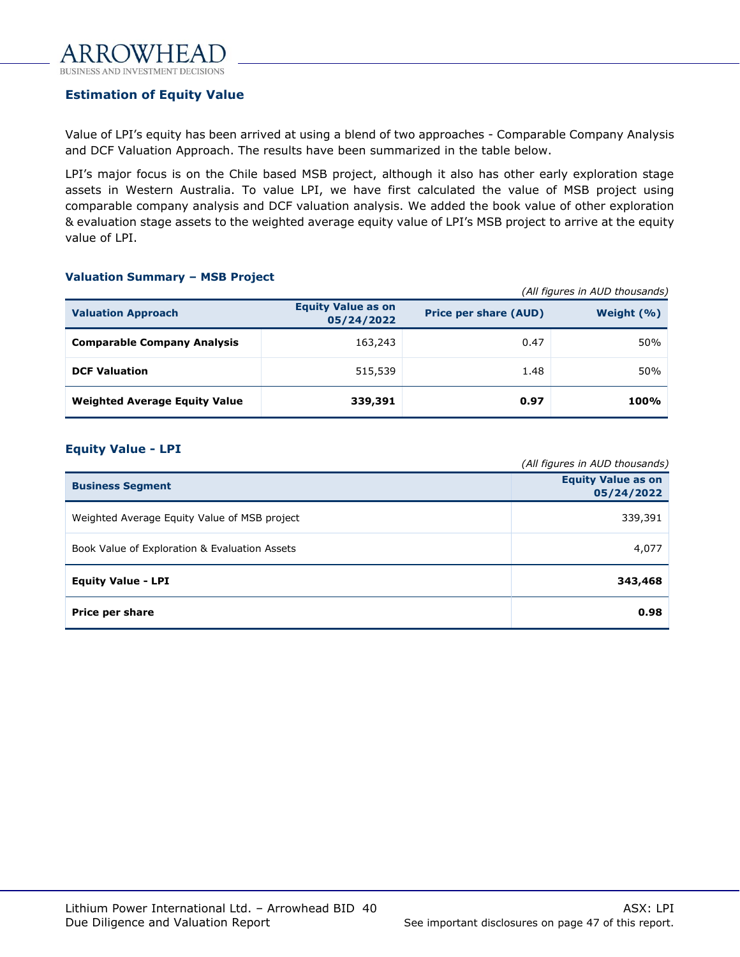# **Estimation of Equity Value**

Value of LPI's equity has been arrived at using a blend of two approaches - Comparable Company Analysis and DCF Valuation Approach. The results have been summarized in the table below.

LPI's major focus is on the Chile based MSB project, although it also has other early exploration stage assets in Western Australia. To value LPI, we have first calculated the value of MSB project using comparable company analysis and DCF valuation analysis. We added the book value of other exploration & evaluation stage assets to the weighted average equity value of LPI's MSB project to arrive at the equity value of LPI.

#### **Valuation Summary – MSB Project**

|                                      | (All figures in AUD thousands)          |                              |               |  |
|--------------------------------------|-----------------------------------------|------------------------------|---------------|--|
| <b>Valuation Approach</b>            | <b>Equity Value as on</b><br>05/24/2022 | <b>Price per share (AUD)</b> | Weight $(% )$ |  |
| <b>Comparable Company Analysis</b>   | 163,243                                 | 0.47                         | 50%           |  |
| <b>DCF Valuation</b>                 | 515,539                                 | 1.48                         | 50%           |  |
| <b>Weighted Average Equity Value</b> | 339,391                                 | 0.97                         | 100%          |  |

#### **Equity Value - LPI**

|                                               | (All figures in AUD thousands)          |
|-----------------------------------------------|-----------------------------------------|
| <b>Business Segment</b>                       | <b>Equity Value as on</b><br>05/24/2022 |
| Weighted Average Equity Value of MSB project  | 339,391                                 |
| Book Value of Exploration & Evaluation Assets | 4,077                                   |
| <b>Equity Value - LPI</b>                     | 343,468                                 |
| Price per share                               | 0.98                                    |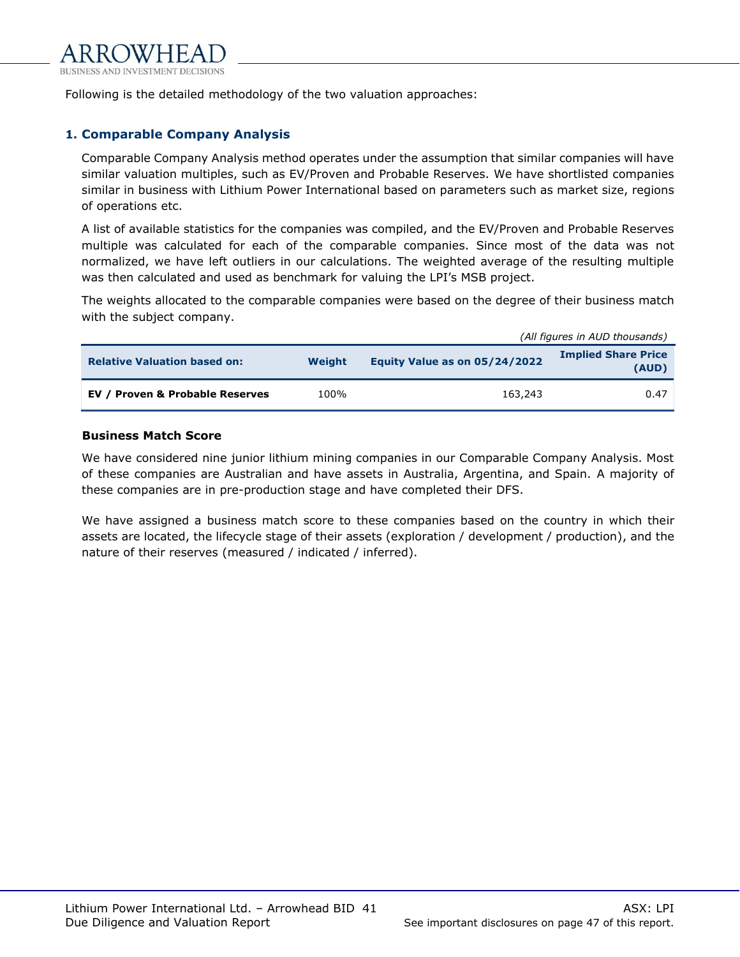

Following is the detailed methodology of the two valuation approaches:

### **1. Comparable Company Analysis**

Comparable Company Analysis method operates under the assumption that similar companies will have similar valuation multiples, such as EV/Proven and Probable Reserves. We have shortlisted companies similar in business with Lithium Power International based on parameters such as market size, regions of operations etc.

A list of available statistics for the companies was compiled, and the EV/Proven and Probable Reserves multiple was calculated for each of the comparable companies. Since most of the data was not normalized, we have left outliers in our calculations. The weighted average of the resulting multiple was then calculated and used as benchmark for valuing the LPI's MSB project.

The weights allocated to the comparable companies were based on the degree of their business match with the subject company.

|                                     |        | (All figures in AUD thousands) |                                     |  |
|-------------------------------------|--------|--------------------------------|-------------------------------------|--|
| <b>Relative Valuation based on:</b> | Weight | Equity Value as on 05/24/2022  | <b>Implied Share Price</b><br>(AUD) |  |
| EV / Proven & Probable Reserves     | 100%   | 163,243                        | 0.47                                |  |

#### **Business Match Score**

We have considered nine junior lithium mining companies in our Comparable Company Analysis. Most of these companies are Australian and have assets in Australia, Argentina, and Spain. A majority of these companies are in pre-production stage and have completed their DFS.

We have assigned a business match score to these companies based on the country in which their assets are located, the lifecycle stage of their assets (exploration / development / production), and the nature of their reserves (measured / indicated / inferred).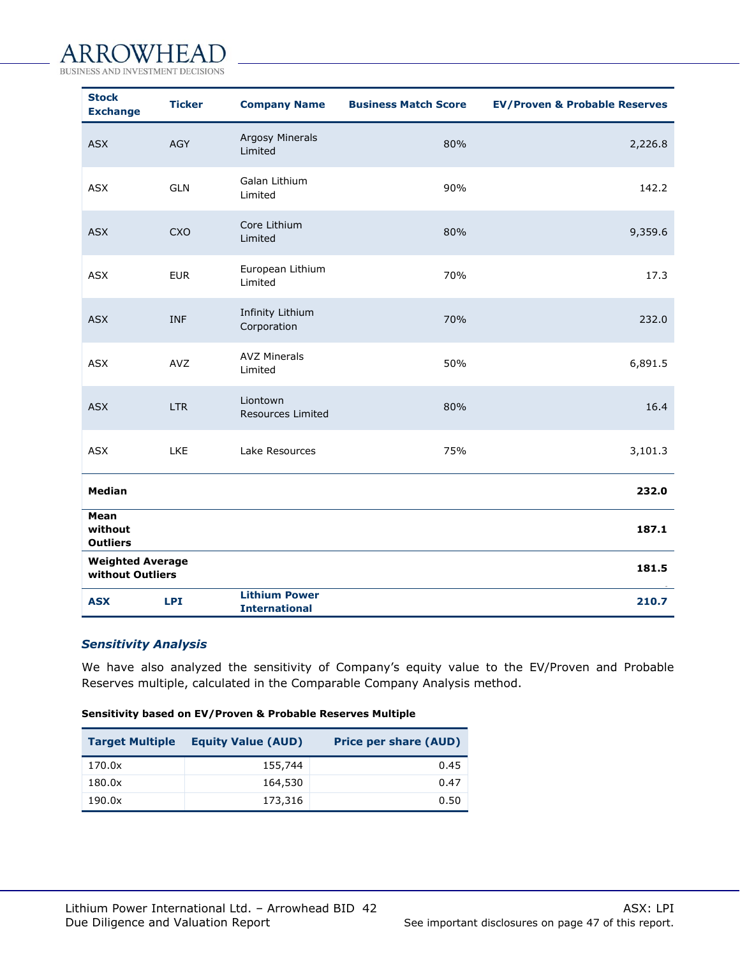#### ROWHEAI A

**BUSINESS MENT DECISIONS** 

| <b>Stock</b><br><b>Exchange</b>             | <b>Ticker</b> | <b>Company Name</b>                          | <b>Business Match Score</b> | <b>EV/Proven &amp; Probable Reserves</b> |
|---------------------------------------------|---------------|----------------------------------------------|-----------------------------|------------------------------------------|
| <b>ASX</b>                                  | <b>AGY</b>    | <b>Argosy Minerals</b><br>Limited            | 80%                         | 2,226.8                                  |
| <b>ASX</b>                                  | <b>GLN</b>    | Galan Lithium<br>Limited                     | 90%                         | 142.2                                    |
| <b>ASX</b>                                  | <b>CXO</b>    | Core Lithium<br>Limited                      | 80%                         | 9,359.6                                  |
| <b>ASX</b>                                  | <b>EUR</b>    | European Lithium<br>Limited                  | 70%                         | 17.3                                     |
| <b>ASX</b>                                  | <b>INF</b>    | Infinity Lithium<br>Corporation              | 70%                         | 232.0                                    |
| <b>ASX</b>                                  | AVZ           | <b>AVZ Minerals</b><br>Limited               | 50%                         | 6,891.5                                  |
| <b>ASX</b>                                  | <b>LTR</b>    | Liontown<br>Resources Limited                | 80%                         | 16.4                                     |
| <b>ASX</b>                                  | LKE           | Lake Resources                               | 75%                         | 3,101.3                                  |
| <b>Median</b>                               |               |                                              |                             | 232.0                                    |
| Mean<br>without<br><b>Outliers</b>          |               |                                              |                             | 187.1                                    |
| <b>Weighted Average</b><br>without Outliers |               |                                              |                             | 181.5                                    |
| <b>ASX</b>                                  | <b>LPI</b>    | <b>Lithium Power</b><br><b>International</b> |                             | 210.7                                    |

## *Sensitivity Analysis*

We have also analyzed the sensitivity of Company's equity value to the EV/Proven and Probable Reserves multiple, calculated in the Comparable Company Analysis method.

#### **Sensitivity based on EV/Proven & Probable Reserves Multiple**

| <b>Target Multiple</b> | <b>Equity Value (AUD)</b> | <b>Price per share (AUD)</b> |
|------------------------|---------------------------|------------------------------|
| 170.0x                 | 155,744                   | 0.45                         |
| 180.0x                 | 164,530                   | 0.47                         |
| 190.0x                 | 173,316                   | 0.50                         |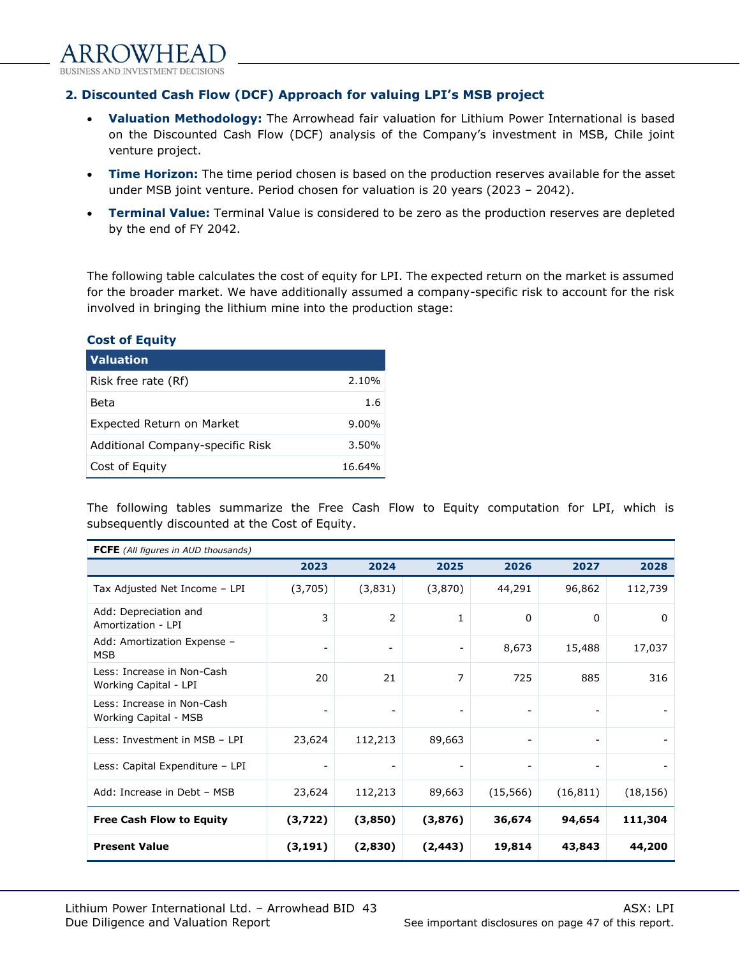

# **2. Discounted Cash Flow (DCF) Approach for valuing LPI's MSB project**

- **Valuation Methodology:** The Arrowhead fair valuation for Lithium Power International is based on the Discounted Cash Flow (DCF) analysis of the Company's investment in MSB, Chile joint venture project.
- **Time Horizon:** The time period chosen is based on the production reserves available for the asset under MSB joint venture. Period chosen for valuation is 20 years (2023 – 2042).
- **Terminal Value:** Terminal Value is considered to be zero as the production reserves are depleted by the end of FY 2042.

The following table calculates the cost of equity for LPI. The expected return on the market is assumed for the broader market. We have additionally assumed a company-specific risk to account for the risk involved in bringing the lithium mine into the production stage:

#### **Cost of Equity**

| <b>Valuation</b>                 |          |
|----------------------------------|----------|
| Risk free rate (Rf)              | 2.10%    |
| Beta                             | 1.6      |
| Expected Return on Market        | $9.00\%$ |
| Additional Company-specific Risk | $3.50\%$ |
| Cost of Equity                   | 16.64%   |

The following tables summarize the Free Cash Flow to Equity computation for LPI, which is subsequently discounted at the Cost of Equity.

| <b>FCFE</b> (All figures in AUD thousands)          |                          |                          |                              |                              |           |           |
|-----------------------------------------------------|--------------------------|--------------------------|------------------------------|------------------------------|-----------|-----------|
|                                                     | 2023                     | 2024                     | 2025                         | 2026                         | 2027      | 2028      |
| Tax Adjusted Net Income - LPI                       | (3,705)                  | (3,831)                  | (3,870)                      | 44,291                       | 96,862    | 112,739   |
| Add: Depreciation and<br>Amortization - LPI         | 3                        | 2                        | $\mathbf{1}$                 | 0                            | 0         | $\Omega$  |
| Add: Amortization Expense -<br><b>MSB</b>           | $\overline{\phantom{a}}$ | $\overline{\phantom{a}}$ | $\overline{\phantom{a}}$     | 8,673                        | 15,488    | 17,037    |
| Less: Increase in Non-Cash<br>Working Capital - LPI | 20                       | 21                       | 7                            | 725                          | 885       | 316       |
| Less: Increase in Non-Cash<br>Working Capital - MSB | $\overline{\phantom{a}}$ | $\overline{\phantom{a}}$ |                              | $\overline{\phantom{a}}$     |           |           |
| Less: Investment in MSB - LPI                       | 23,624                   | 112,213                  | 89,663                       | $\qquad \qquad \blacksquare$ | -         |           |
| Less: Capital Expenditure - LPI                     | ۰                        | $\overline{\phantom{a}}$ | $\qquad \qquad \blacksquare$ | $\overline{\phantom{a}}$     | -         |           |
| Add: Increase in Debt - MSB                         | 23,624                   | 112,213                  | 89,663                       | (15, 566)                    | (16, 811) | (18, 156) |
| <b>Free Cash Flow to Equity</b>                     | (3,722)                  | (3,850)                  | (3,876)                      | 36,674                       | 94,654    | 111,304   |
| <b>Present Value</b>                                | (3, 191)                 | (2,830)                  | (2, 443)                     | 19,814                       | 43,843    | 44,200    |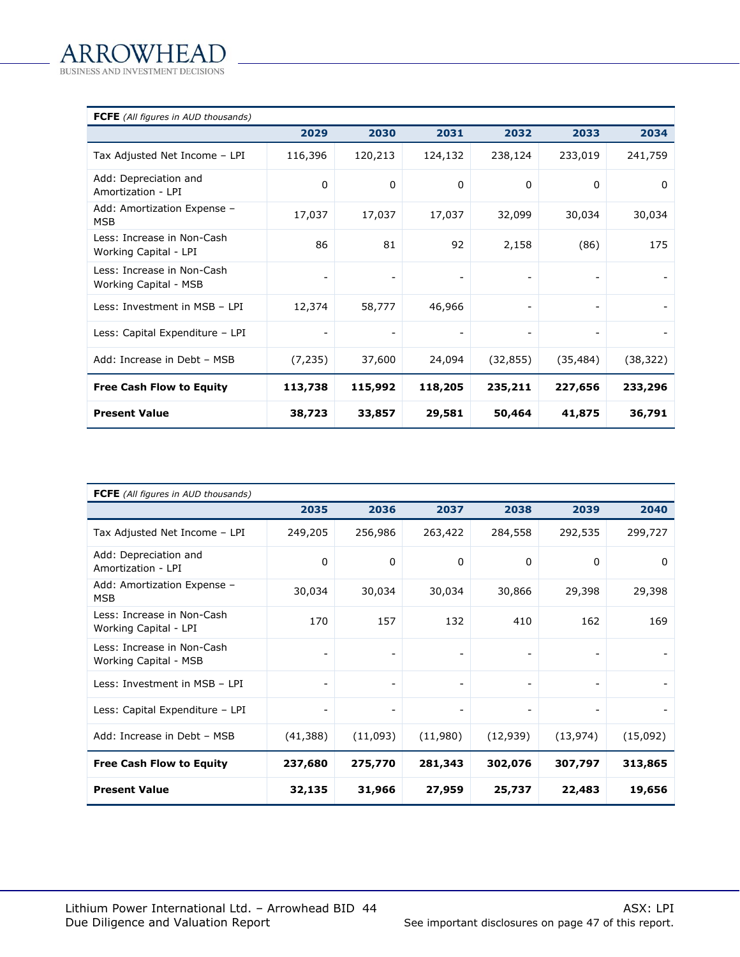| <b>FCFE</b> (All figures in AUD thousands)          |                          |                          |         |                          |           |           |
|-----------------------------------------------------|--------------------------|--------------------------|---------|--------------------------|-----------|-----------|
|                                                     | 2029                     | 2030                     | 2031    | 2032                     | 2033      | 2034      |
| Tax Adjusted Net Income - LPI                       | 116,396                  | 120,213                  | 124,132 | 238,124                  | 233,019   | 241,759   |
| Add: Depreciation and<br>Amortization - LPI         | 0                        | $\mathbf{0}$             | 0       | 0                        | $\Omega$  | 0         |
| Add: Amortization Expense -<br><b>MSB</b>           | 17,037                   | 17,037                   | 17,037  | 32,099                   | 30,034    | 30,034    |
| Less: Increase in Non-Cash<br>Working Capital - LPI | 86                       | 81                       | 92      | 2,158                    | (86)      | 175       |
| Less: Increase in Non-Cash<br>Working Capital - MSB | $\overline{\phantom{a}}$ | $\overline{\phantom{a}}$ |         | $\overline{\phantom{a}}$ |           |           |
| Less: Investment in MSB - LPI                       | 12,374                   | 58,777                   | 46,966  | $\overline{\phantom{a}}$ | -         |           |
| Less: Capital Expenditure - LPI                     | $\overline{\phantom{a}}$ |                          |         | $\overline{\phantom{a}}$ |           |           |
| Add: Increase in Debt - MSB                         | (7, 235)                 | 37,600                   | 24,094  | (32, 855)                | (35, 484) | (38, 322) |
| <b>Free Cash Flow to Equity</b>                     | 113,738                  | 115,992                  | 118,205 | 235,211                  | 227,656   | 233,296   |
| <b>Present Value</b>                                | 38,723                   | 33,857                   | 29,581  | 50,464                   | 41,875    | 36,791    |

| <b>FCFE</b> (All figures in AUD thousands)          |                          |                          |                          |                          |                              |          |
|-----------------------------------------------------|--------------------------|--------------------------|--------------------------|--------------------------|------------------------------|----------|
|                                                     | 2035                     | 2036                     | 2037                     | 2038                     | 2039                         | 2040     |
| Tax Adjusted Net Income - LPI                       | 249,205                  | 256,986                  | 263,422                  | 284,558                  | 292,535                      | 299,727  |
| Add: Depreciation and<br>Amortization - LPI         | 0                        | 0                        | 0                        | 0                        | $\mathbf{0}$                 | 0        |
| Add: Amortization Expense -<br><b>MSB</b>           | 30,034                   | 30,034                   | 30,034                   | 30,866                   | 29,398                       | 29,398   |
| Less: Increase in Non-Cash<br>Working Capital - LPI | 170                      | 157                      | 132                      | 410                      | 162                          | 169      |
| Less: Increase in Non-Cash<br>Working Capital - MSB | $\blacksquare$           |                          |                          |                          |                              |          |
| Less: Investment in MSB - LPI                       | $\overline{\phantom{a}}$ | $\overline{\phantom{a}}$ | $\overline{\phantom{a}}$ | $\overline{\phantom{a}}$ | $\qquad \qquad \blacksquare$ |          |
| Less: Capital Expenditure - LPI                     | $\overline{\phantom{a}}$ | $\overline{\phantom{a}}$ |                          | $\overline{\phantom{a}}$ |                              |          |
| Add: Increase in Debt - MSB                         | (41, 388)                | (11,093)                 | (11,980)                 | (12, 939)                | (13, 974)                    | (15,092) |
| <b>Free Cash Flow to Equity</b>                     | 237,680                  | 275,770                  | 281,343                  | 302,076                  | 307,797                      | 313,865  |
| <b>Present Value</b>                                | 32,135                   | 31,966                   | 27,959                   | 25,737                   | 22,483                       | 19,656   |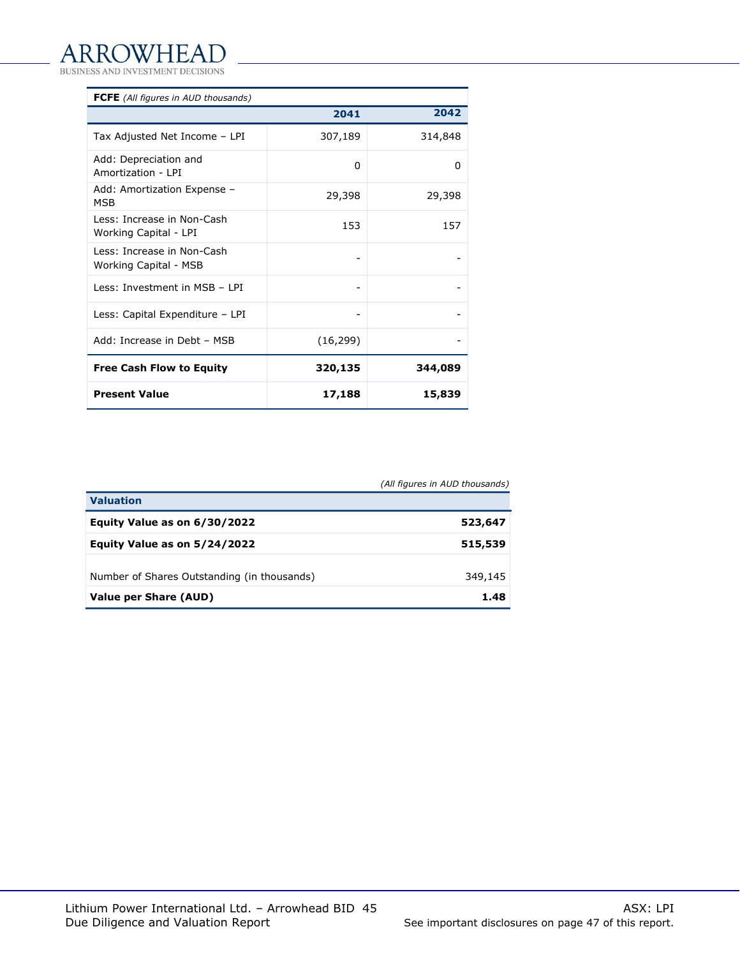BUSINESS AND INVESTMENT DECISIONS

| <b>FCFE</b> (All figures in AUD thousands)          |           |         |
|-----------------------------------------------------|-----------|---------|
|                                                     | 2041      | 2042    |
| Tax Adjusted Net Income - LPI                       | 307,189   | 314,848 |
| Add: Depreciation and<br>Amortization - I PI        | 0         | 0       |
| Add: Amortization Expense -<br><b>MSB</b>           | 29,398    | 29,398  |
| Less: Increase in Non-Cash<br>Working Capital - LPI | 153       | 157     |
| Less: Increase in Non-Cash<br>Working Capital - MSB |           |         |
| Less: Investment in MSB - LPI                       |           |         |
| Less: Capital Expenditure - LPI                     |           |         |
| Add: Increase in Debt - MSB                         | (16, 299) |         |
| <b>Free Cash Flow to Equity</b>                     | 320,135   | 344,089 |
| <b>Present Value</b>                                | 17,188    | 15,839  |

*(All figures in AUD thousands)*

| <b>Valuation</b>                            |         |
|---------------------------------------------|---------|
| Equity Value as on 6/30/2022                | 523,647 |
| Equity Value as on 5/24/2022                | 515,539 |
| Number of Shares Outstanding (in thousands) | 349,145 |
| <b>Value per Share (AUD)</b>                | 1.48    |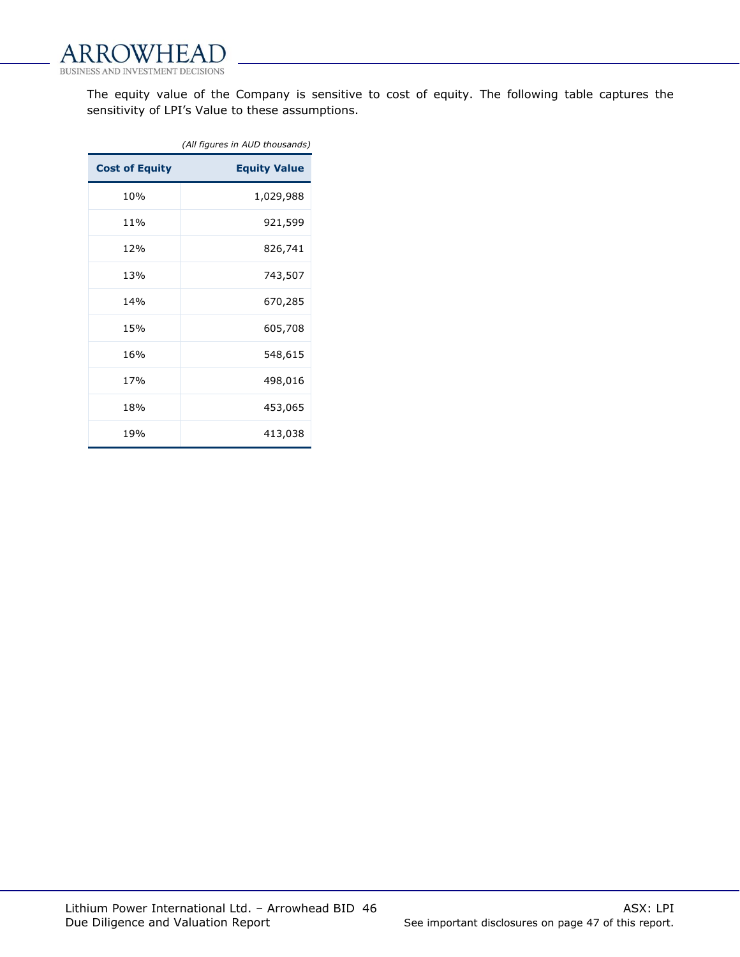

The equity value of the Company is sensitive to cost of equity. The following table captures the sensitivity of LPI's Value to these assumptions.

|                       | (All figures in AUD thousands) |
|-----------------------|--------------------------------|
| <b>Cost of Equity</b> | <b>Equity Value</b>            |
| 10%                   | 1,029,988                      |
| 11%                   | 921,599                        |
| 12%                   | 826,741                        |
| 13%                   | 743,507                        |
| 14%                   | 670,285                        |
| 15%                   | 605,708                        |
| 16%                   | 548,615                        |
| 17%                   | 498,016                        |
| 18%                   | 453,065                        |
| 19%                   | 413,038                        |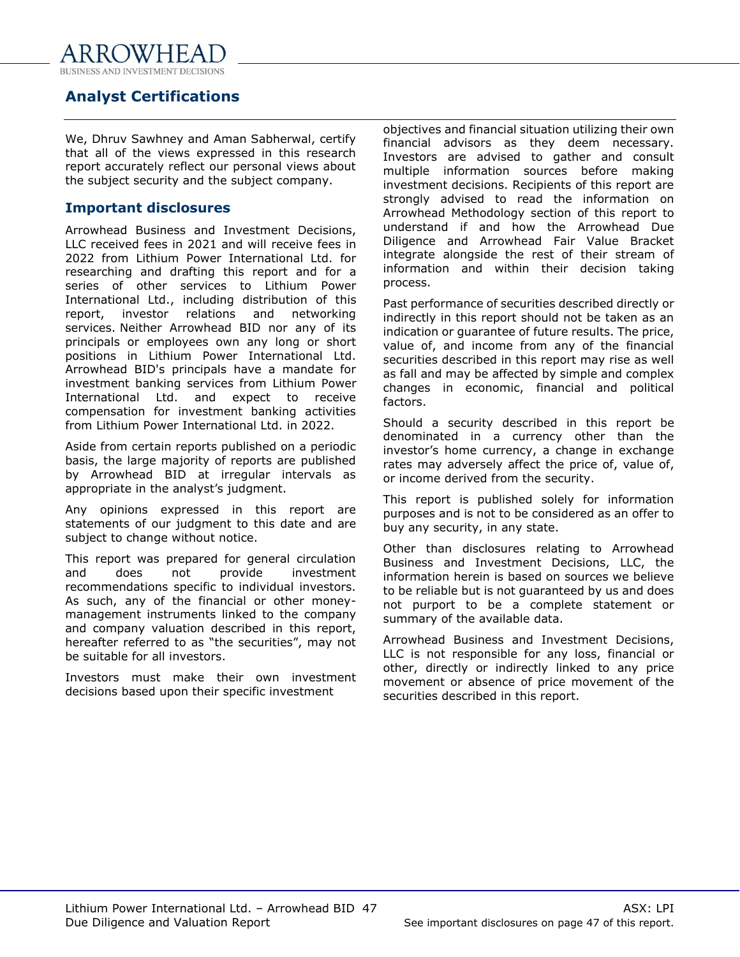

# <span id="page-46-0"></span>**Analyst Certifications**

We, Dhruv Sawhney and Aman Sabherwal, certify that all of the views expressed in this research report accurately reflect our personal views about the subject security and the subject company.

# **Important disclosures**

Arrowhead Business and Investment Decisions, LLC received fees in 2021 and will receive fees in 2022 from Lithium Power International Ltd. for researching and drafting this report and for a series of other services to Lithium Power International Ltd., including distribution of this report, investor relations and networking services. Neither Arrowhead BID nor any of its principals or employees own any long or short positions in Lithium Power International Ltd. Arrowhead BID's principals have a mandate for investment banking services from Lithium Power International Ltd. and expect to receive compensation for investment banking activities from Lithium Power International Ltd. in 2022.

Aside from certain reports published on a periodic basis, the large majority of reports are published by Arrowhead BID at irregular intervals as appropriate in the analyst's judgment.

Any opinions expressed in this report are statements of our judgment to this date and are subject to change without notice.

This report was prepared for general circulation and does not provide investment recommendations specific to individual investors. As such, any of the financial or other moneymanagement instruments linked to the company and company valuation described in this report, hereafter referred to as "the securities", may not be suitable for all investors.

Investors must make their own investment decisions based upon their specific investment

objectives and financial situation utilizing their own financial advisors as they deem necessary. Investors are advised to gather and consult multiple information sources before making investment decisions. Recipients of this report are strongly advised to read the information on Arrowhead Methodology section of this report to understand if and how the Arrowhead Due Diligence and Arrowhead Fair Value Bracket integrate alongside the rest of their stream of information and within their decision taking process.

Past performance of securities described directly or indirectly in this report should not be taken as an indication or guarantee of future results. The price, value of, and income from any of the financial securities described in this report may rise as well as fall and may be affected by simple and complex changes in economic, financial and political factors.

Should a security described in this report be denominated in a currency other than the investor's home currency, a change in exchange rates may adversely affect the price of, value of, or income derived from the security.

This report is published solely for information purposes and is not to be considered as an offer to buy any security, in any state.

Other than disclosures relating to Arrowhead Business and Investment Decisions, LLC, the information herein is based on sources we believe to be reliable but is not guaranteed by us and does not purport to be a complete statement or summary of the available data.

Arrowhead Business and Investment Decisions, LLC is not responsible for any loss, financial or other, directly or indirectly linked to any price movement or absence of price movement of the securities described in this report.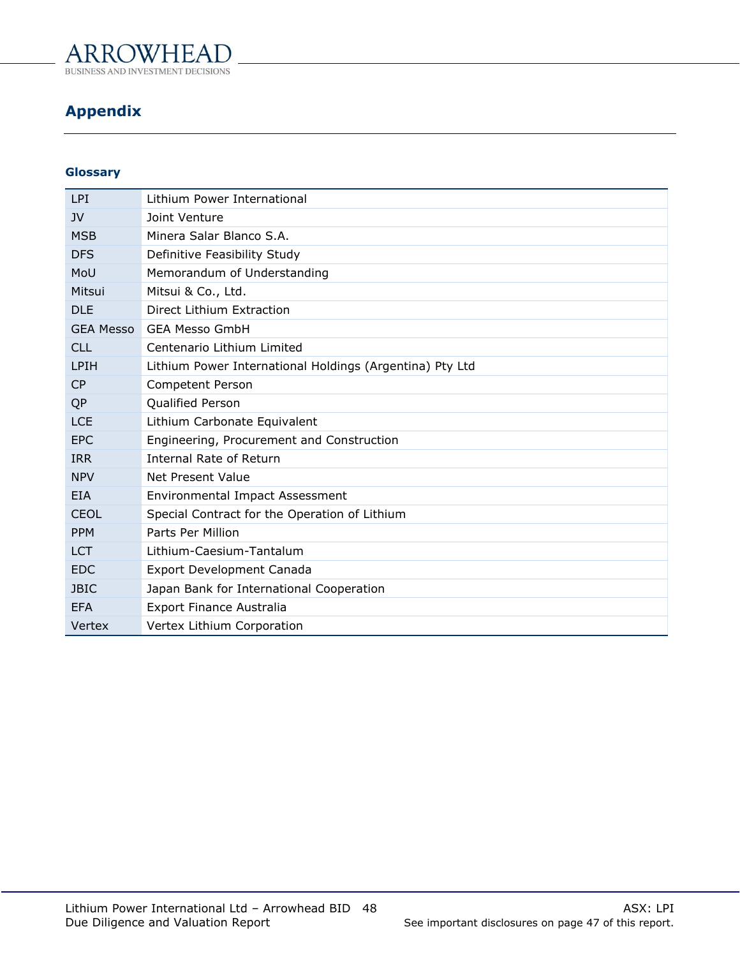

**BUSINESS AND INVES TMENT DECISIONS** 

# <span id="page-47-0"></span>**Appendix**

# **Glossary**

| <b>LPI</b>       | Lithium Power International                              |
|------------------|----------------------------------------------------------|
| JV               | Joint Venture                                            |
| <b>MSB</b>       | Minera Salar Blanco S.A.                                 |
| <b>DFS</b>       | Definitive Feasibility Study                             |
| MoU              | Memorandum of Understanding                              |
| Mitsui           | Mitsui & Co., Ltd.                                       |
| <b>DLE</b>       | Direct Lithium Extraction                                |
| <b>GEA Messo</b> | <b>GEA Messo GmbH</b>                                    |
| CL1              | Centenario Lithium Limited                               |
| <b>LPIH</b>      | Lithium Power International Holdings (Argentina) Pty Ltd |
| CP               | <b>Competent Person</b>                                  |
| QP               | Qualified Person                                         |
| <b>LCE</b>       | Lithium Carbonate Equivalent                             |
| <b>EPC</b>       | Engineering, Procurement and Construction                |
| <b>IRR</b>       | <b>Internal Rate of Return</b>                           |
| <b>NPV</b>       | Net Present Value                                        |
| <b>EIA</b>       | <b>Environmental Impact Assessment</b>                   |
| <b>CEOL</b>      | Special Contract for the Operation of Lithium            |
| <b>PPM</b>       | Parts Per Million                                        |
| <b>LCT</b>       | Lithium-Caesium-Tantalum                                 |
| <b>EDC</b>       | Export Development Canada                                |
| <b>JBIC</b>      | Japan Bank for International Cooperation                 |
| <b>EFA</b>       | <b>Export Finance Australia</b>                          |
| Vertex           | Vertex Lithium Corporation                               |